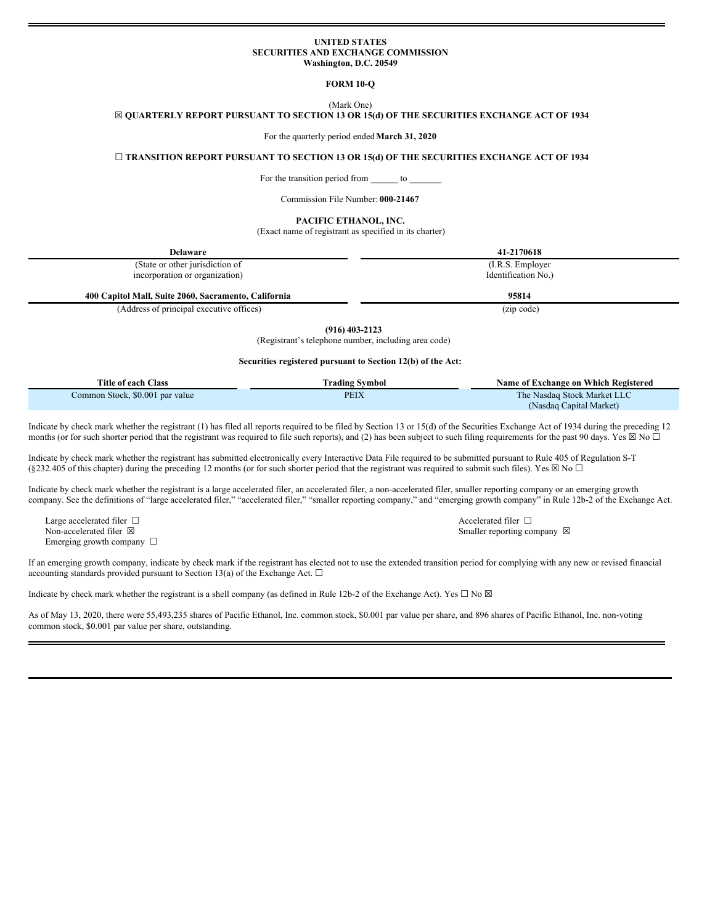### **UNITED STATES SECURITIES AND EXCHANGE COMMISSION Washington, D.C. 20549**

**FORM 10-Q**

(Mark One)

☒ **QUARTERLY REPORT PURSUANT TO SECTION 13 OR 15(d) OF THE SECURITIES EXCHANGE ACT OF 1934**

For the quarterly period ended**March 31, 2020**

☐ **TRANSITION REPORT PURSUANT TO SECTION 13 OR 15(d) OF THE SECURITIES EXCHANGE ACT OF 1934**

For the transition period from to

Commission File Number: **000-21467**

#### **PACIFIC ETHANOL, INC.**

(Exact name of registrant as specified in its charter)

| <b>Delaware</b>                                      | 41-2170618          |
|------------------------------------------------------|---------------------|
| (State or other jurisdiction of                      | (I.R.S. Employer)   |
| incorporation or organization)                       | Identification No.) |
| 400 Capitol Mall, Suite 2060, Sacramento, California | 95814               |
| (Address of principal executive offices)             | (zip code)          |

**(916) 403-2123**

(Registrant's telephone number, including area code)

## **Securities registered pursuant to Section 12(b) of the Act:**

| Title of each Class             | <b>Trading Symbol</b> | Name of Exchange on Which Registered |
|---------------------------------|-----------------------|--------------------------------------|
| Common Stock, \$0.001 par value | PEIX                  | The Nasdaq Stock Market LLC          |
|                                 |                       | (Nasdaq Capital Market)              |

Indicate by check mark whether the registrant (1) has filed all reports required to be filed by Section 13 or 15(d) of the Securities Exchange Act of 1934 during the preceding 12 months (or for such shorter period that the registrant was required to file such reports), and (2) has been subject to such filing requirements for the past 90 days. Yes  $\boxtimes$  No  $\Box$ 

Indicate by check mark whether the registrant has submitted electronically every Interactive Data File required to be submitted pursuant to Rule 405 of Regulation S-T (§232.405 of this chapter) during the preceding 12 months (or for such shorter period that the registrant was required to submit such files). Yes  $\boxtimes$  No  $\Box$ 

Indicate by check mark whether the registrant is a large accelerated filer, an accelerated filer, a non-accelerated filer, smaller reporting company or an emerging growth company. See the definitions of "large accelerated filer," "accelerated filer," "smaller reporting company," and "emerging growth company" in Rule 12b-2 of the Exchange Act.

Large accelerated filer □ Accelerated filer □ Emerging growth company  $\Box$ 

Non-accelerated filer ⊠ smaller reporting company ⊠

If an emerging growth company, indicate by check mark if the registrant has elected not to use the extended transition period for complying with any new or revised financial accounting standards provided pursuant to Section 13(a) of the Exchange Act.  $\square$ 

Indicate by check mark whether the registrant is a shell company (as defined in Rule 12b-2 of the Exchange Act). Yes  $\Box$  No  $\boxtimes$ 

As of May 13, 2020, there were 55,493,235 shares of Pacific Ethanol, Inc. common stock, \$0.001 par value per share, and 896 shares of Pacific Ethanol, Inc. non-voting common stock, \$0.001 par value per share, outstanding.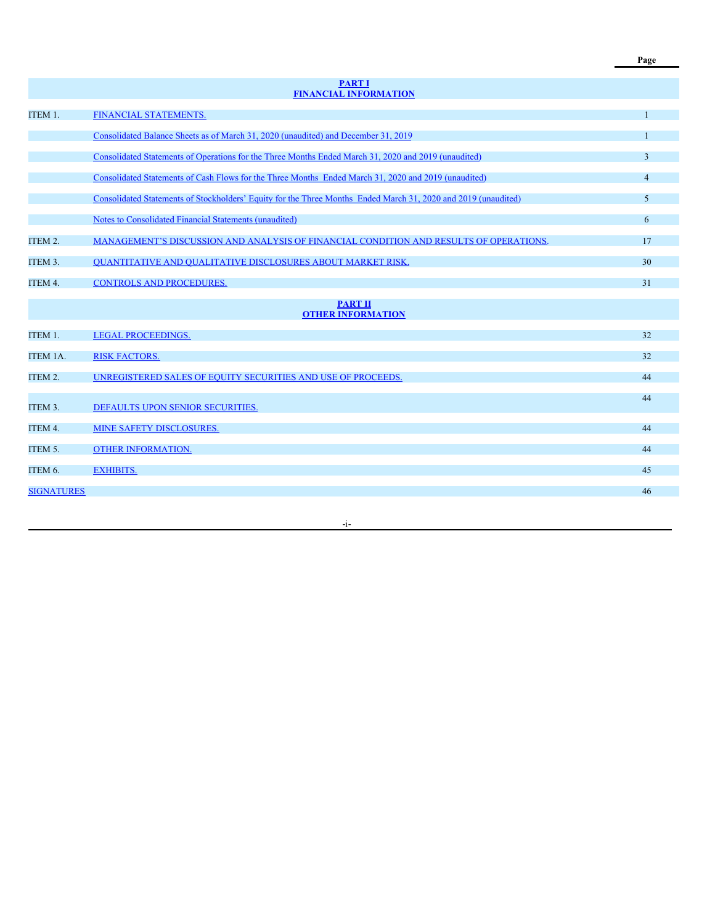|                     | <b>PART I</b><br><b>FINANCIAL INFORMATION</b>                                                                  |                |
|---------------------|----------------------------------------------------------------------------------------------------------------|----------------|
| ITEM 1.             | FINANCIAL STATEMENTS.                                                                                          |                |
|                     | Consolidated Balance Sheets as of March 31, 2020 (unaudited) and December 31, 2019                             |                |
|                     | Consolidated Statements of Operations for the Three Months Ended March 31, 2020 and 2019 (unaudited)           | 3              |
|                     | Consolidated Statements of Cash Flows for the Three Months Ended March 31, 2020 and 2019 (unaudited)           | $\overline{4}$ |
|                     | Consolidated Statements of Stockholders' Equity for the Three Months Ended March 31, 2020 and 2019 (unaudited) | 5              |
|                     | <b>Notes to Consolidated Financial Statements (unaudited)</b>                                                  | 6              |
| ITEM 2.             | MANAGEMENT'S DISCUSSION AND ANALYSIS OF FINANCIAL CONDITION AND RESULTS OF OPERATIONS.                         | 17             |
| ITEM <sub>3</sub> . | <b>OUANTITATIVE AND OUALITATIVE DISCLOSURES ABOUT MARKET RISK.</b>                                             | 30             |
| ITEM 4.             | <b>CONTROLS AND PROCEDURES.</b>                                                                                | 31             |
|                     | <b>PART II</b><br><b>OTHER INFORMATION</b>                                                                     |                |
| ITEM 1.             | <b>LEGAL PROCEEDINGS.</b>                                                                                      | 32             |
| <b>ITEM 1A.</b>     | <b>RISK FACTORS.</b>                                                                                           | 32             |
| ITEM 2.             | UNREGISTERED SALES OF EOUITY SECURITIES AND USE OF PROCEEDS.                                                   | 44             |
| ITEM 3.             | DEFAULTS UPON SENIOR SECURITIES.                                                                               | 44             |
| ITEM 4.             | MINE SAFETY DISCLOSURES.                                                                                       | 44             |
| ITEM 5.             | OTHER INFORMATION.                                                                                             | 44             |
| ITEM 6.             | <b>EXHIBITS.</b>                                                                                               | 45             |
| <b>SIGNATURES</b>   |                                                                                                                | 46             |
|                     |                                                                                                                |                |

-i-

**Page**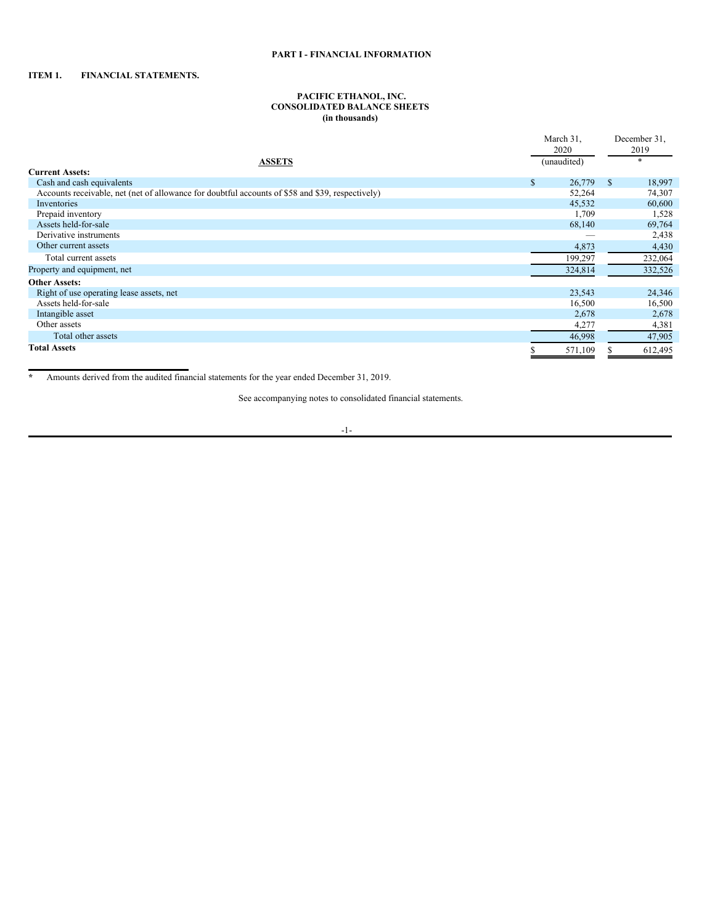# <span id="page-2-1"></span>**ITEM 1. FINANCIAL STATEMENTS.**

#### <span id="page-2-2"></span><span id="page-2-0"></span>**PACIFIC ETHANOL, INC. CONSOLIDATED BALANCE SHEETS (in thousands)**

|                                                                                                  |              | March 31,   |    | December 31, |
|--------------------------------------------------------------------------------------------------|--------------|-------------|----|--------------|
|                                                                                                  |              | 2020        |    | 2019         |
| <b>ASSETS</b>                                                                                    |              | (unaudited) |    | $\ast$       |
| <b>Current Assets:</b>                                                                           |              |             |    |              |
| Cash and cash equivalents                                                                        | $\mathbb{S}$ | 26,779      | \$ | 18,997       |
| Accounts receivable, net (net of allowance for doubtful accounts of \$58 and \$39, respectively) |              | 52,264      |    | 74,307       |
| Inventories                                                                                      |              | 45,532      |    | 60,600       |
| Prepaid inventory                                                                                |              | 1,709       |    | 1,528        |
| Assets held-for-sale                                                                             |              | 68,140      |    | 69,764       |
| Derivative instruments                                                                           |              |             |    | 2,438        |
| Other current assets                                                                             |              | 4,873       |    | 4,430        |
| Total current assets                                                                             |              | 199,297     |    | 232,064      |
| Property and equipment, net                                                                      |              | 324,814     |    | 332,526      |
| <b>Other Assets:</b>                                                                             |              |             |    |              |
| Right of use operating lease assets, net                                                         |              | 23,543      |    | 24,346       |
| Assets held-for-sale                                                                             |              | 16,500      |    | 16,500       |
| Intangible asset                                                                                 |              | 2,678       |    | 2,678        |
| Other assets                                                                                     |              | 4,277       |    | 4,381        |
| Total other assets                                                                               |              | 46,998      |    | 47,905       |
| <b>Total Assets</b>                                                                              |              | 571,109     |    | 612,495      |

**\*** Amounts derived from the audited financial statements for the year ended December 31, 2019.

See accompanying notes to consolidated financial statements.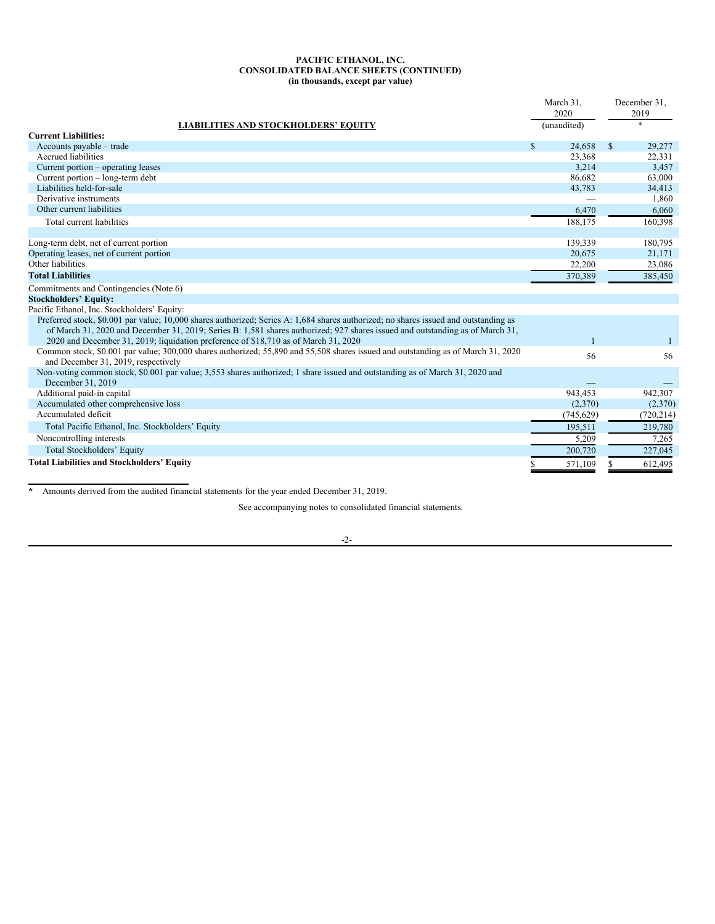### **PACIFIC ETHANOL, INC. CONSOLIDATED BALANCE SHEETS (CONTINUED) (in thousands, except par value)**

|                                                                                                                                                                         | March 31,              | December 31,           |
|-------------------------------------------------------------------------------------------------------------------------------------------------------------------------|------------------------|------------------------|
|                                                                                                                                                                         | 2020                   | 2019<br>$\ast$         |
| <b>LIABILITIES AND STOCKHOLDERS' EQUITY</b><br><b>Current Liabilities:</b>                                                                                              | (unaudited)            |                        |
| Accounts payable – trade                                                                                                                                                | $\mathbb{S}$<br>24.658 | $\mathbb{S}$<br>29,277 |
| <b>Accrued</b> liabilities                                                                                                                                              | 23,368                 | 22,331                 |
| Current portion – operating leases                                                                                                                                      | 3,214                  | 3,457                  |
| Current portion – long-term debt                                                                                                                                        | 86.682                 | 63,000                 |
| Liabilities held-for-sale                                                                                                                                               | 43,783                 | 34,413                 |
| Derivative instruments                                                                                                                                                  |                        | 1,860                  |
| Other current liabilities                                                                                                                                               | 6,470                  | 6.060                  |
| Total current liabilities                                                                                                                                               | 188,175                | 160,398                |
|                                                                                                                                                                         |                        |                        |
| Long-term debt, net of current portion                                                                                                                                  | 139,339                | 180,795                |
| Operating leases, net of current portion                                                                                                                                | 20,675                 | 21,171                 |
| Other liabilities                                                                                                                                                       | 22,200                 | 23,086                 |
| <b>Total Liabilities</b>                                                                                                                                                | 370,389                | 385,450                |
| Commitments and Contingencies (Note 6)                                                                                                                                  |                        |                        |
| <b>Stockholders' Equity:</b>                                                                                                                                            |                        |                        |
| Pacific Ethanol, Inc. Stockholders' Equity:                                                                                                                             |                        |                        |
| Preferred stock, \$0.001 par value; 10,000 shares authorized; Series A: 1,684 shares authorized; no shares issued and outstanding as                                    |                        |                        |
| of March 31, 2020 and December 31, 2019; Series B: 1,581 shares authorized; 927 shares issued and outstanding as of March 31,                                           |                        |                        |
| 2020 and December 31, 2019; liquidation preference of \$18,710 as of March 31, 2020                                                                                     |                        |                        |
| Common stock, \$0.001 par value; 300,000 shares authorized; 55,890 and 55,508 shares issued and outstanding as of March 31, 2020<br>and December 31, 2019, respectively | 56                     | 56                     |
| Non-voting common stock, \$0.001 par value; 3,553 shares authorized; 1 share issued and outstanding as of March 31, 2020 and                                            |                        |                        |
| December 31, 2019                                                                                                                                                       |                        |                        |
| Additional paid-in capital                                                                                                                                              | 943,453                | 942,307                |
| Accumulated other comprehensive loss                                                                                                                                    | (2,370)                | (2,370)                |
| Accumulated deficit                                                                                                                                                     | (745, 629)             | (720, 214)             |
| Total Pacific Ethanol, Inc. Stockholders' Equity                                                                                                                        | 195,511                | 219,780                |
| Noncontrolling interests                                                                                                                                                | 5,209                  | 7,265                  |
| <b>Total Stockholders' Equity</b>                                                                                                                                       | 200,720                | 227,045                |
| <b>Total Liabilities and Stockholders' Equity</b>                                                                                                                       | 571,109                | 612,495                |

**\*** Amounts derived from the audited financial statements for the year ended December 31, 2019.

See accompanying notes to consolidated financial statements.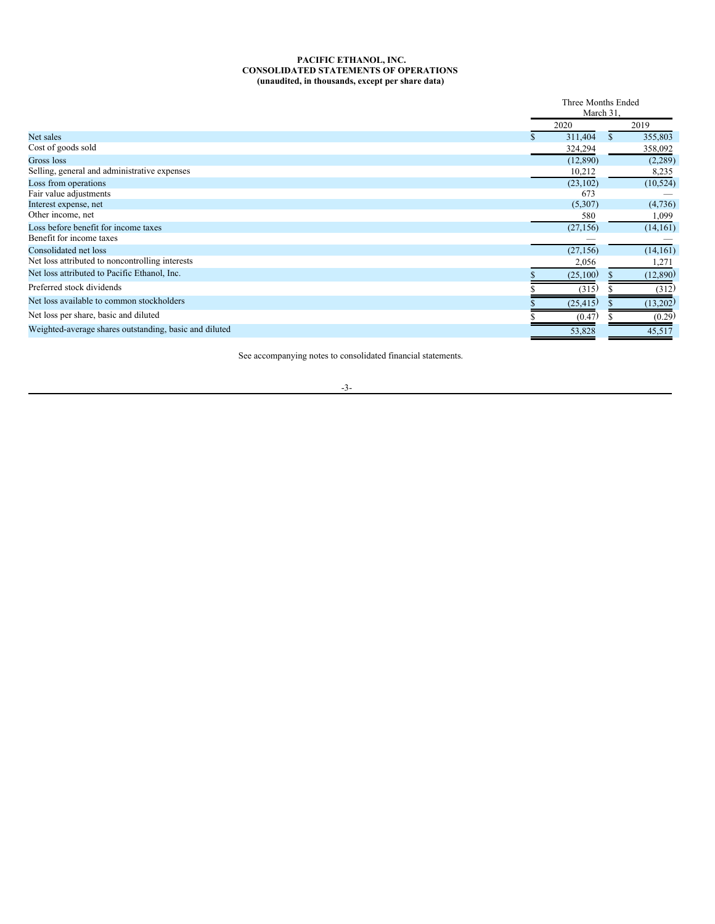### <span id="page-4-0"></span>**PACIFIC ETHANOL, INC. CONSOLIDATED STATEMENTS OF OPERATIONS (unaudited, in thousands, except per share data)**

|                                                        |           | Three Months Ended<br>March 31. |
|--------------------------------------------------------|-----------|---------------------------------|
|                                                        | 2020      | 2019                            |
| Net sales                                              | 311,404   | 355,803<br>\$                   |
| Cost of goods sold                                     | 324,294   | 358,092                         |
| Gross loss                                             | (12,890)  | (2,289)                         |
| Selling, general and administrative expenses           | 10,212    | 8,235                           |
| Loss from operations                                   | (23, 102) | (10, 524)                       |
| Fair value adjustments                                 | 673       |                                 |
| Interest expense, net                                  | (5,307)   | (4,736)                         |
| Other income, net                                      | 580       | 1,099                           |
| Loss before benefit for income taxes                   | (27, 156) | (14,161)                        |
| Benefit for income taxes                               |           |                                 |
| Consolidated net loss                                  | (27, 156) | (14,161)                        |
| Net loss attributed to noncontrolling interests        | 2,056     | 1,271                           |
| Net loss attributed to Pacific Ethanol, Inc.           | (25,100)  | (12,890)                        |
| Preferred stock dividends                              | (315)     | (312)                           |
| Net loss available to common stockholders              | (25, 415) | (13,202)                        |
| Net loss per share, basic and diluted                  | (0.47)    | (0.29)                          |
| Weighted-average shares outstanding, basic and diluted | 53,828    | 45,517                          |

See accompanying notes to consolidated financial statements.

-3-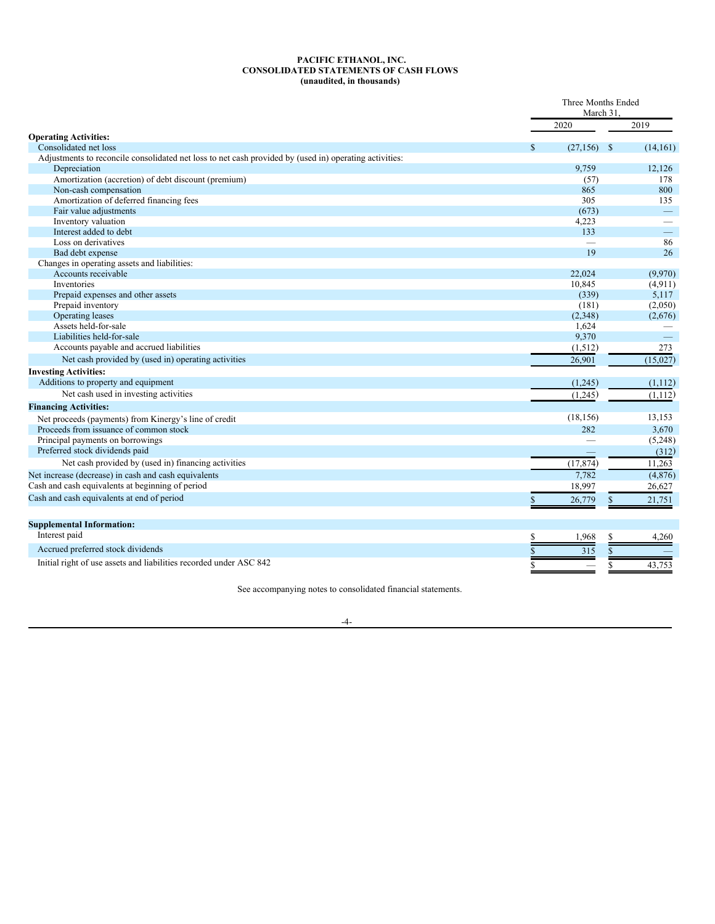## <span id="page-5-0"></span>**PACIFIC ETHANOL, INC. CONSOLIDATED STATEMENTS OF CASH FLOWS (unaudited, in thousands)**

|                                                                                                        |    | Three Months Ended<br>March 31. |                          |  |
|--------------------------------------------------------------------------------------------------------|----|---------------------------------|--------------------------|--|
|                                                                                                        |    | 2020                            | 2019                     |  |
| <b>Operating Activities:</b>                                                                           |    |                                 |                          |  |
| Consolidated net loss                                                                                  | S  | (27, 156)                       | (14,161)<br>$\mathbb{S}$ |  |
| Adjustments to reconcile consolidated net loss to net cash provided by (used in) operating activities: |    |                                 |                          |  |
| Depreciation                                                                                           |    | 9.759                           | 12,126                   |  |
| Amortization (accretion) of debt discount (premium)                                                    |    | (57)                            | 178                      |  |
| Non-cash compensation                                                                                  |    | 865                             | 800                      |  |
| Amortization of deferred financing fees                                                                |    | 305                             | 135                      |  |
| Fair value adjustments                                                                                 |    | (673)                           | $\equiv$                 |  |
| Inventory valuation                                                                                    |    | 4,223                           |                          |  |
| Interest added to debt                                                                                 |    | 133                             | $\overline{\phantom{0}}$ |  |
| Loss on derivatives                                                                                    |    |                                 | 86                       |  |
| Bad debt expense                                                                                       |    | 19                              | 26                       |  |
| Changes in operating assets and liabilities:                                                           |    |                                 |                          |  |
| Accounts receivable                                                                                    |    | 22,024                          | (9,970)                  |  |
| <b>Inventories</b>                                                                                     |    | 10,845                          | (4,911)                  |  |
| Prepaid expenses and other assets                                                                      |    | (339)                           | 5,117                    |  |
| Prepaid inventory                                                                                      |    | (181)                           | (2,050)                  |  |
| Operating leases                                                                                       |    | (2,348)                         | (2,676)                  |  |
| Assets held-for-sale                                                                                   |    | 1,624                           |                          |  |
| Liabilities held-for-sale                                                                              |    | 9,370                           |                          |  |
| Accounts payable and accrued liabilities                                                               |    | (1,512)                         | 273                      |  |
| Net cash provided by (used in) operating activities                                                    |    | 26,901                          | (15,027)                 |  |
| <b>Investing Activities:</b>                                                                           |    |                                 |                          |  |
| Additions to property and equipment                                                                    |    | (1,245)                         | (1,112)                  |  |
| Net cash used in investing activities                                                                  |    | (1,245)                         | (1, 112)                 |  |
| <b>Financing Activities:</b>                                                                           |    |                                 |                          |  |
| Net proceeds (payments) from Kinergy's line of credit                                                  |    | (18, 156)                       | 13,153                   |  |
| Proceeds from issuance of common stock                                                                 |    | 282                             | 3,670                    |  |
| Principal payments on borrowings                                                                       |    |                                 | (5,248)                  |  |
| Preferred stock dividends paid                                                                         |    |                                 | (312)                    |  |
| Net cash provided by (used in) financing activities                                                    |    | (17, 874)                       | 11,263                   |  |
| Net increase (decrease) in cash and cash equivalents                                                   |    | 7,782                           | (4,876)                  |  |
| Cash and cash equivalents at beginning of period                                                       |    | 18,997                          | 26,627                   |  |
|                                                                                                        |    |                                 |                          |  |
| Cash and cash equivalents at end of period                                                             | S  | 26,779                          | 21,751<br>\$             |  |
| <b>Supplemental Information:</b>                                                                       |    |                                 |                          |  |
| Interest paid                                                                                          | \$ | 1,968                           | S<br>4,260               |  |
| Accrued preferred stock dividends                                                                      |    | 315                             | \$                       |  |
| Initial right of use assets and liabilities recorded under ASC 842                                     |    |                                 |                          |  |
|                                                                                                        | S  |                                 | 43,753<br>\$             |  |

See accompanying notes to consolidated financial statements.

-4-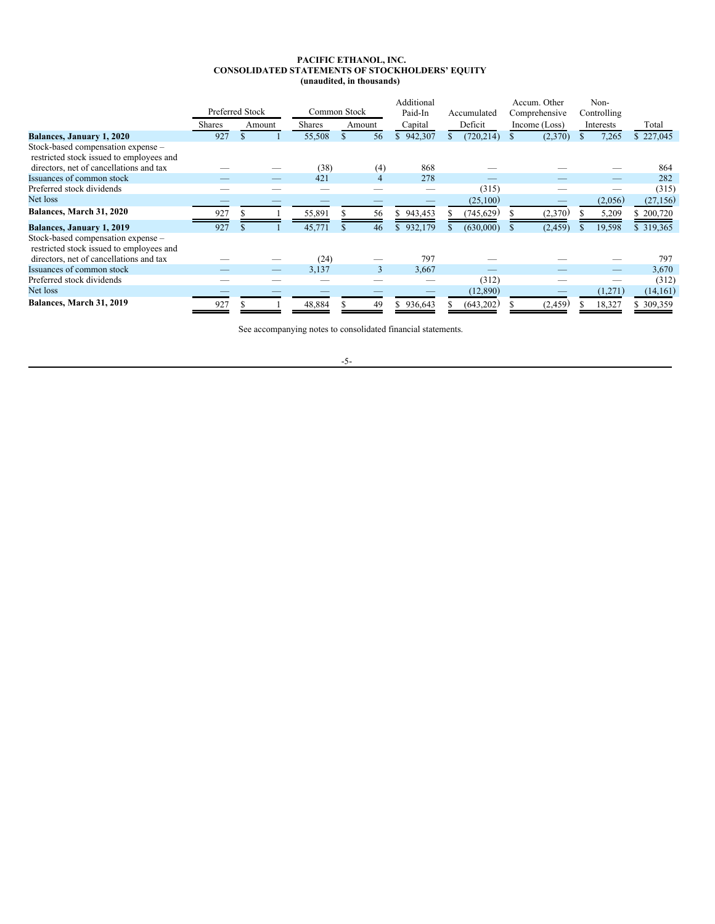### <span id="page-6-0"></span>**PACIFIC ETHANOL, INC. CONSOLIDATED STATEMENTS OF STOCKHOLDERS' EQUITY (unaudited, in thousands)**

|                                                                                | Preferred Stock |               |        | Common Stock  |        | Additional<br>Paid-In | Accumulated | Accum. Other<br>Comprehensive | Non-<br>Controlling |           |
|--------------------------------------------------------------------------------|-----------------|---------------|--------|---------------|--------|-----------------------|-------------|-------------------------------|---------------------|-----------|
|                                                                                | Shares          |               | Amount | <b>Shares</b> | Amount | Capital               | Deficit     | Income (Loss)                 | Interests           | Total     |
| Balances, January 1, 2020                                                      | 927             | $\mathcal{S}$ |        | 55,508        | 56     | 942,307               | (720, 214)  | (2,370)                       | 7,265               | \$227,045 |
| Stock-based compensation expense -<br>restricted stock issued to employees and |                 |               |        |               |        |                       |             |                               |                     |           |
| directors, net of cancellations and tax                                        |                 |               |        | (38)          | (4)    | 868                   |             |                               |                     | 864       |
| Issuances of common stock                                                      |                 |               | _      | 421           | 4      | 278                   |             |                               |                     | 282       |
| Preferred stock dividends                                                      |                 |               |        |               |        |                       | (315)       |                               |                     | (315)     |
| Net loss                                                                       |                 |               |        |               |        |                       | (25,100)    |                               | (2,056)             | (27, 156) |
| Balances, March 31, 2020                                                       | 927             |               |        | 55,891        | 56     | 943,453               | (745,629)   | (2,370)                       | 5,209               | \$200,720 |
| Balances, January 1, 2019                                                      | 927             |               |        | 45,771        | 46     | 932,179               | (630,000)   | (2, 459)                      | 19,598              | \$319,365 |
| Stock-based compensation expense -<br>restricted stock issued to employees and |                 |               |        |               |        |                       |             |                               |                     |           |
| directors, net of cancellations and tax                                        |                 |               |        | (24)          |        | 797                   |             |                               |                     | 797       |
| Issuances of common stock                                                      |                 |               |        | 3,137         | 3      | 3,667                 |             |                               |                     | 3,670     |
| Preferred stock dividends                                                      |                 |               |        |               |        |                       | (312)       |                               |                     | (312)     |
| Net loss                                                                       |                 |               |        |               |        |                       | (12,890)    |                               | (1,271)             | (14,161)  |
| Balances, March 31, 2019                                                       | 927             |               |        | 48,884        | 49     | 936,643               | (643,202)   | (2,459)                       | 18,327              | \$309,359 |

See accompanying notes to consolidated financial statements.

-5-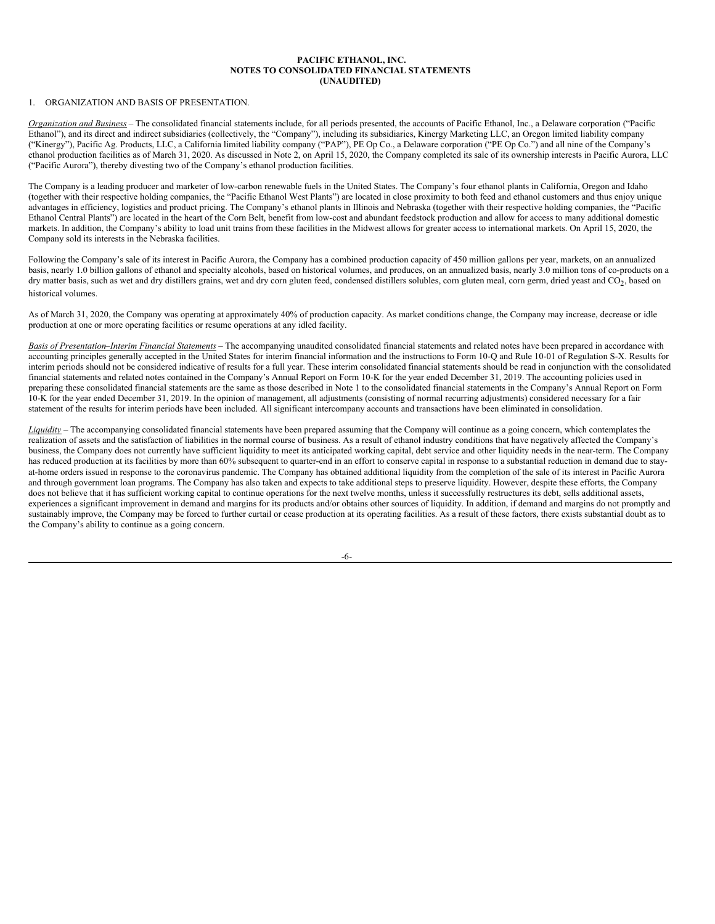### <span id="page-7-0"></span>**PACIFIC ETHANOL, INC. NOTES TO CONSOLIDATED FINANCIAL STATEMENTS (UNAUDITED)**

## 1. ORGANIZATION AND BASIS OF PRESENTATION.

*Organization and Business* – The consolidated financial statements include, for all periods presented, the accounts of Pacific Ethanol, Inc., a Delaware corporation ("Pacific Ethanol"), and its direct and indirect subsidiaries (collectively, the "Company"), including its subsidiaries, Kinergy Marketing LLC, an Oregon limited liability company ("Kinergy"), Pacific Ag. Products, LLC, a California limited liability company ("PAP"), PE Op Co., a Delaware corporation ("PE Op Co.") and all nine of the Company's ethanol production facilities as of March 31, 2020. As discussed in Note 2, on April 15, 2020, the Company completed its sale of its ownership interests in Pacific Aurora, LLC ("Pacific Aurora"), thereby divesting two of the Company's ethanol production facilities.

The Company is a leading producer and marketer of low-carbon renewable fuels in the United States. The Company's four ethanol plants in California, Oregon and Idaho (together with their respective holding companies, the "Pacific Ethanol West Plants") are located in close proximity to both feed and ethanol customers and thus enjoy unique advantages in efficiency, logistics and product pricing. The Company's ethanol plants in Illinois and Nebraska (together with their respective holding companies, the "Pacific Ethanol Central Plants") are located in the heart of the Corn Belt, benefit from low-cost and abundant feedstock production and allow for access to many additional domestic markets. In addition, the Company's ability to load unit trains from these facilities in the Midwest allows for greater access to international markets. On April 15, 2020, the Company sold its interests in the Nebraska facilities.

Following the Company's sale of its interest in Pacific Aurora, the Company has a combined production capacity of 450 million gallons per year, markets, on an annualized basis, nearly 1.0 billion gallons of ethanol and specialty alcohols, based on historical volumes, and produces, on an annualized basis, nearly 3.0 million tons of co-products on a dry matter basis, such as wet and dry distillers grains, wet and dry corn gluten feed, condensed distillers solubles, corn gluten meal, corn germ, dried yeast and CO2, based on historical volumes.

As of March 31, 2020, the Company was operating at approximately 40% of production capacity. As market conditions change, the Company may increase, decrease or idle production at one or more operating facilities or resume operations at any idled facility.

*Basis of Presentation*–*Interim Financial Statements* – The accompanying unaudited consolidated financial statements and related notes have been prepared in accordance with accounting principles generally accepted in the United States for interim financial information and the instructions to Form 10-Q and Rule 10-01 of Regulation S-X. Results for interim periods should not be considered indicative of results for a full year. These interim consolidated financial statements should be read in conjunction with the consolidated financial statements and related notes contained in the Company's Annual Report on Form 10-K for the year ended December 31, 2019. The accounting policies used in preparing these consolidated financial statements are the same as those described in Note 1 to the consolidated financial statements in the Company's Annual Report on Form 10-K for the year ended December 31, 2019. In the opinion of management, all adjustments (consisting of normal recurring adjustments) considered necessary for a fair statement of the results for interim periods have been included. All significant intercompany accounts and transactions have been eliminated in consolidation.

*Liquidity* – The accompanying consolidated financial statements have been prepared assuming that the Company will continue as a going concern, which contemplates the realization of assets and the satisfaction of liabilities in the normal course of business. As a result of ethanol industry conditions that have negatively affected the Company's business, the Company does not currently have sufficient liquidity to meet its anticipated working capital, debt service and other liquidity needs in the near-term. The Company has reduced production at its facilities by more than 60% subsequent to quarter-end in an effort to conserve capital in response to a substantial reduction in demand due to stayat-home orders issued in response to the coronavirus pandemic. The Company has obtained additional liquidity from the completion of the sale of its interest in Pacific Aurora and through government loan programs. The Company has also taken and expects to take additional steps to preserve liquidity. However, despite these efforts, the Company does not believe that it has sufficient working capital to continue operations for the next twelve months, unless it successfully restructures its debt, sells additional assets, experiences a significant improvement in demand and margins for its products and/or obtains other sources of liquidity. In addition, if demand and margins do not promptly and sustainably improve, the Company may be forced to further curtail or cease production at its operating facilities. As a result of these factors, there exists substantial doubt as to the Company's ability to continue as a going concern.

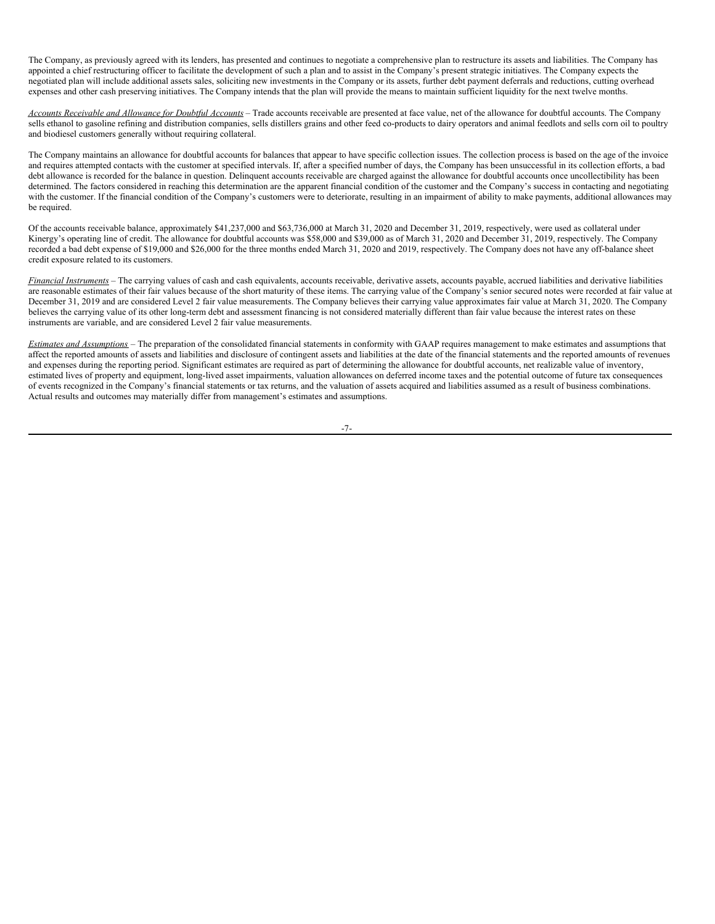The Company, as previously agreed with its lenders, has presented and continues to negotiate a comprehensive plan to restructure its assets and liabilities. The Company has appointed a chief restructuring officer to facilitate the development of such a plan and to assist in the Company's present strategic initiatives. The Company expects the negotiated plan will include additional assets sales, soliciting new investments in the Company or its assets, further debt payment deferrals and reductions, cutting overhead expenses and other cash preserving initiatives. The Company intends that the plan will provide the means to maintain sufficient liquidity for the next twelve months.

*Accounts Receivable and Allowance for Doubtful Accounts* – Trade accounts receivable are presented at face value, net of the allowance for doubtful accounts. The Company sells ethanol to gasoline refining and distribution companies, sells distillers grains and other feed co-products to dairy operators and animal feedlots and sells corn oil to poultry and biodiesel customers generally without requiring collateral.

The Company maintains an allowance for doubtful accounts for balances that appear to have specific collection issues. The collection process is based on the age of the invoice and requires attempted contacts with the customer at specified intervals. If, after a specified number of days, the Company has been unsuccessful in its collection efforts, a bad debt allowance is recorded for the balance in question. Delinquent accounts receivable are charged against the allowance for doubtful accounts once uncollectibility has been determined. The factors considered in reaching this determination are the apparent financial condition of the customer and the Company's success in contacting and negotiating with the customer. If the financial condition of the Company's customers were to deteriorate, resulting in an impairment of ability to make payments, additional allowances may be required.

Of the accounts receivable balance, approximately \$41,237,000 and \$63,736,000 at March 31, 2020 and December 31, 2019, respectively, were used as collateral under Kinergy's operating line of credit. The allowance for doubtful accounts was \$58,000 and \$39,000 as of March 31, 2020 and December 31, 2019, respectively. The Company recorded a bad debt expense of \$19,000 and \$26,000 for the three months ended March 31, 2020 and 2019, respectively. The Company does not have any off-balance sheet credit exposure related to its customers.

*Financial Instruments* – The carrying values of cash and cash equivalents, accounts receivable, derivative assets, accounts payable, accrued liabilities and derivative liabilities are reasonable estimates of their fair values because of the short maturity of these items. The carrying value of the Company's senior secured notes were recorded at fair value at December 31, 2019 and are considered Level 2 fair value measurements. The Company believes their carrying value approximates fair value at March 31, 2020. The Company believes the carrying value of its other long-term debt and assessment financing is not considered materially different than fair value because the interest rates on these instruments are variable, and are considered Level 2 fair value measurements.

*Estimates and Assumptions* – The preparation of the consolidated financial statements in conformity with GAAP requires management to make estimates and assumptions that affect the reported amounts of assets and liabilities and disclosure of contingent assets and liabilities at the date of the financial statements and the reported amounts of revenues and expenses during the reporting period. Significant estimates are required as part of determining the allowance for doubtful accounts, net realizable value of inventory, estimated lives of property and equipment, long-lived asset impairments, valuation allowances on deferred income taxes and the potential outcome of future tax consequences of events recognized in the Company's financial statements or tax returns, and the valuation of assets acquired and liabilities assumed as a result of business combinations. Actual results and outcomes may materially differ from management's estimates and assumptions.

-7-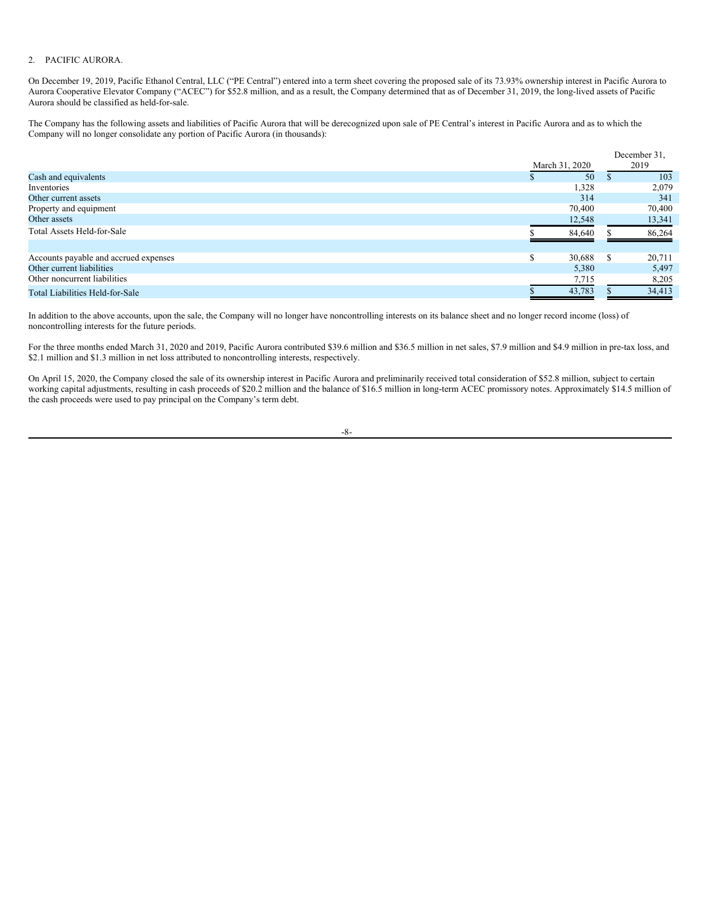# 2. PACIFIC AURORA.

On December 19, 2019, Pacific Ethanol Central, LLC ("PE Central") entered into a term sheet covering the proposed sale of its 73.93% ownership interest in Pacific Aurora to Aurora Cooperative Elevator Company ("ACEC") for \$52.8 million, and as a result, the Company determined that as of December 31, 2019, the long-lived assets of Pacific Aurora should be classified as held-for-sale.

The Company has the following assets and liabilities of Pacific Aurora that will be derecognized upon sale of PE Central's interest in Pacific Aurora and as to which the Company will no longer consolidate any portion of Pacific Aurora (in thousands):

|                                       |                | December 31, |
|---------------------------------------|----------------|--------------|
|                                       | March 31, 2020 | 2019         |
| Cash and equivalents                  | 50<br>٠D       | 103          |
| Inventories                           | 1,328          | 2,079        |
| Other current assets                  | 314            | 341          |
| Property and equipment                | 70,400         | 70,400       |
| Other assets                          | 12,548         | 13,341       |
| Total Assets Held-for-Sale            | 84,640         | 86,264       |
|                                       |                |              |
| Accounts payable and accrued expenses | S<br>30.688    | 20,711       |
| Other current liabilities             | 5,380          | 5,497        |
| Other noncurrent liabilities          | 7,715          | 8,205        |
| Total Liabilities Held-for-Sale       | 43,783         | 34,413       |

In addition to the above accounts, upon the sale, the Company will no longer have noncontrolling interests on its balance sheet and no longer record income (loss) of noncontrolling interests for the future periods.

For the three months ended March 31, 2020 and 2019, Pacific Aurora contributed \$39.6 million and \$36.5 million in net sales, \$7.9 million and \$4.9 million in pre-tax loss, and \$2.1 million and \$1.3 million in net loss attributed to noncontrolling interests, respectively.

On April 15, 2020, the Company closed the sale of its ownership interest in Pacific Aurora and preliminarily received total consideration of \$52.8 million, subject to certain working capital adjustments, resulting in cash proceeds of \$20.2 million and the balance of \$16.5 million in long-term ACEC promissory notes. Approximately \$14.5 million of the cash proceeds were used to pay principal on the Company's term debt.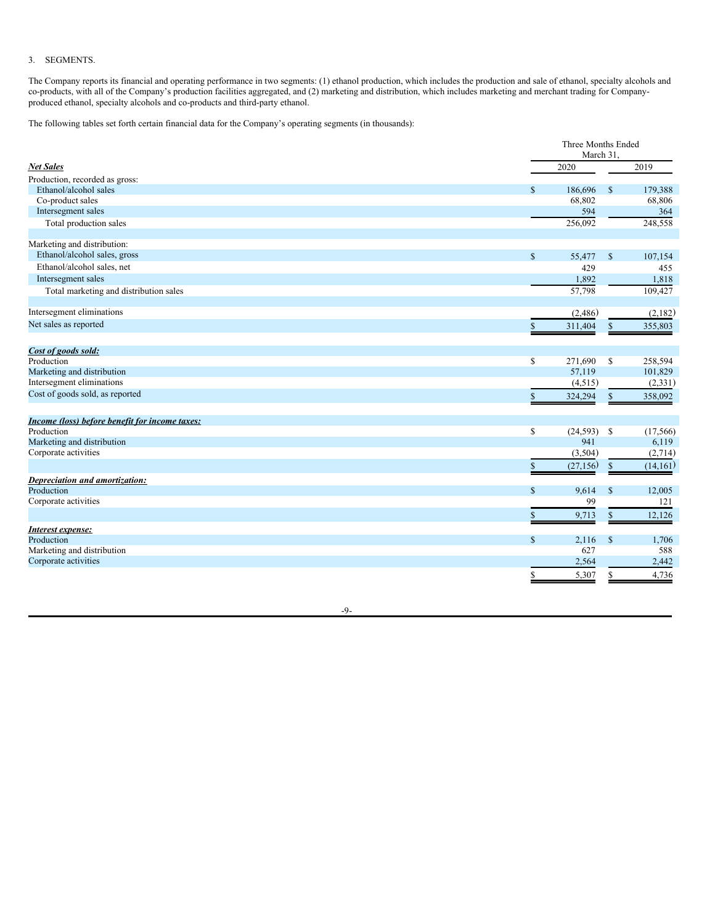# 3. SEGMENTS.

The Company reports its financial and operating performance in two segments: (1) ethanol production, which includes the production and sale of ethanol, specialty alcohols and co-products, with all of the Company's production facilities aggregated, and (2) marketing and distribution, which includes marketing and merchant trading for Companyproduced ethanol, specialty alcohols and co-products and third-party ethanol.

The following tables set forth certain financial data for the Company's operating segments (in thousands):

|                                                |              | Three Months Ended<br>March 31. |               |           |
|------------------------------------------------|--------------|---------------------------------|---------------|-----------|
| <b>Net Sales</b>                               |              | 2020                            |               | 2019      |
| Production, recorded as gross:                 |              |                                 |               |           |
| Ethanol/alcohol sales                          | $\mathbb{S}$ | 186,696                         | $\mathbb{S}$  | 179,388   |
| Co-product sales                               |              | 68,802                          |               | 68,806    |
| Intersegment sales                             |              | 594                             |               | 364       |
| Total production sales                         |              | 256,092                         |               | 248,558   |
| Marketing and distribution:                    |              |                                 |               |           |
| Ethanol/alcohol sales, gross                   | $\mathbb S$  | 55,477                          | $\mathbb{S}$  | 107,154   |
| Ethanol/alcohol sales, net                     |              | 429                             |               | 455       |
| Intersegment sales                             |              | 1,892                           |               | 1,818     |
| Total marketing and distribution sales         |              | 57,798                          |               | 109,427   |
| Intersegment eliminations                      |              | (2,486)                         |               | (2,182)   |
| Net sales as reported                          | \$           | 311,404                         | \$            | 355,803   |
| Cost of goods sold:                            |              |                                 |               |           |
| Production                                     | $\mathbb S$  | 271,690                         | $\mathbb{S}$  | 258,594   |
| Marketing and distribution                     |              | 57,119                          |               | 101,829   |
| Intersegment eliminations                      |              | (4,515)                         |               | (2, 331)  |
| Cost of goods sold, as reported                | $\mathbf S$  | 324,294                         | \$            | 358,092   |
|                                                |              |                                 |               |           |
| Income (loss) before benefit for income taxes: |              |                                 |               |           |
| Production                                     | $\mathbb{S}$ | $(24,593)$ \$                   |               | (17, 566) |
| Marketing and distribution                     |              | 941                             |               | 6,119     |
| Corporate activities                           |              | (3,504)                         |               | (2,714)   |
|                                                | $\mathbb{S}$ | (27, 156)                       | $\mathbb{S}$  | (14, 161) |
| Depreciation and amortization:                 |              |                                 |               |           |
| Production                                     | $\mathbb{S}$ | 9,614                           | $\mathbb{S}$  | 12,005    |
| Corporate activities                           |              | 99                              |               | 121       |
|                                                | \$           | 9,713                           | \$            | 12,126    |
| Interest expense:                              |              |                                 |               |           |
| Production                                     | $\mathbb S$  | 2,116                           | $\mathsf{\$}$ | 1,706     |
| Marketing and distribution                     |              | 627                             |               | 588       |
| Corporate activities                           |              | 2,564                           |               | 2,442     |
|                                                | S.           | 5,307                           | $\mathbb{S}$  | 4,736     |

-9-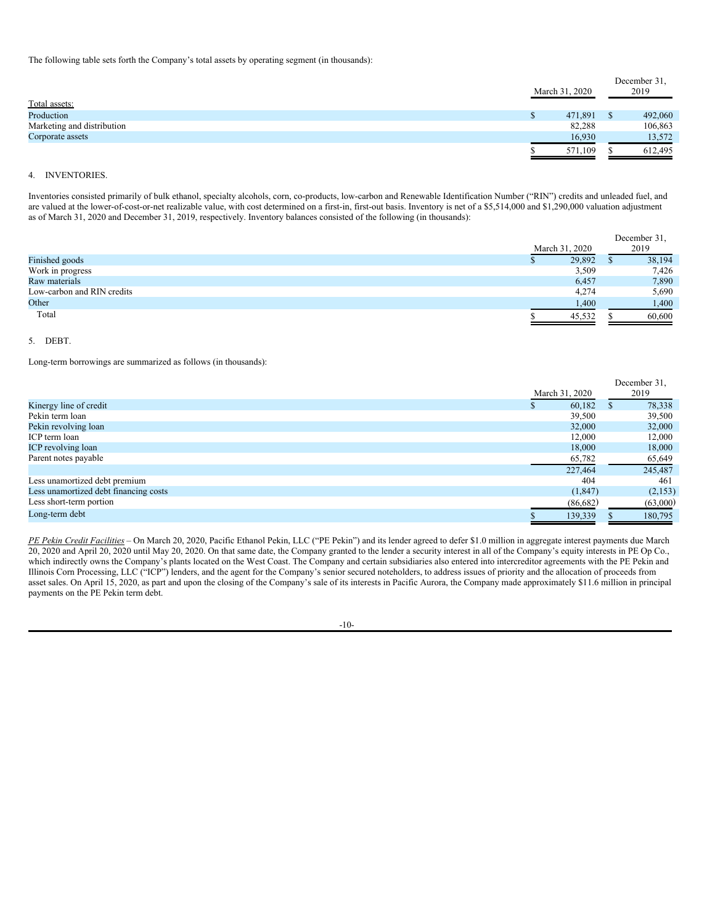The following table sets forth the Company's total assets by operating segment (in thousands):

| Total assets:              |    | March 31, 2020 | December 31,<br>2019 |
|----------------------------|----|----------------|----------------------|
| Production                 | S. | 471,891        | 492,060              |
| Marketing and distribution |    | 82,288         | 106,863              |
| Corporate assets           |    | 16,930         | 13,572               |
|                            |    | 571.109        | 612,495              |

## 4. INVENTORIES.

Inventories consisted primarily of bulk ethanol, specialty alcohols, corn, co-products, low-carbon and Renewable Identification Number ("RIN") credits and unleaded fuel, and are valued at the lower-of-cost-or-net realizable value, with cost determined on a first-in, first-out basis. Inventory is net of a \$5,514,000 and \$1,290,000 valuation adjustment as of March 31, 2020 and December 31, 2019, respectively. Inventory balances consisted of the following (in thousands):

|                            |                | December 31, |
|----------------------------|----------------|--------------|
|                            | March 31, 2020 | 2019         |
| Finished goods             | 29,892         | 38,194       |
| Work in progress           | 3,509          | 7,426        |
| Raw materials              | 6,457          | 7,890        |
| Low-carbon and RIN credits | 4,274          | 5,690        |
| Other                      | 1,400          | 1,400        |
| Total                      | 45,532         | 60,600       |

## 5. DEBT.

Long-term borrowings are summarized as follows (in thousands):

|                                       |                |   | December 31, |
|---------------------------------------|----------------|---|--------------|
|                                       | March 31, 2020 |   | 2019         |
| Kinergy line of credit                | 60,182         | ъ | 78,338       |
| Pekin term loan                       | 39,500         |   | 39,500       |
| Pekin revolving loan                  | 32,000         |   | 32,000       |
| ICP term loan                         | 12,000         |   | 12,000       |
| ICP revolving loan                    | 18,000         |   | 18,000       |
| Parent notes payable                  | 65,782         |   | 65,649       |
|                                       | 227,464        |   | 245,487      |
| Less unamortized debt premium         | 404            |   | 461          |
| Less unamortized debt financing costs | (1, 847)       |   | (2,153)      |
| Less short-term portion               | (86,682)       |   | (63,000)     |
| Long-term debt                        | 139,339        |   | 180,795      |

*PE Pekin Credit Facilities* – On March 20, 2020, Pacific Ethanol Pekin, LLC ("PE Pekin") and its lender agreed to defer \$1.0 million in aggregate interest payments due March 20, 2020 and April 20, 2020 until May 20, 2020. On that same date, the Company granted to the lender a security interest in all of the Company's equity interests in PE Op Co., which indirectly owns the Company's plants located on the West Coast. The Company and certain subsidiaries also entered into intercreditor agreements with the PE Pekin and Illinois Corn Processing, LLC ("ICP") lenders, and the agent for the Company's senior secured noteholders, to address issues of priority and the allocation of proceeds from asset sales. On April 15, 2020, as part and upon the closing of the Company's sale of its interests in Pacific Aurora, the Company made approximately \$11.6 million in principal payments on the PE Pekin term debt.

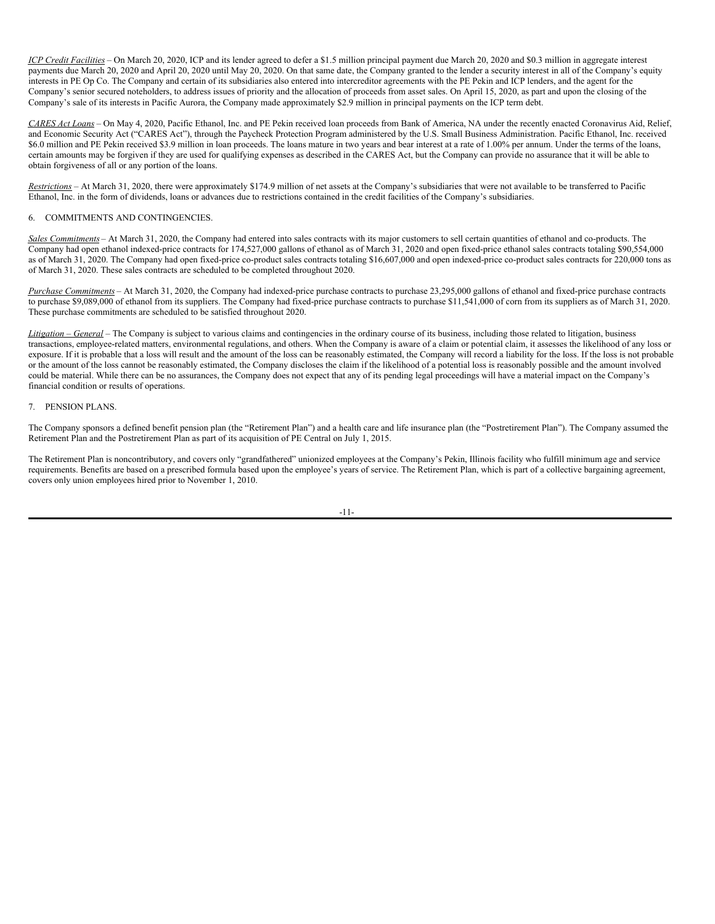*ICP Credit Facilities* – On March 20, 2020, ICP and its lender agreed to defer a \$1.5 million principal payment due March 20, 2020 and \$0.3 million in aggregate interest payments due March 20, 2020 and April 20, 2020 until May 20, 2020. On that same date, the Company granted to the lender a security interest in all of the Company's equity interests in PE Op Co. The Company and certain of its subsidiaries also entered into intercreditor agreements with the PE Pekin and ICP lenders, and the agent for the Company's senior secured noteholders, to address issues of priority and the allocation of proceeds from asset sales. On April 15, 2020, as part and upon the closing of the Company's sale of its interests in Pacific Aurora, the Company made approximately \$2.9 million in principal payments on the ICP term debt.

*CARES Act Loans* – On May 4, 2020, Pacific Ethanol, Inc. and PE Pekin received loan proceeds from Bank of America, NA under the recently enacted Coronavirus Aid, Relief, and Economic Security Act ("CARES Act"), through the Paycheck Protection Program administered by the U.S. Small Business Administration. Pacific Ethanol, Inc. received \$6.0 million and PE Pekin received \$3.9 million in loan proceeds. The loans mature in two years and bear interest at a rate of 1.00% per annum. Under the terms of the loans, certain amounts may be forgiven if they are used for qualifying expenses as described in the CARES Act, but the Company can provide no assurance that it will be able to obtain forgiveness of all or any portion of the loans.

*Restrictions* – At March 31, 2020, there were approximately \$174.9 million of net assets at the Company's subsidiaries that were not available to be transferred to Pacific Ethanol, Inc. in the form of dividends, loans or advances due to restrictions contained in the credit facilities of the Company's subsidiaries.

# 6. COMMITMENTS AND CONTINGENCIES.

*Sales Commitments* – At March 31, 2020, the Company had entered into sales contracts with its major customers to sell certain quantities of ethanol and co-products. The Company had open ethanol indexed-price contracts for 174,527,000 gallons of ethanol as of March 31, 2020 and open fixed-price ethanol sales contracts totaling \$90,554,000 as of March 31, 2020. The Company had open fixed-price co-product sales contracts totaling \$16,607,000 and open indexed-price co-product sales contracts for 220,000 tons as of March 31, 2020. These sales contracts are scheduled to be completed throughout 2020.

*Purchase Commitments* – At March 31, 2020, the Company had indexed-price purchase contracts to purchase 23,295,000 gallons of ethanol and fixed-price purchase contracts to purchase \$9,089,000 of ethanol from its suppliers. The Company had fixed-price purchase contracts to purchase \$11,541,000 of corn from its suppliers as of March 31, 2020. These purchase commitments are scheduled to be satisfied throughout 2020.

*Litigation* – *General* – The Company is subject to various claims and contingencies in the ordinary course of its business, including those related to litigation, business transactions, employee-related matters, environmental regulations, and others. When the Company is aware of a claim or potential claim, it assesses the likelihood of any loss or exposure. If it is probable that a loss will result and the amount of the loss can be reasonably estimated, the Company will record a liability for the loss. If the loss is not probable or the amount of the loss cannot be reasonably estimated, the Company discloses the claim if the likelihood of a potential loss is reasonably possible and the amount involved could be material. While there can be no assurances, the Company does not expect that any of its pending legal proceedings will have a material impact on the Company's financial condition or results of operations.

## 7. PENSION PLANS.

The Company sponsors a defined benefit pension plan (the "Retirement Plan") and a health care and life insurance plan (the "Postretirement Plan"). The Company assumed the Retirement Plan and the Postretirement Plan as part of its acquisition of PE Central on July 1, 2015.

The Retirement Plan is noncontributory, and covers only "grandfathered" unionized employees at the Company's Pekin, Illinois facility who fulfill minimum age and service requirements. Benefits are based on a prescribed formula based upon the employee's years of service. The Retirement Plan, which is part of a collective bargaining agreement, covers only union employees hired prior to November 1, 2010.

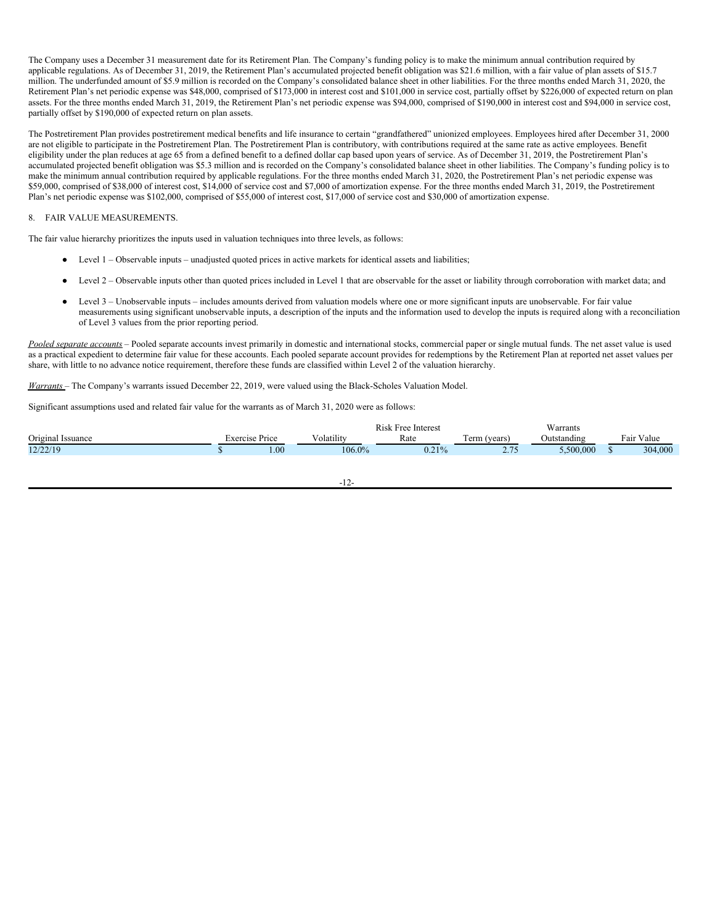The Company uses a December 31 measurement date for its Retirement Plan. The Company's funding policy is to make the minimum annual contribution required by applicable regulations. As of December 31, 2019, the Retirement Plan's accumulated projected benefit obligation was \$21.6 million, with a fair value of plan assets of \$15.7 million. The underfunded amount of \$5.9 million is recorded on the Company's consolidated balance sheet in other liabilities. For the three months ended March 31, 2020, the Retirement Plan's net periodic expense was \$48,000, comprised of \$173,000 in interest cost and \$101,000 in service cost, partially offset by \$226,000 of expected return on plan assets. For the three months ended March 31, 2019, the Retirement Plan's net periodic expense was \$94,000, comprised of \$190,000 in interest cost and \$94,000 in service cost, partially offset by \$190,000 of expected return on plan assets.

The Postretirement Plan provides postretirement medical benefits and life insurance to certain "grandfathered" unionized employees. Employees hired after December 31, 2000 are not eligible to participate in the Postretirement Plan. The Postretirement Plan is contributory, with contributions required at the same rate as active employees. Benefit eligibility under the plan reduces at age 65 from a defined benefit to a defined dollar cap based upon years of service. As of December 31, 2019, the Postretirement Plan's accumulated projected benefit obligation was \$5.3 million and is recorded on the Company's consolidated balance sheet in other liabilities. The Company's funding policy is to make the minimum annual contribution required by applicable regulations. For the three months ended March 31, 2020, the Postretirement Plan's net periodic expense was \$59,000, comprised of \$38,000 of interest cost, \$14,000 of service cost and \$7,000 of amortization expense. For the three months ended March 31, 2019, the Postretirement Plan's net periodic expense was \$102,000, comprised of \$55,000 of interest cost, \$17,000 of service cost and \$30,000 of amortization expense.

## 8. FAIR VALUE MEASUREMENTS.

The fair value hierarchy prioritizes the inputs used in valuation techniques into three levels, as follows:

- $\bullet$  Level 1 Observable inputs unadjusted quoted prices in active markets for identical assets and liabilities;
- Level 2 Observable inputs other than quoted prices included in Level 1 that are observable for the asset or liability through corroboration with market data; and
- Level 3 Unobservable inputs includes amounts derived from valuation models where one or more significant inputs are unobservable. For fair value measurements using significant unobservable inputs, a description of the inputs and the information used to develop the inputs is required along with a reconciliation of Level 3 values from the prior reporting period.

*Pooled separate accounts* – Pooled separate accounts invest primarily in domestic and international stocks, commercial paper or single mutual funds. The net asset value is used as a practical expedient to determine fair value for these accounts. Each pooled separate account provides for redemptions by the Retirement Plan at reported net asset values per share, with little to no advance notice requirement, therefore these funds are classified within Level 2 of the valuation hierarchy.

*Warrants* – The Company's warrants issued December 22, 2019, were valued using the Black-Scholes Valuation Model.

Significant assumptions used and related fair value for the warrants as of March 31, 2020 were as follows:

|                   |                |                     | <b>Rick</b><br>Free Interest |                          | Warrants    |            |
|-------------------|----------------|---------------------|------------------------------|--------------------------|-------------|------------|
| Original Issuance | Exercise Price | $  -$<br>∨olatılıty | Rate                         | m<br>. erm (*<br>(years) | Jutstandıng | Fair Value |
| 12/22/19          | 00.1           | 106.0%              | 0.210<br>U.∠I.               | 2.75                     | .500.000    | 304,000    |
|                   |                |                     |                              |                          |             |            |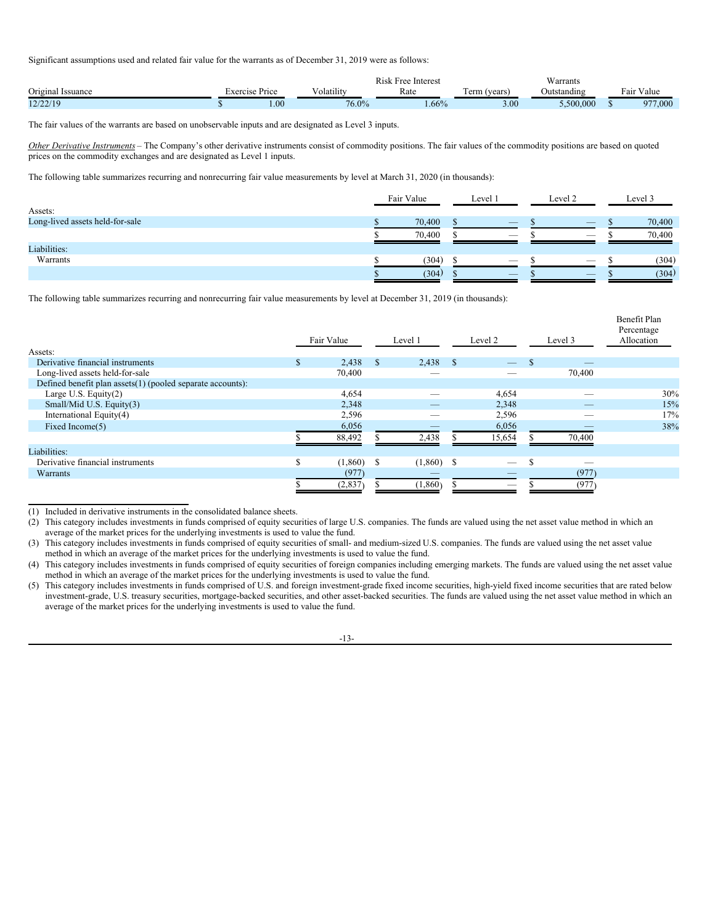Significant assumptions used and related fair value for the warrants as of December 31, 2019 were as follows:

|                     |           |       |                       | $\mathbf{r}$ .<br>Interes<br>×ree |                          | Warrants    |                       |
|---------------------|-----------|-------|-----------------------|-----------------------------------|--------------------------|-------------|-----------------------|
| Original<br>ssuance | i vercise | Price | $\cdots$<br>olatility | Rate                              | 1109r<br>. U 111<br>Cals | Jutstandıng | $ -$<br>value<br>*a11 |
| 12/22/10<br>12121   |           | 00.1  | $76.0\%$              | $0.66\%$                          | 3.00                     | .500.000    | 977,000               |

The fair values of the warrants are based on unobservable inputs and are designated as Level 3 inputs.

*Other Derivative Instruments* – The Company's other derivative instruments consist of commodity positions. The fair values of the commodity positions are based on quoted prices on the commodity exchanges and are designated as Level 1 inputs.

The following table summarizes recurring and nonrecurring fair value measurements by level at March 31, 2020 (in thousands):

|                                 | Fair Value | Level <sup>1</sup>              | Level <sub>2</sub>              | Level 3 |
|---------------------------------|------------|---------------------------------|---------------------------------|---------|
| Assets:                         |            |                                 |                                 |         |
| Long-lived assets held-for-sale | 70,400     | $\overline{\phantom{a}}$        | $\overline{\phantom{a}}$        | 70,400  |
|                                 | 70,400     | $\overline{\phantom{a}}$        | $\overline{\phantom{a}}$        | 70,400  |
| Liabilities:                    |            |                                 |                                 |         |
| Warrants                        | (304)      | $\hspace{0.1mm}-\hspace{0.1mm}$ | $\hspace{0.1mm}-\hspace{0.1mm}$ | (304)   |
|                                 | (304)      | $\overline{\phantom{a}}$        | $\overline{\phantom{a}}$        | (304)   |

The following table summarizes recurring and nonrecurring fair value measurements by level at December 31, 2019 (in thousands):

| Assets:                                                    |     | Fair Value |               | Level 1      | Level 2 |              | Level 3 | Benefit Plan<br>Percentage<br>Allocation |
|------------------------------------------------------------|-----|------------|---------------|--------------|---------|--------------|---------|------------------------------------------|
| Derivative financial instruments                           | ЭĐ. | 2,438      | $^{\circ}$    | $2,438$ \$   |         | $\mathbf{s}$ |         |                                          |
| Long-lived assets held-for-sale                            |     | 70,400     |               |              |         |              | 70,400  |                                          |
| Defined benefit plan assets(1) (pooled separate accounts): |     |            |               |              |         |              |         |                                          |
| Large U.S. Equity $(2)$                                    |     | 4,654      |               |              | 4,654   |              |         | 30%                                      |
| Small/Mid U.S. Equity(3)                                   |     | 2,348      |               |              | 2,348   |              |         | 15%                                      |
| International Equity(4)                                    |     | 2,596      |               | __           | 2,596   |              | --      | 17%                                      |
| Fixed Income(5)                                            |     | 6,056      |               |              | 6,056   |              |         | 38%                                      |
|                                                            |     | 88,492     |               | 2,438        | 15,654  |              | 70,400  |                                          |
| Liabilities:                                               |     |            |               |              |         |              |         |                                          |
| Derivative financial instruments                           | \$  | (1,860)    | <sup>\$</sup> | $(1,860)$ \$ | -       | \$           |         |                                          |
| Warrants                                                   |     | (977)      |               |              |         |              | (977)   |                                          |
|                                                            |     | (2,837)    |               | (1,860)      |         |              | (977)   |                                          |

<sup>(1)</sup> Included in derivative instruments in the consolidated balance sheets.

<sup>(2)</sup> This category includes investments in funds comprised of equity securities of large U.S. companies. The funds are valued using the net asset value method in which an average of the market prices for the underlying investments is used to value the fund.

<sup>(3)</sup> This category includes investments in funds comprised of equity securities of small- and medium-sized U.S. companies. The funds are valued using the net asset value method in which an average of the market prices for the underlying investments is used to value the fund.

<sup>(4)</sup> This category includes investments in funds comprised of equity securities of foreign companies including emerging markets. The funds are valued using the net asset value method in which an average of the market prices for the underlying investments is used to value the fund.

<sup>(5)</sup> This category includes investments in funds comprised of U.S. and foreign investment-grade fixed income securities, high-yield fixed income securities that are rated below investment-grade, U.S. treasury securities, mortgage-backed securities, and other asset-backed securities. The funds are valued using the net asset value method in which an average of the market prices for the underlying investments is used to value the fund.

<sup>-13-</sup>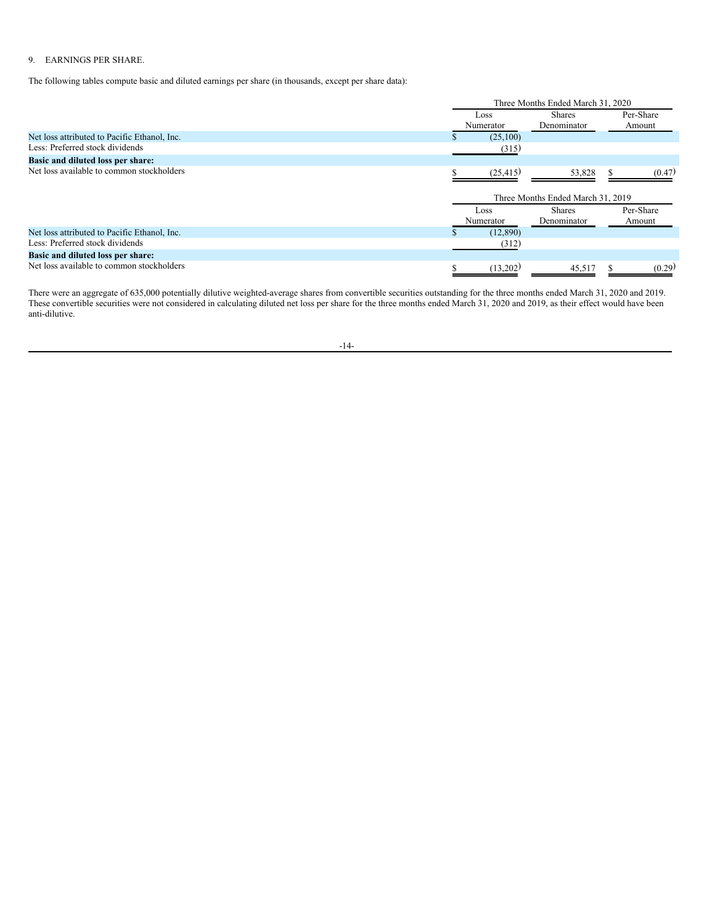# 9. EARNINGS PER SHARE.

The following tables compute basic and diluted earnings per share (in thousands, except per share data):

|                                              |                   | Three Months Ended March 31, 2020 |                     |
|----------------------------------------------|-------------------|-----------------------------------|---------------------|
|                                              | Loss<br>Numerator | <b>Shares</b><br>Denominator      | Per-Share<br>Amount |
| Net loss attributed to Pacific Ethanol, Inc. | (25,100)          |                                   |                     |
| Less: Preferred stock dividends              | (315)             |                                   |                     |
| Basic and diluted loss per share:            |                   |                                   |                     |
| Net loss available to common stockholders    | (25, 415)         | 53,828                            | (0.47)              |
|                                              |                   | Three Months Ended March 31, 2019 |                     |
|                                              | Loss              | <b>Shares</b>                     | Per-Share           |
|                                              | Numerator         | Denominator                       | Amount              |
| Net loss attributed to Pacific Ethanol, Inc. | (12,890)          |                                   |                     |
| Less: Preferred stock dividends              | (312)             |                                   |                     |
| Basic and diluted loss per share:            |                   |                                   |                     |
| Net loss available to common stockholders    | (13,202)          | 45,517                            | (0.29)              |

There were an aggregate of 635,000 potentially dilutive weighted-average shares from convertible securities outstanding for the three months ended March 31, 2020 and 2019. These convertible securities were not considered in calculating diluted net loss per share for the three months ended March 31, 2020 and 2019, as their effect would have been anti-dilutive.

-14-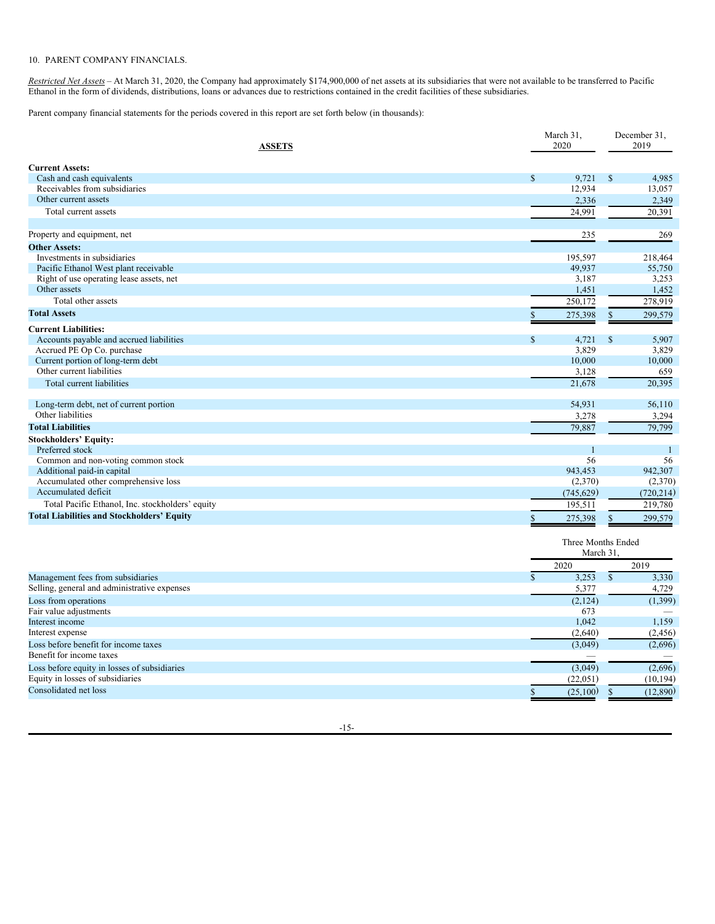## 10. PARENT COMPANY FINANCIALS.

*Restricted Net Assets –* At March 31, 2020, the Company had approximately \$174,900,000 of net assets at its subsidiaries that were not available to be transferred to Pacific Ethanol in the form of dividends, distributions, loans or advances due to restrictions contained in the credit facilities of these subsidiaries.

Parent company financial statements for the periods covered in this report are set forth below (in thousands):

| <b>ASSETS</b>                                     | March 31,<br>2020     | December 31,<br>2019  |  |  |
|---------------------------------------------------|-----------------------|-----------------------|--|--|
| <b>Current Assets:</b>                            |                       |                       |  |  |
| Cash and cash equivalents                         | $\mathbb{S}$<br>9,721 | $\mathbb{S}$<br>4,985 |  |  |
| Receivables from subsidiaries                     | 12,934                | 13,057                |  |  |
| Other current assets                              | 2,336                 | 2,349                 |  |  |
| Total current assets                              | 24,991                | 20,391                |  |  |
| Property and equipment, net                       | 235                   | 269                   |  |  |
| <b>Other Assets:</b>                              |                       |                       |  |  |
| Investments in subsidiaries                       | 195,597               | 218,464               |  |  |
| Pacific Ethanol West plant receivable             | 49,937                | 55,750                |  |  |
| Right of use operating lease assets, net          | 3,187                 | 3,253                 |  |  |
| Other assets                                      | 1,451                 | 1,452                 |  |  |
| Total other assets                                | 250,172               | 278,919               |  |  |
| <b>Total Assets</b>                               | 275,398               | 299,579<br>\$         |  |  |
| <b>Current Liabilities:</b>                       |                       |                       |  |  |
| Accounts payable and accrued liabilities          | $\mathbb{S}$<br>4,721 | $\mathbb{S}$<br>5,907 |  |  |
| Accrued PE Op Co. purchase                        | 3,829                 | 3,829                 |  |  |
| Current portion of long-term debt                 | 10,000                | 10,000                |  |  |
| Other current liabilities                         | 3,128                 | 659                   |  |  |
| Total current liabilities                         | 21,678                | 20,395                |  |  |
| Long-term debt, net of current portion            | 54,931                | 56,110                |  |  |
| Other liabilities                                 | 3,278                 | 3,294                 |  |  |
| <b>Total Liabilities</b>                          | 79,887                | 79,799                |  |  |
| <b>Stockholders' Equity:</b>                      |                       |                       |  |  |
| Preferred stock                                   | 1                     |                       |  |  |
| Common and non-voting common stock                | 56                    | 56                    |  |  |
| Additional paid-in capital                        | 943,453               | 942,307               |  |  |
| Accumulated other comprehensive loss              | (2,370)               | (2,370)               |  |  |
| Accumulated deficit                               | (745, 629)            | (720, 214)            |  |  |
| Total Pacific Ethanol, Inc. stockholders' equity  | 195,511               | 219,780               |  |  |
| <b>Total Liabilities and Stockholders' Equity</b> | 275,398<br>S          | 299,579<br>\$         |  |  |
|                                                   | March 31              | Three Months Ended    |  |  |
|                                                   | 2020                  | 2019                  |  |  |
| Management fees from subsidiaries                 | 3,253<br>$\mathbb{S}$ | $\mathbb{S}$<br>3,330 |  |  |
| Selling, general and administrative expenses      | 5,377                 | 4,729                 |  |  |
| Loss from operations                              | (2, 124)              | (1,399)               |  |  |
| Fair value adjustments                            | 673                   |                       |  |  |
| Interest income                                   | 1,042                 | 1,159                 |  |  |
| Interest expense                                  | (2,640)               | (2, 456)              |  |  |
| Loss before benefit for income taxes              | (3,049)               | (2,696)               |  |  |
| Benefit for income taxes                          |                       |                       |  |  |
|                                                   |                       |                       |  |  |

-15-

Loss before equity in losses of subsidiaries  $(3,049)$  (2,696) Equity in losses of subsidiaries (22,051) (10,194)<br>Consolidated net loss (22,051) (10,194)  $\frac{1}{2}$ Consolidated net loss (12,890)  $\frac{1}{2}$  (12,890)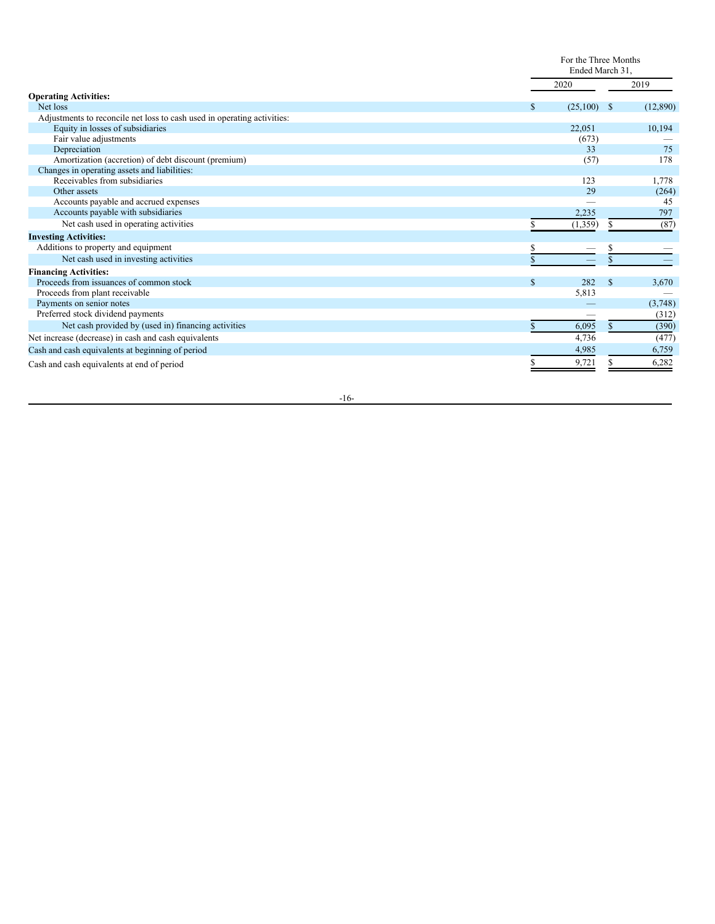|                                                                         |    | For the Three Months<br>Ended March 31. |              |          |
|-------------------------------------------------------------------------|----|-----------------------------------------|--------------|----------|
|                                                                         |    | 2020                                    |              | 2019     |
| <b>Operating Activities:</b>                                            |    |                                         |              |          |
| Net loss                                                                | S. | (25,100)                                | -S           | (12,890) |
| Adjustments to reconcile net loss to cash used in operating activities: |    |                                         |              |          |
| Equity in losses of subsidiaries                                        |    | 22,051                                  |              | 10,194   |
| Fair value adjustments                                                  |    | (673)                                   |              |          |
| Depreciation                                                            |    | 33                                      |              | 75       |
| Amortization (accretion) of debt discount (premium)                     |    | (57)                                    |              | 178      |
| Changes in operating assets and liabilities:                            |    |                                         |              |          |
| Receivables from subsidiaries                                           |    | 123                                     |              | 1,778    |
| Other assets                                                            |    | 29                                      |              | (264)    |
| Accounts payable and accrued expenses                                   |    |                                         |              | 45       |
| Accounts payable with subsidiaries                                      |    | 2,235                                   |              | 797      |
| Net cash used in operating activities                                   |    | (1,359)                                 | S.           | (87)     |
| <b>Investing Activities:</b>                                            |    |                                         |              |          |
| Additions to property and equipment                                     |    |                                         |              |          |
| Net cash used in investing activities                                   |    |                                         | \$           |          |
| <b>Financing Activities:</b>                                            |    |                                         |              |          |
| Proceeds from issuances of common stock                                 | S  | 282                                     | $\mathbb{S}$ | 3,670    |
| Proceeds from plant receivable                                          |    | 5,813                                   |              |          |
| Payments on senior notes                                                |    |                                         |              | (3,748)  |
| Preferred stock dividend payments                                       |    |                                         |              | (312)    |
| Net cash provided by (used in) financing activities                     |    | 6,095                                   | \$           | (390)    |
| Net increase (decrease) in cash and cash equivalents                    |    | 4,736                                   |              | (477)    |
| Cash and cash equivalents at beginning of period                        |    | 4,985                                   |              | 6,759    |
| Cash and cash equivalents at end of period                              |    | 9,721                                   |              | 6,282    |

 $-16-$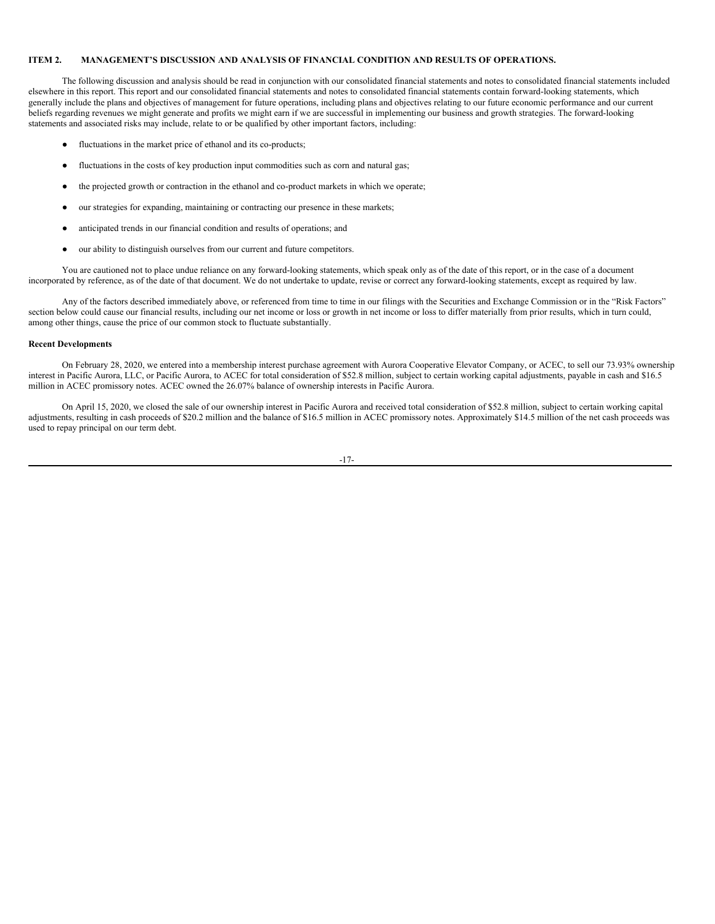## <span id="page-18-0"></span>**ITEM 2. MANAGEMENT'S DISCUSSION AND ANALYSIS OF FINANCIAL CONDITION AND RESULTS OF OPERATIONS.**

The following discussion and analysis should be read in conjunction with our consolidated financial statements and notes to consolidated financial statements included elsewhere in this report. This report and our consolidated financial statements and notes to consolidated financial statements contain forward-looking statements, which generally include the plans and objectives of management for future operations, including plans and objectives relating to our future economic performance and our current beliefs regarding revenues we might generate and profits we might earn if we are successful in implementing our business and growth strategies. The forward-looking statements and associated risks may include, relate to or be qualified by other important factors, including:

- fluctuations in the market price of ethanol and its co-products;
- fluctuations in the costs of key production input commodities such as corn and natural gas;
- the projected growth or contraction in the ethanol and co-product markets in which we operate;
- our strategies for expanding, maintaining or contracting our presence in these markets;
- anticipated trends in our financial condition and results of operations; and
- our ability to distinguish ourselves from our current and future competitors.

You are cautioned not to place undue reliance on any forward-looking statements, which speak only as of the date of this report, or in the case of a document incorporated by reference, as of the date of that document. We do not undertake to update, revise or correct any forward-looking statements, except as required by law.

Any of the factors described immediately above, or referenced from time to time in our filings with the Securities and Exchange Commission or in the "Risk Factors" section below could cause our financial results, including our net income or loss or growth in net income or loss to differ materially from prior results, which in turn could, among other things, cause the price of our common stock to fluctuate substantially.

#### **Recent Developments**

On February 28, 2020, we entered into a membership interest purchase agreement with Aurora Cooperative Elevator Company, or ACEC, to sell our 73.93% ownership interest in Pacific Aurora, LLC, or Pacific Aurora, to ACEC for total consideration of \$52.8 million, subject to certain working capital adjustments, payable in cash and \$16.5 million in ACEC promissory notes. ACEC owned the 26.07% balance of ownership interests in Pacific Aurora.

On April 15, 2020, we closed the sale of our ownership interest in Pacific Aurora and received total consideration of \$52.8 million, subject to certain working capital adjustments, resulting in cash proceeds of \$20.2 million and the balance of \$16.5 million in ACEC promissory notes. Approximately \$14.5 million of the net cash proceeds was used to repay principal on our term debt.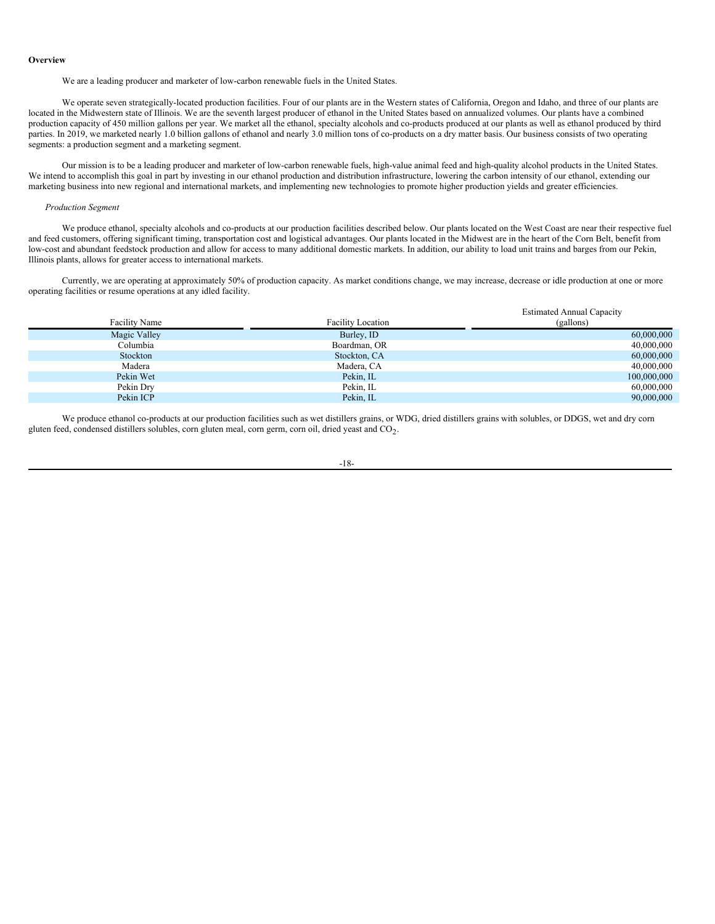#### **Overview**

We are a leading producer and marketer of low-carbon renewable fuels in the United States.

We operate seven strategically-located production facilities. Four of our plants are in the Western states of California, Oregon and Idaho, and three of our plants are located in the Midwestern state of Illinois. We are the seventh largest producer of ethanol in the United States based on annualized volumes. Our plants have a combined production capacity of 450 million gallons per year. We market all the ethanol, specialty alcohols and co-products produced at our plants as well as ethanol produced by third parties. In 2019, we marketed nearly 1.0 billion gallons of ethanol and nearly 3.0 million tons of co-products on a dry matter basis. Our business consists of two operating segments: a production segment and a marketing segment.

Our mission is to be a leading producer and marketer of low-carbon renewable fuels, high-value animal feed and high-quality alcohol products in the United States. We intend to accomplish this goal in part by investing in our ethanol production and distribution infrastructure, lowering the carbon intensity of our ethanol, extending our marketing business into new regional and international markets, and implementing new technologies to promote higher production yields and greater efficiencies.

### *Production Segment*

We produce ethanol, specialty alcohols and co-products at our production facilities described below. Our plants located on the West Coast are near their respective fuel and feed customers, offering significant timing, transportation cost and logistical advantages. Our plants located in the Midwest are in the heart of the Corn Belt, benefit from low-cost and abundant feedstock production and allow for access to many additional domestic markets. In addition, our ability to load unit trains and barges from our Pekin, Illinois plants, allows for greater access to international markets.

Currently, we are operating at approximately 50% of production capacity. As market conditions change, we may increase, decrease or idle production at one or more operating facilities or resume operations at any idled facility.

| <b>Facility Name</b> | <b>Facility Location</b> | <b>Estimated Annual Capacity</b><br>(gallons) |
|----------------------|--------------------------|-----------------------------------------------|
| Magic Valley         | Burley, ID               | 60,000,000                                    |
| Columbia             | Boardman, OR             | 40,000,000                                    |
| Stockton             | Stockton, CA             | 60,000,000                                    |
| Madera               | Madera, CA               | 40,000,000                                    |
| Pekin Wet            | Pekin, IL                | 100,000,000                                   |
| Pekin Dry            | Pekin, IL                | 60,000,000                                    |
| Pekin ICP            | Pekin, IL                | 90,000,000                                    |

We produce ethanol co-products at our production facilities such as wet distillers grains, or WDG, dried distillers grains with solubles, or DDGS, wet and dry corn gluten feed, condensed distillers solubles, corn gluten meal, corn germ, corn oil, dried yeast and  $CO_2$ .

-18-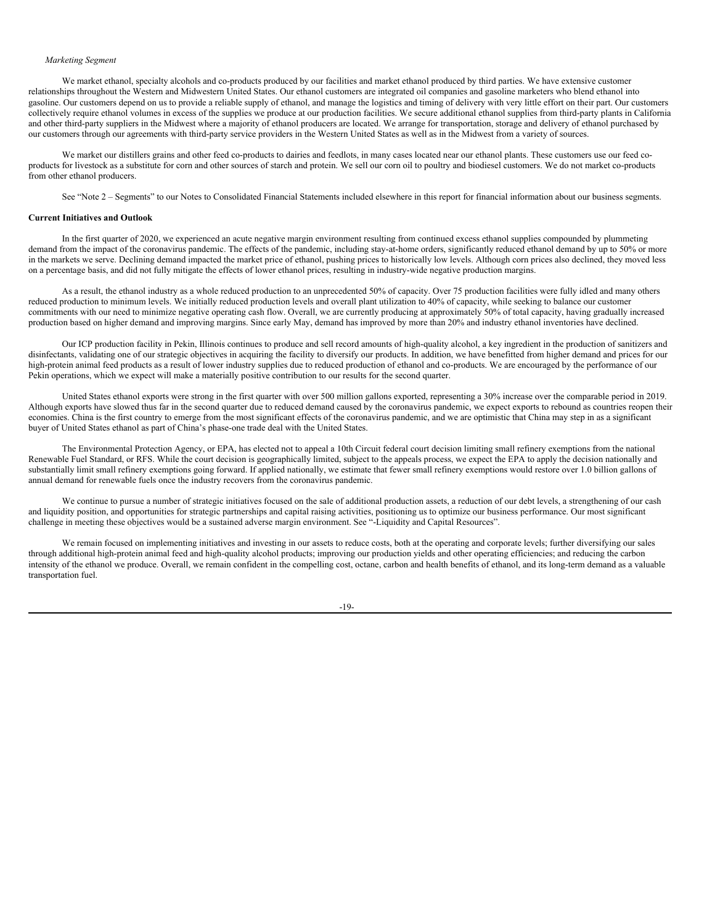#### *Marketing Segment*

We market ethanol, specialty alcohols and co-products produced by our facilities and market ethanol produced by third parties. We have extensive customer relationships throughout the Western and Midwestern United States. Our ethanol customers are integrated oil companies and gasoline marketers who blend ethanol into gasoline. Our customers depend on us to provide a reliable supply of ethanol, and manage the logistics and timing of delivery with very little effort on their part. Our customers collectively require ethanol volumes in excess of the supplies we produce at our production facilities. We secure additional ethanol supplies from third-party plants in California and other third-party suppliers in the Midwest where a majority of ethanol producers are located. We arrange for transportation, storage and delivery of ethanol purchased by our customers through our agreements with third-party service providers in the Western United States as well as in the Midwest from a variety of sources.

We market our distillers grains and other feed co-products to dairies and feedlots, in many cases located near our ethanol plants. These customers use our feed coproducts for livestock as a substitute for corn and other sources of starch and protein. We sell our corn oil to poultry and biodiesel customers. We do not market co-products from other ethanol producers.

See "Note 2 – Segments" to our Notes to Consolidated Financial Statements included elsewhere in this report for financial information about our business segments.

## **Current Initiatives and Outlook**

In the first quarter of 2020, we experienced an acute negative margin environment resulting from continued excess ethanol supplies compounded by plummeting demand from the impact of the coronavirus pandemic. The effects of the pandemic, including stay-at-home orders, significantly reduced ethanol demand by up to 50% or more in the markets we serve. Declining demand impacted the market price of ethanol, pushing prices to historically low levels. Although corn prices also declined, they moved less on a percentage basis, and did not fully mitigate the effects of lower ethanol prices, resulting in industry-wide negative production margins.

As a result, the ethanol industry as a whole reduced production to an unprecedented 50% of capacity. Over 75 production facilities were fully idled and many others reduced production to minimum levels. We initially reduced production levels and overall plant utilization to 40% of capacity, while seeking to balance our customer commitments with our need to minimize negative operating cash flow. Overall, we are currently producing at approximately 50% of total capacity, having gradually increased production based on higher demand and improving margins. Since early May, demand has improved by more than 20% and industry ethanol inventories have declined.

Our ICP production facility in Pekin, Illinois continues to produce and sell record amounts of high-quality alcohol, a key ingredient in the production of sanitizers and disinfectants, validating one of our strategic objectives in acquiring the facility to diversify our products. In addition, we have benefitted from higher demand and prices for our high-protein animal feed products as a result of lower industry supplies due to reduced production of ethanol and co-products. We are encouraged by the performance of our Pekin operations, which we expect will make a materially positive contribution to our results for the second quarter.

United States ethanol exports were strong in the first quarter with over 500 million gallons exported, representing a 30% increase over the comparable period in 2019. Although exports have slowed thus far in the second quarter due to reduced demand caused by the coronavirus pandemic, we expect exports to rebound as countries reopen their economies. China is the first country to emerge from the most significant effects of the coronavirus pandemic, and we are optimistic that China may step in as a significant buyer of United States ethanol as part of China's phase-one trade deal with the United States.

The Environmental Protection Agency, or EPA, has elected not to appeal a 10th Circuit federal court decision limiting small refinery exemptions from the national Renewable Fuel Standard, or RFS. While the court decision is geographically limited, subject to the appeals process, we expect the EPA to apply the decision nationally and substantially limit small refinery exemptions going forward. If applied nationally, we estimate that fewer small refinery exemptions would restore over 1.0 billion gallons of annual demand for renewable fuels once the industry recovers from the coronavirus pandemic.

We continue to pursue a number of strategic initiatives focused on the sale of additional production assets, a reduction of our debt levels, a strengthening of our cash and liquidity position, and opportunities for strategic partnerships and capital raising activities, positioning us to optimize our business performance. Our most significant challenge in meeting these objectives would be a sustained adverse margin environment. See "-Liquidity and Capital Resources".

We remain focused on implementing initiatives and investing in our assets to reduce costs, both at the operating and corporate levels; further diversifying our sales through additional high-protein animal feed and high-quality alcohol products; improving our production yields and other operating efficiencies; and reducing the carbon intensity of the ethanol we produce. Overall, we remain confident in the compelling cost, octane, carbon and health benefits of ethanol, and its long-term demand as a valuable transportation fuel.

-19-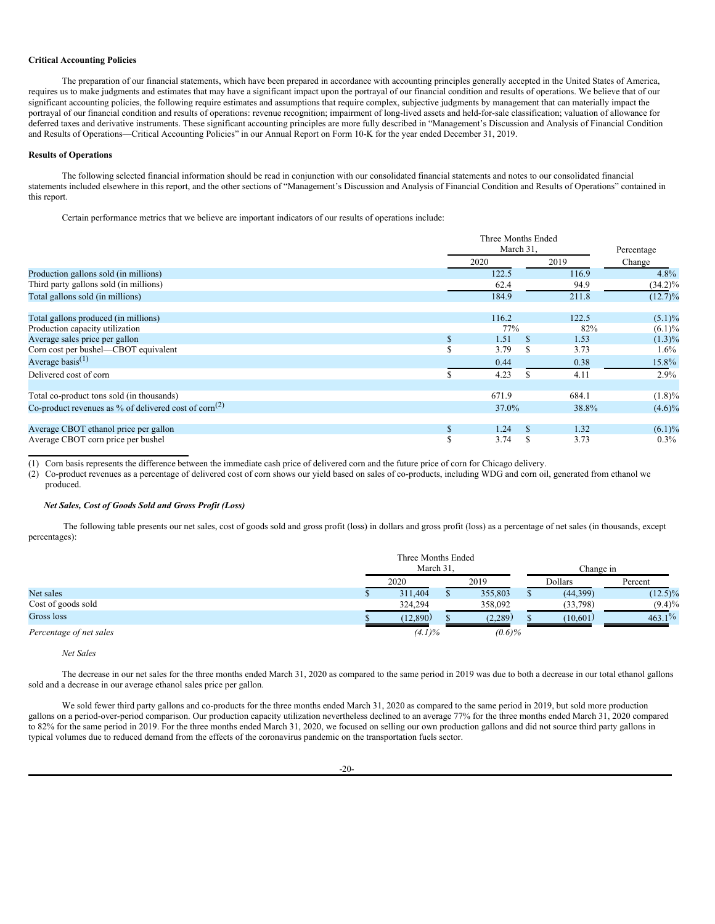#### **Critical Accounting Policies**

The preparation of our financial statements, which have been prepared in accordance with accounting principles generally accepted in the United States of America, requires us to make judgments and estimates that may have a significant impact upon the portrayal of our financial condition and results of operations. We believe that of our significant accounting policies, the following require estimates and assumptions that require complex, subjective judgments by management that can materially impact the portrayal of our financial condition and results of operations: revenue recognition; impairment of long-lived assets and held-for-sale classification; valuation of allowance for deferred taxes and derivative instruments. These significant accounting principles are more fully described in "Management's Discussion and Analysis of Financial Condition and Results of Operations—Critical Accounting Policies" in our Annual Report on Form 10-K for the year ended December 31, 2019.

# **Results of Operations**

The following selected financial information should be read in conjunction with our consolidated financial statements and notes to our consolidated financial statements included elsewhere in this report, and the other sections of "Management's Discussion and Analysis of Financial Condition and Results of Operations" contained in this report.

Certain performance metrics that we believe are important indicators of our results of operations include:

|                                                                      |              | Three Months Ended |     |       |            |  |
|----------------------------------------------------------------------|--------------|--------------------|-----|-------|------------|--|
|                                                                      |              | March 31.          |     |       | Percentage |  |
|                                                                      |              | 2020               |     | 2019  | Change     |  |
| Production gallons sold (in millions)                                |              | 122.5              |     | 116.9 | $4.8\%$    |  |
| Third party gallons sold (in millions)                               |              | 62.4               |     | 94.9  | $(34.2)\%$ |  |
| Total gallons sold (in millions)                                     |              | 184.9              |     | 211.8 | $(12.7)\%$ |  |
| Total gallons produced (in millions)                                 |              | 116.2              |     | 122.5 | $(5.1)\%$  |  |
| Production capacity utilization                                      |              | 77%                |     | 82%   | $(6.1)\%$  |  |
| Average sales price per gallon                                       | \$           | 1.51               | \$. | 1.53  | $(1.3)\%$  |  |
| Corn cost per bushel—CBOT equivalent                                 | S            | 3.79               | S   | 3.73  | 1.6%       |  |
| Average basis $(1)$                                                  |              | 0.44               |     | 0.38  | 15.8%      |  |
| Delivered cost of corn                                               |              | 4.23               |     | 4.11  | 2.9%       |  |
| Total co-product tons sold (in thousands)                            |              | 671.9              |     | 684.1 | $(1.8)\%$  |  |
| Co-product revenues as $\%$ of delivered cost of corn <sup>(2)</sup> |              | 37.0%              |     | 38.8% | $(4.6)\%$  |  |
| Average CBOT ethanol price per gallon                                | $\mathbf{s}$ | 1.24               | \$. | 1.32  | $(6.1)\%$  |  |
| Average CBOT corn price per bushel                                   | ¢<br>ъ       | 3.74               |     | 3.73  | $0.3\%$    |  |

(1) Corn basis represents the difference between the immediate cash price of delivered corn and the future price of corn for Chicago delivery.

(2) Co-product revenues as a percentage of delivered cost of corn shows our yield based on sales of co-products, including WDG and corn oil, generated from ethanol we produced.

# *Net Sales, Cost of Goods Sold and Gross Profit (Loss)*

The following table presents our net sales, cost of goods sold and gross profit (loss) in dollars and gross profit (loss) as a percentage of net sales (in thousands, except percentages):

|                         |              | Three Months Ended<br>March 31. |  |           | Change in |            |  |
|-------------------------|--------------|---------------------------------|--|-----------|-----------|------------|--|
|                         | 2020<br>2019 |                                 |  | Dollars   | Percent   |            |  |
| Net sales               |              | 311,404                         |  | 355,803   | (44,399)  | $(12.5)\%$ |  |
| Cost of goods sold      |              | 324,294                         |  | 358,092   | (33, 798) | $(9.4)\%$  |  |
| Gross loss              |              | (12,890)                        |  | (2,289)   | (10,601)  | $463.1\%$  |  |
| Percentage of net sales |              | $(4.1)\%$                       |  | $(0.6)\%$ |           |            |  |

*Net Sales*

The decrease in our net sales for the three months ended March 31, 2020 as compared to the same period in 2019 was due to both a decrease in our total ethanol gallons sold and a decrease in our average ethanol sales price per gallon.

We sold fewer third party gallons and co-products for the three months ended March 31, 2020 as compared to the same period in 2019, but sold more production gallons on a period-over-period comparison. Our production capacity utilization nevertheless declined to an average 77% for the three months ended March 31, 2020 compared to 82% for the same period in 2019. For the three months ended March 31, 2020, we focused on selling our own production gallons and did not source third party gallons in typical volumes due to reduced demand from the effects of the coronavirus pandemic on the transportation fuels sector.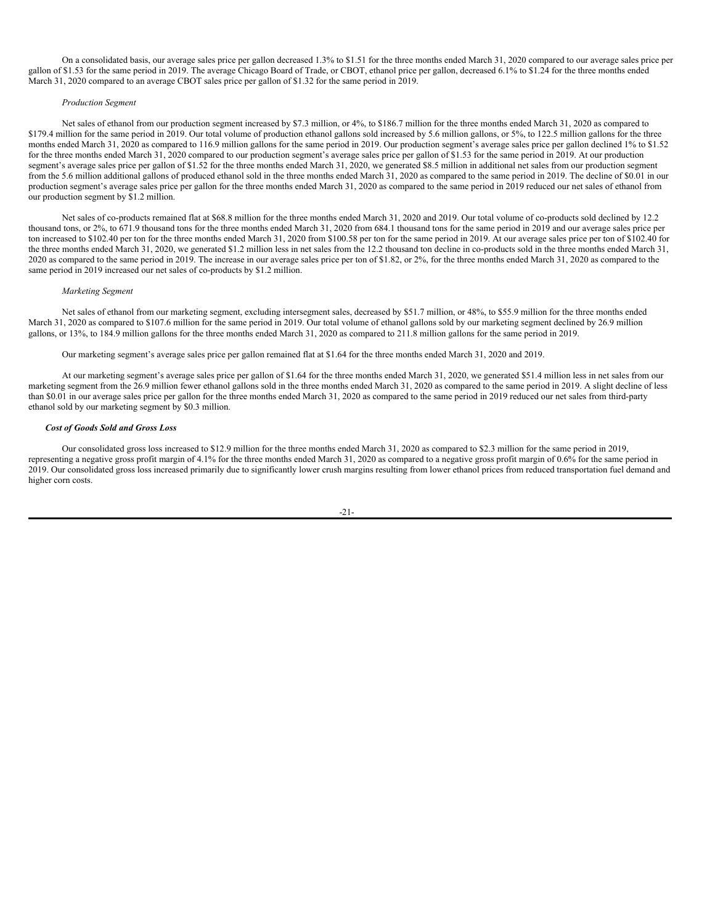On a consolidated basis, our average sales price per gallon decreased 1.3% to \$1.51 for the three months ended March 31, 2020 compared to our average sales price per gallon of \$1.53 for the same period in 2019. The average Chicago Board of Trade, or CBOT, ethanol price per gallon, decreased 6.1% to \$1.24 for the three months ended March 31, 2020 compared to an average CBOT sales price per gallon of \$1.32 for the same period in 2019.

### *Production Segment*

Net sales of ethanol from our production segment increased by \$7.3 million, or 4%, to \$186.7 million for the three months ended March 31, 2020 as compared to \$179.4 million for the same period in 2019. Our total volume of production ethanol gallons sold increased by 5.6 million gallons, or 5%, to 122.5 million gallons for the three months ended March 31, 2020 as compared to 116.9 million gallons for the same period in 2019. Our production segment's average sales price per gallon declined 1% to \$1.52 for the three months ended March 31, 2020 compared to our production segment's average sales price per gallon of \$1.53 for the same period in 2019. At our production segment's average sales price per gallon of \$1.52 for the three months ended March 31, 2020, we generated \$8.5 million in additional net sales from our production segment from the 5.6 million additional gallons of produced ethanol sold in the three months ended March 31, 2020 as compared to the same period in 2019. The decline of \$0.01 in our production segment's average sales price per gallon for the three months ended March 31, 2020 as compared to the same period in 2019 reduced our net sales of ethanol from our production segment by \$1.2 million.

Net sales of co-products remained flat at \$68.8 million for the three months ended March 31, 2020 and 2019. Our total volume of co-products sold declined by 12.2 thousand tons, or 2%, to 671.9 thousand tons for the three months ended March 31, 2020 from 684.1 thousand tons for the same period in 2019 and our average sales price per ton increased to \$102.40 per ton for the three months ended March 31, 2020 from \$100.58 per ton for the same period in 2019. At our average sales price per ton of \$102.40 for the three months ended March 31, 2020, we generated \$1.2 million less in net sales from the 12.2 thousand ton decline in co-products sold in the three months ended March 31, 2020 as compared to the same period in 2019. The increase in our average sales price per ton of \$1.82, or 2%, for the three months ended March 31, 2020 as compared to the same period in 2019 increased our net sales of co-products by \$1.2 million.

#### *Marketing Segment*

Net sales of ethanol from our marketing segment, excluding intersegment sales, decreased by \$51.7 million, or 48%, to \$55.9 million for the three months ended March 31, 2020 as compared to \$107.6 million for the same period in 2019. Our total volume of ethanol gallons sold by our marketing segment declined by 26.9 million gallons, or 13%, to 184.9 million gallons for the three months ended March 31, 2020 as compared to 211.8 million gallons for the same period in 2019.

Our marketing segment's average sales price per gallon remained flat at \$1.64 for the three months ended March 31, 2020 and 2019.

At our marketing segment's average sales price per gallon of \$1.64 for the three months ended March 31, 2020, we generated \$51.4 million less in net sales from our marketing segment from the 26.9 million fewer ethanol gallons sold in the three months ended March 31, 2020 as compared to the same period in 2019. A slight decline of less than \$0.01 in our average sales price per gallon for the three months ended March 31, 2020 as compared to the same period in 2019 reduced our net sales from third-party ethanol sold by our marketing segment by \$0.3 million.

## *Cost of Goods Sold and Gross Loss*

Our consolidated gross loss increased to \$12.9 million for the three months ended March 31, 2020 as compared to \$2.3 million for the same period in 2019, representing a negative gross profit margin of 4.1% for the three months ended March 31, 2020 as compared to a negative gross profit margin of 0.6% for the same period in 2019. Our consolidated gross loss increased primarily due to significantly lower crush margins resulting from lower ethanol prices from reduced transportation fuel demand and higher corn costs.

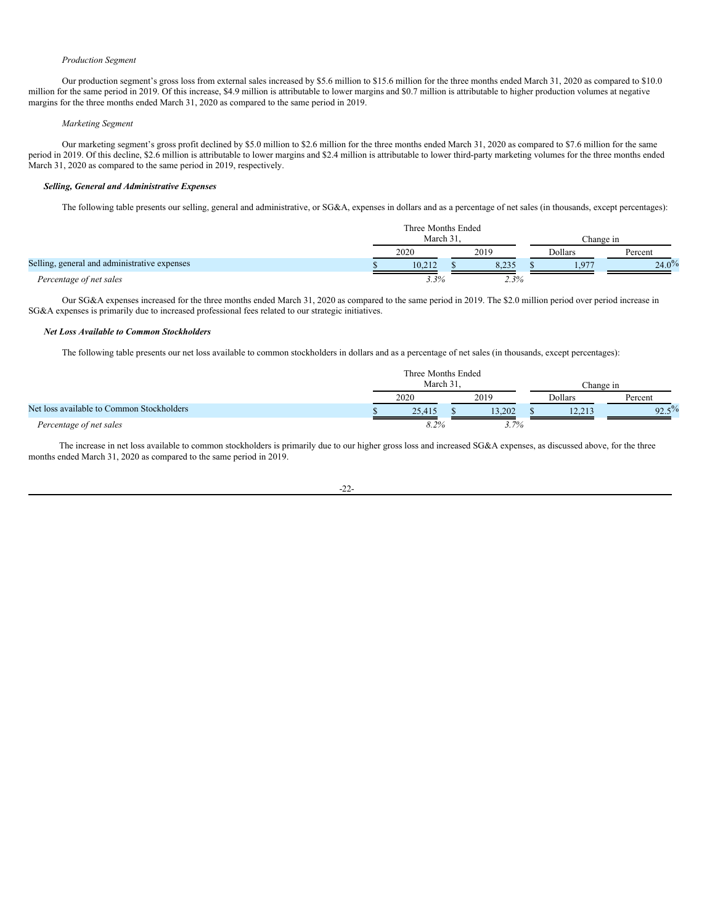### *Production Segment*

Our production segment's gross loss from external sales increased by \$5.6 million to \$15.6 million for the three months ended March 31, 2020 as compared to \$10.0 million for the same period in 2019. Of this increase, \$4.9 million is attributable to lower margins and \$0.7 million is attributable to higher production volumes at negative margins for the three months ended March 31, 2020 as compared to the same period in 2019.

## *Marketing Segment*

Our marketing segment's gross profit declined by \$5.0 million to \$2.6 million for the three months ended March 31, 2020 as compared to \$7.6 million for the same period in 2019. Of this decline, \$2.6 million is attributable to lower margins and \$2.4 million is attributable to lower third-party marketing volumes for the three months ended March 31, 2020 as compared to the same period in 2019, respectively.

## *Selling, General and Administrative Expenses*

The following table presents our selling, general and administrative, or SG&A, expenses in dollars and as a percentage of net sales (in thousands, except percentages):

|                                              | Three Months Ended |  |       |  |           |          |  |  |
|----------------------------------------------|--------------------|--|-------|--|-----------|----------|--|--|
|                                              | March 31           |  |       |  | Change in |          |  |  |
|                                              | 2020               |  | 2019  |  | Dollars   | Percent  |  |  |
| Selling, general and administrative expenses | 10.212             |  | 8,235 |  | Q7        | $24.0\%$ |  |  |
| Percentage of net sales                      | 3.3%               |  | 2.3%  |  |           |          |  |  |

Our SG&A expenses increased for the three months ended March 31, 2020 as compared to the same period in 2019. The \$2.0 million period over period increase in SG&A expenses is primarily due to increased professional fees related to our strategic initiatives.

## *Net Loss Available to Common Stockholders*

The following table presents our net loss available to common stockholders in dollars and as a percentage of net sales (in thousands, except percentages):

|                                           | Three Months Ended<br>March 3<br>Thange in |  |         |         |        |          |
|-------------------------------------------|--------------------------------------------|--|---------|---------|--------|----------|
|                                           | 2020                                       |  | 2019    | Dollars |        | Percent  |
| Net loss available to Common Stockholders | 25.415                                     |  | 13.202  |         | 12, 21 | $92.5\%$ |
| Percentage of net sales                   | 8.2%                                       |  | $3.7\%$ |         |        |          |

The increase in net loss available to common stockholders is primarily due to our higher gross loss and increased SG&A expenses, as discussed above, for the three months ended March 31, 2020 as compared to the same period in 2019.

## -22-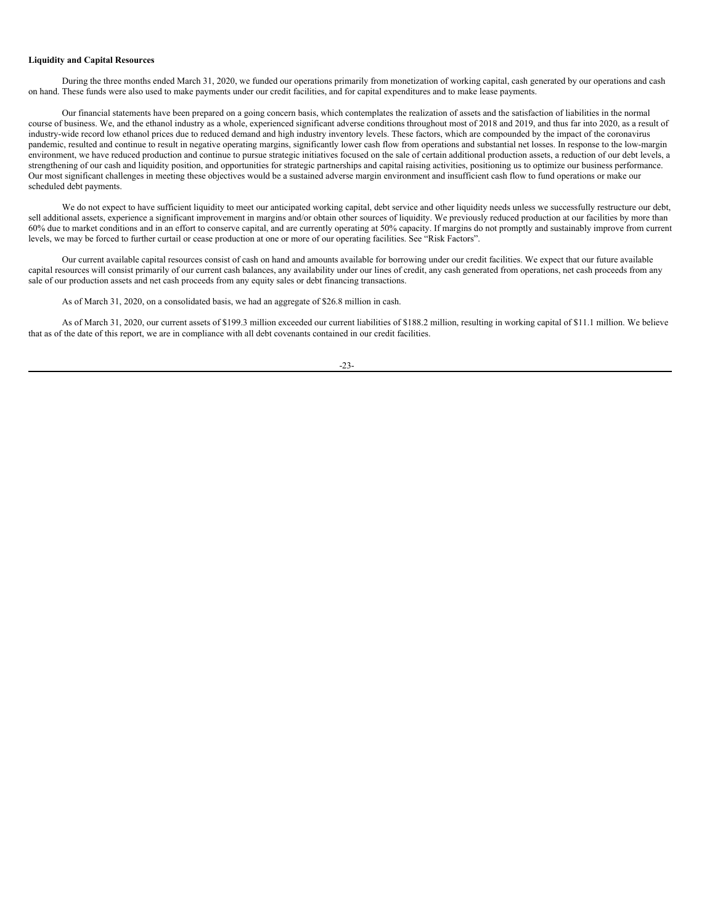## **Liquidity and Capital Resources**

During the three months ended March 31, 2020, we funded our operations primarily from monetization of working capital, cash generated by our operations and cash on hand. These funds were also used to make payments under our credit facilities, and for capital expenditures and to make lease payments.

Our financial statements have been prepared on a going concern basis, which contemplates the realization of assets and the satisfaction of liabilities in the normal course of business. We, and the ethanol industry as a whole, experienced significant adverse conditions throughout most of 2018 and 2019, and thus far into 2020, as a result of industry-wide record low ethanol prices due to reduced demand and high industry inventory levels. These factors, which are compounded by the impact of the coronavirus pandemic, resulted and continue to result in negative operating margins, significantly lower cash flow from operations and substantial net losses. In response to the low-margin environment, we have reduced production and continue to pursue strategic initiatives focused on the sale of certain additional production assets, a reduction of our debt levels, a strengthening of our cash and liquidity position, and opportunities for strategic partnerships and capital raising activities, positioning us to optimize our business performance. Our most significant challenges in meeting these objectives would be a sustained adverse margin environment and insufficient cash flow to fund operations or make our scheduled debt payments.

We do not expect to have sufficient liquidity to meet our anticipated working capital, debt service and other liquidity needs unless we successfully restructure our debt, sell additional assets, experience a significant improvement in margins and/or obtain other sources of liquidity. We previously reduced production at our facilities by more than 60% due to market conditions and in an effort to conserve capital, and are currently operating at 50% capacity. If margins do not promptly and sustainably improve from current levels, we may be forced to further curtail or cease production at one or more of our operating facilities. See "Risk Factors".

Our current available capital resources consist of cash on hand and amounts available for borrowing under our credit facilities. We expect that our future available capital resources will consist primarily of our current cash balances, any availability under our lines of credit, any cash generated from operations, net cash proceeds from any sale of our production assets and net cash proceeds from any equity sales or debt financing transactions.

As of March 31, 2020, on a consolidated basis, we had an aggregate of \$26.8 million in cash.

As of March 31, 2020, our current assets of \$199.3 million exceeded our current liabilities of \$188.2 million, resulting in working capital of \$11.1 million. We believe that as of the date of this report, we are in compliance with all debt covenants contained in our credit facilities.

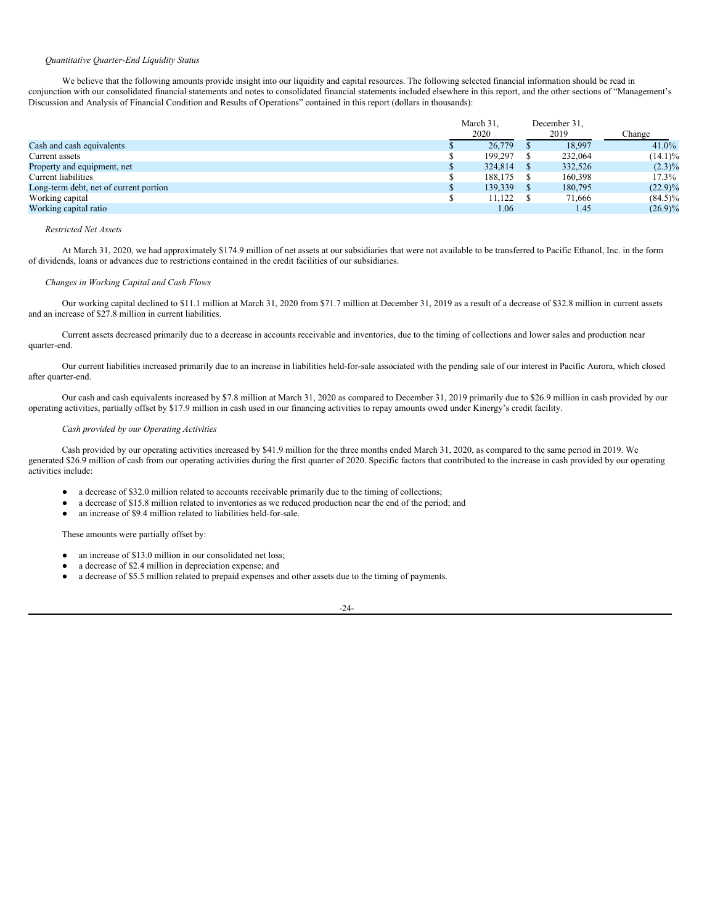### *Quantitative Quarter-End Liquidity Status*

We believe that the following amounts provide insight into our liquidity and capital resources. The following selected financial information should be read in conjunction with our consolidated financial statements and notes to consolidated financial statements included elsewhere in this report, and the other sections of "Management's Discussion and Analysis of Financial Condition and Results of Operations" contained in this report (dollars in thousands):

|                                        | March 31,<br>2020 | December 31,<br>2019 | Change     |
|----------------------------------------|-------------------|----------------------|------------|
| Cash and cash equivalents              | 26,779            | 18.997               | $41.0\%$   |
| Current assets                         | 199.297           | 232,064              | $(14.1)\%$ |
| Property and equipment, net            | 324,814           | 332,526              | $(2.3)\%$  |
| Current liabilities                    | 188.175           | 160.398              | $17.3\%$   |
| Long-term debt, net of current portion | 139,339           | 180,795              | $(22.9)\%$ |
| Working capital                        | 11,122            | 71,666               | $(84.5)\%$ |
| Working capital ratio                  | 1.06              | 1.45                 | $(26.9)\%$ |

## *Restricted Net Assets*

At March 31, 2020, we had approximately \$174.9 million of net assets at our subsidiaries that were not available to be transferred to Pacific Ethanol, Inc. in the form of dividends, loans or advances due to restrictions contained in the credit facilities of our subsidiaries.

### *Changes in Working Capital and Cash Flows*

Our working capital declined to \$11.1 million at March 31, 2020 from \$71.7 million at December 31, 2019 as a result of a decrease of \$32.8 million in current assets and an increase of \$27.8 million in current liabilities.

Current assets decreased primarily due to a decrease in accounts receivable and inventories, due to the timing of collections and lower sales and production near quarter-end.

Our current liabilities increased primarily due to an increase in liabilities held-for-sale associated with the pending sale of our interest in Pacific Aurora, which closed after quarter-end.

Our cash and cash equivalents increased by \$7.8 million at March 31, 2020 as compared to December 31, 2019 primarily due to \$26.9 million in cash provided by our operating activities, partially offset by \$17.9 million in cash used in our financing activities to repay amounts owed under Kinergy's credit facility.

## *Cash provided by our Operating Activities*

Cash provided by our operating activities increased by \$41.9 million for the three months ended March 31, 2020, as compared to the same period in 2019. We generated \$26.9 million of cash from our operating activities during the first quarter of 2020. Specific factors that contributed to the increase in cash provided by our operating activities include:

- a decrease of \$32.0 million related to accounts receivable primarily due to the timing of collections;
- a decrease of \$15.8 million related to inventories as we reduced production near the end of the period; and
- an increase of \$9.4 million related to liabilities held-for-sale.

These amounts were partially offset by:

- an increase of \$13.0 million in our consolidated net loss:
- a decrease of \$2.4 million in depreciation expense; and
- a decrease of \$5.5 million related to prepaid expenses and other assets due to the timing of payments.

-24-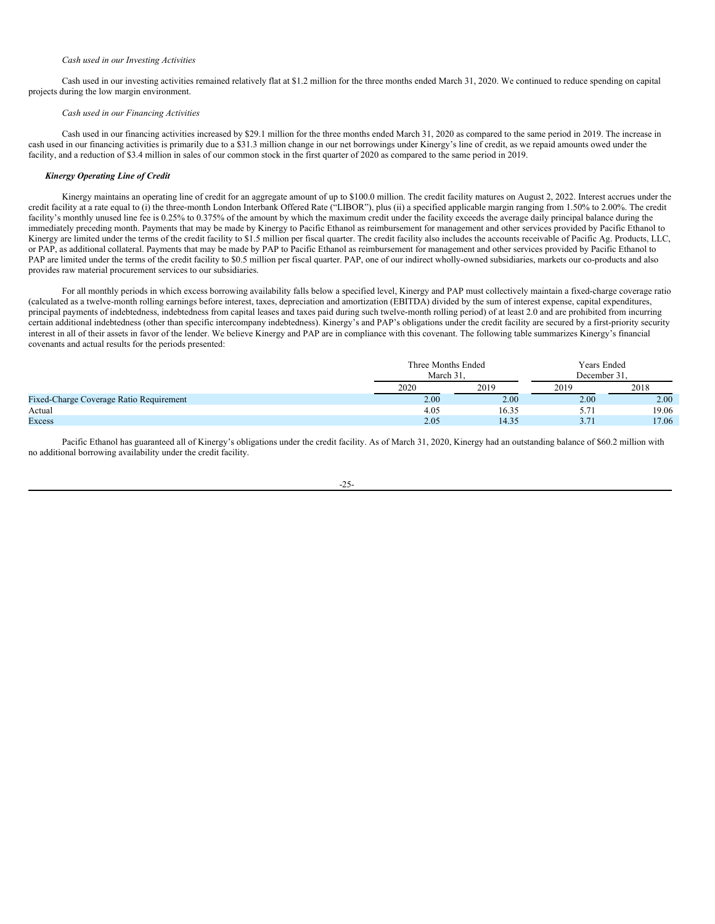#### *Cash used in our Investing Activities*

Cash used in our investing activities remained relatively flat at \$1.2 million for the three months ended March 31, 2020. We continued to reduce spending on capital projects during the low margin environment.

#### *Cash used in our Financing Activities*

Cash used in our financing activities increased by \$29.1 million for the three months ended March 31, 2020 as compared to the same period in 2019. The increase in cash used in our financing activities is primarily due to a \$31.3 million change in our net borrowings under Kinergy's line of credit, as we repaid amounts owed under the facility, and a reduction of \$3.4 million in sales of our common stock in the first quarter of 2020 as compared to the same period in 2019.

## *Kinergy Operating Line of Credit*

Kinergy maintains an operating line of credit for an aggregate amount of up to \$100.0 million. The credit facility matures on August 2, 2022. Interest accrues under the credit facility at a rate equal to (i) the three-month London Interbank Offered Rate ("LIBOR"), plus (ii) a specified applicable margin ranging from 1.50% to 2.00%. The credit facility's monthly unused line fee is 0.25% to 0.375% of the amount by which the maximum credit under the facility exceeds the average daily principal balance during the immediately preceding month. Payments that may be made by Kinergy to Pacific Ethanol as reimbursement for management and other services provided by Pacific Ethanol to Kinergy are limited under the terms of the credit facility to \$1.5 million per fiscal quarter. The credit facility also includes the accounts receivable of Pacific Ag. Products, LLC, or PAP, as additional collateral. Payments that may be made by PAP to Pacific Ethanol as reimbursement for management and other services provided by Pacific Ethanol to PAP are limited under the terms of the credit facility to \$0.5 million per fiscal quarter. PAP, one of our indirect wholly-owned subsidiaries, markets our co-products and also provides raw material procurement services to our subsidiaries.

For all monthly periods in which excess borrowing availability falls below a specified level, Kinergy and PAP must collectively maintain a fixed-charge coverage ratio (calculated as a twelve-month rolling earnings before interest, taxes, depreciation and amortization (EBITDA) divided by the sum of interest expense, capital expenditures, principal payments of indebtedness, indebtedness from capital leases and taxes paid during such twelve-month rolling period) of at least 2.0 and are prohibited from incurring certain additional indebtedness (other than specific intercompany indebtedness). Kinergy's and PAP's obligations under the credit facility are secured by a first-priority security interest in all of their assets in favor of the lender. We believe Kinergy and PAP are in compliance with this covenant. The following table summarizes Kinergy's financial covenants and actual results for the periods presented:

|                                                | Three Months Ended<br>March 31 |       | Years Ended<br>December 31 |       |  |
|------------------------------------------------|--------------------------------|-------|----------------------------|-------|--|
|                                                | 2020                           | 2019  | 2019                       | 2018  |  |
| <b>Fixed-Charge Coverage Ratio Requirement</b> | 2.00                           | 2.00  | 2.00                       | 2.00  |  |
| Actual                                         | 4.05                           | 16.35 | 5.7                        | 19.06 |  |
| Excess                                         | 2.05                           | 14.35 | 37<br>.                    | 17.06 |  |

Pacific Ethanol has guaranteed all of Kinergy's obligations under the credit facility. As of March 31, 2020, Kinergy had an outstanding balance of \$60.2 million with no additional borrowing availability under the credit facility.

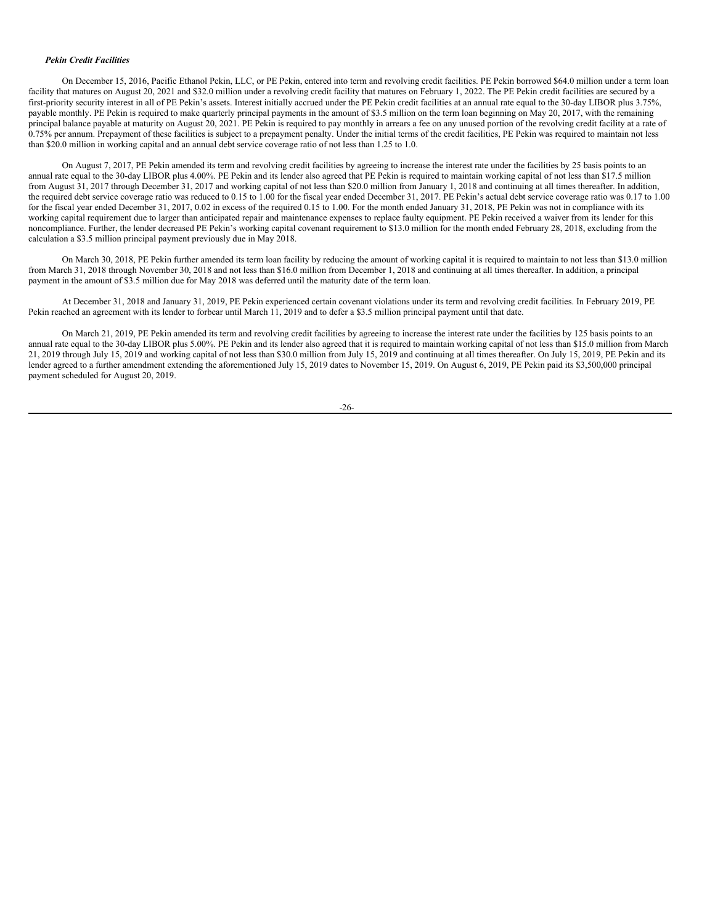### *Pekin Credit Facilities*

On December 15, 2016, Pacific Ethanol Pekin, LLC, or PE Pekin, entered into term and revolving credit facilities. PE Pekin borrowed \$64.0 million under a term loan facility that matures on August 20, 2021 and \$32.0 million under a revolving credit facility that matures on February 1, 2022. The PE Pekin credit facilities are secured by a first-priority security interest in all of PE Pekin's assets. Interest initially accrued under the PE Pekin credit facilities at an annual rate equal to the 30-day LIBOR plus 3.75%, payable monthly. PE Pekin is required to make quarterly principal payments in the amount of \$3.5 million on the term loan beginning on May 20, 2017, with the remaining principal balance payable at maturity on August 20, 2021. PE Pekin is required to pay monthly in arrears a fee on any unused portion of the revolving credit facility at a rate of  $0.75\%$  per annum. Prepayment of these facilities is subject to a prepayment penalty. Under the initial terms of the credit facilities, PE Pekin was required to maintain not less than \$20.0 million in working capital and an annual debt service coverage ratio of not less than 1.25 to 1.0.

On August 7, 2017, PE Pekin amended its term and revolving credit facilities by agreeing to increase the interest rate under the facilities by 25 basis points to an annual rate equal to the 30-day LIBOR plus 4.00%. PE Pekin and its lender also agreed that PE Pekin is required to maintain working capital of not less than \$17.5 million from August 31, 2017 through December 31, 2017 and working capital of not less than \$20.0 million from January 1, 2018 and continuing at all times thereafter. In addition, the required debt service coverage ratio was reduced to 0.15 to 1.00 for the fiscal year ended December 31, 2017. PE Pekin's actual debt service coverage ratio was 0.17 to 1.00 for the fiscal year ended December 31, 2017, 0.02 in excess of the required 0.15 to 1.00. For the month ended January 31, 2018, PE Pekin was not in compliance with its working capital requirement due to larger than anticipated repair and maintenance expenses to replace faulty equipment. PE Pekin received a waiver from its lender for this noncompliance. Further, the lender decreased PE Pekin's working capital covenant requirement to \$13.0 million for the month ended February 28, 2018, excluding from the calculation a \$3.5 million principal payment previously due in May 2018.

On March 30, 2018, PE Pekin further amended its term loan facility by reducing the amount of working capital it is required to maintain to not less than \$13.0 million from March 31, 2018 through November 30, 2018 and not less than \$16.0 million from December 1, 2018 and continuing at all times thereafter. In addition, a principal payment in the amount of \$3.5 million due for May 2018 was deferred until the maturity date of the term loan.

At December 31, 2018 and January 31, 2019, PE Pekin experienced certain covenant violations under its term and revolving credit facilities. In February 2019, PE Pekin reached an agreement with its lender to forbear until March 11, 2019 and to defer a \$3.5 million principal payment until that date.

On March 21, 2019, PE Pekin amended its term and revolving credit facilities by agreeing to increase the interest rate under the facilities by 125 basis points to an annual rate equal to the 30-day LIBOR plus 5.00%. PE Pekin and its lender also agreed that it is required to maintain working capital of not less than \$15.0 million from March 21, 2019 through July 15, 2019 and working capital of not less than \$30.0 million from July 15, 2019 and continuing at all times thereafter. On July 15, 2019, PE Pekin and its lender agreed to a further amendment extending the aforementioned July 15, 2019 dates to November 15, 2019. On August 6, 2019, PE Pekin paid its \$3,500,000 principal payment scheduled for August 20, 2019.

$$
-26-
$$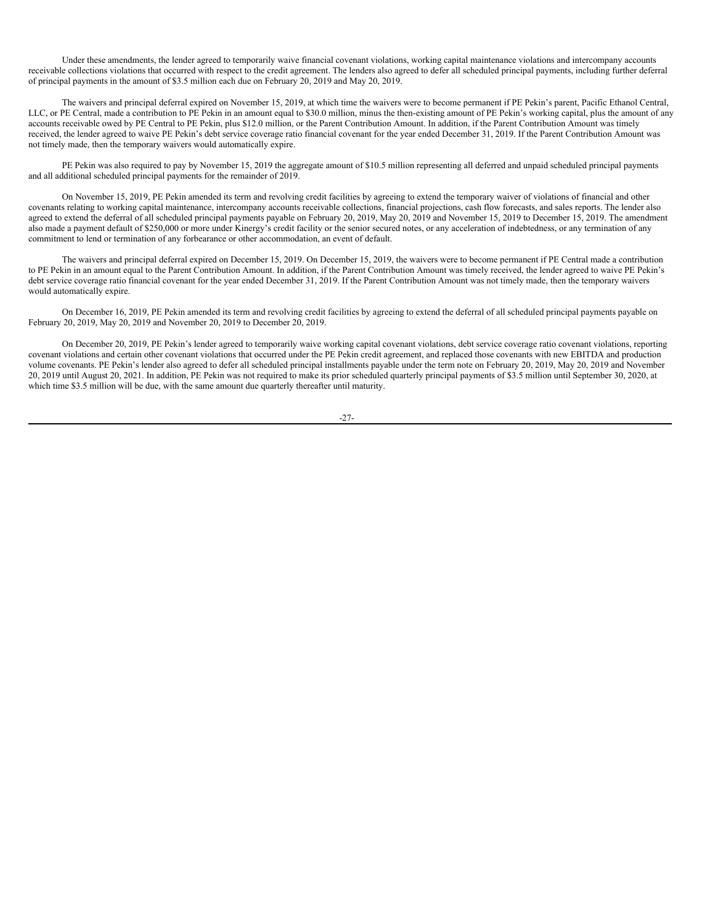Under these amendments, the lender agreed to temporarily waive financial covenant violations, working capital maintenance violations and intercompany accounts receivable collections violations that occurred with respect to the credit agreement. The lenders also agreed to defer all scheduled principal payments, including further deferral of principal payments in the amount of \$3.5 million each due on February 20, 2019 and May 20, 2019.

The waivers and principal deferral expired on November 15, 2019, at which time the waivers were to become permanent if PE Pekin's parent, Pacific Ethanol Central, LLC, or PE Central, made a contribution to PE Pekin in an amount equal to \$30.0 million, minus the then-existing amount of PE Pekin's working capital, plus the amount of any accounts receivable owed by PE Central to PE Pekin, plus \$12.0 million, or the Parent Contribution Amount. In addition, if the Parent Contribution Amount was timely received, the lender agreed to waive PE Pekin's debt service coverage ratio financial covenant for the year ended December 31, 2019. If the Parent Contribution Amount was not timely made, then the temporary waivers would automatically expire.

PE Pekin was also required to pay by November 15, 2019 the aggregate amount of \$10.5 million representing all deferred and unpaid scheduled principal payments and all additional scheduled principal payments for the remainder of 2019.

On November 15, 2019, PE Pekin amended its term and revolving credit facilities by agreeing to extend the temporary waiver of violations of financial and other covenants relating to working capital maintenance, intercompany accounts receivable collections, financial projections, cash flow forecasts, and sales reports. The lender also agreed to extend the deferral of all scheduled principal payments payable on February 20, 2019, May 20, 2019 and November 15, 2019 to December 15, 2019. The amendment also made a payment default of \$250,000 or more under Kinergy's credit facility or the senior secured notes, or any acceleration of indebtedness, or any termination of any commitment to lend or termination of any forbearance or other accommodation, an event of default.

The waivers and principal deferral expired on December 15, 2019. On December 15, 2019, the waivers were to become permanent if PE Central made a contribution to PE Pekin in an amount equal to the Parent Contribution Amount. In addition, if the Parent Contribution Amount was timely received, the lender agreed to waive PE Pekin's debt service coverage ratio financial covenant for the year ended December 31, 2019. If the Parent Contribution Amount was not timely made, then the temporary waivers would automatically expire.

On December 16, 2019, PE Pekin amended its term and revolving credit facilities by agreeing to extend the deferral of all scheduled principal payments payable on February 20, 2019, May 20, 2019 and November 20, 2019 to December 20, 2019.

On December 20, 2019, PE Pekin's lender agreed to temporarily waive working capital covenant violations, debt service coverage ratio covenant violations, reporting covenant violations and certain other covenant violations that occurred under the PE Pekin credit agreement, and replaced those covenants with new EBITDA and production volume covenants. PE Pekin's lender also agreed to defer all scheduled principal installments payable under the term note on February 20, 2019, May 20, 2019 and November 20, 2019 until August 20, 2021. In addition, PE Pekin was not required to make its prior scheduled quarterly principal payments of \$3.5 million until September 30, 2020, at which time \$3.5 million will be due, with the same amount due quarterly thereafter until maturity.

-27-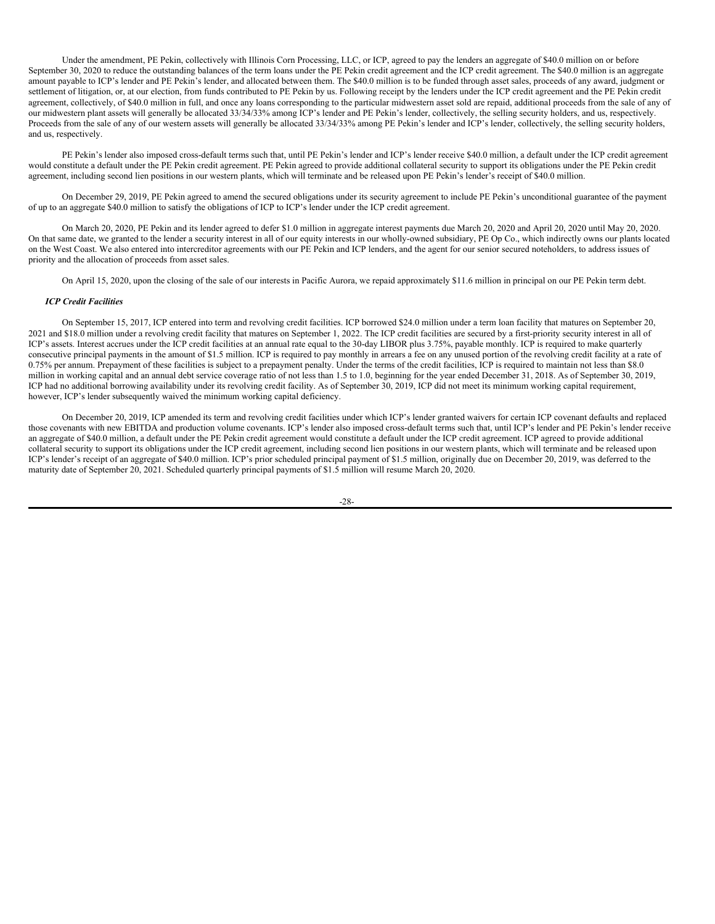Under the amendment, PE Pekin, collectively with Illinois Corn Processing, LLC, or ICP, agreed to pay the lenders an aggregate of \$40.0 million on or before September 30, 2020 to reduce the outstanding balances of the term loans under the PE Pekin credit agreement and the ICP credit agreement. The \$40.0 million is an aggregate amount payable to ICP's lender and PE Pekin's lender, and allocated between them. The \$40.0 million is to be funded through asset sales, proceeds of any award, judgment or settlement of litigation, or, at our election, from funds contributed to PE Pekin by us. Following receipt by the lenders under the ICP credit agreement and the PE Pekin credit agreement, collectively, of \$40.0 million in full, and once any loans corresponding to the particular midwestern asset sold are repaid, additional proceeds from the sale of any of our midwestern plant assets will generally be allocated 33/34/33% among ICP's lender and PE Pekin's lender, collectively, the selling security holders, and us, respectively. Proceeds from the sale of any of our western assets will generally be allocated 33/34/33% among PE Pekin's lender and ICP's lender, collectively, the selling security holders, and us, respectively.

PE Pekin's lender also imposed cross-default terms such that, until PE Pekin's lender and ICP's lender receive \$40.0 million, a default under the ICP credit agreement would constitute a default under the PE Pekin credit agreement. PE Pekin agreed to provide additional collateral security to support its obligations under the PE Pekin credit agreement, including second lien positions in our western plants, which will terminate and be released upon PE Pekin's lender's receipt of \$40.0 million.

On December 29, 2019, PE Pekin agreed to amend the secured obligations under its security agreement to include PE Pekin's unconditional guarantee of the payment of up to an aggregate \$40.0 million to satisfy the obligations of ICP to ICP's lender under the ICP credit agreement.

On March 20, 2020, PE Pekin and its lender agreed to defer \$1.0 million in aggregate interest payments due March 20, 2020 and April 20, 2020 until May 20, 2020. On that same date, we granted to the lender a security interest in all of our equity interests in our wholly-owned subsidiary, PE Op Co., which indirectly owns our plants located on the West Coast. We also entered into intercreditor agreements with our PE Pekin and ICP lenders, and the agent for our senior secured noteholders, to address issues of priority and the allocation of proceeds from asset sales.

On April 15, 2020, upon the closing of the sale of our interests in Pacific Aurora, we repaid approximately \$11.6 million in principal on our PE Pekin term debt.

## *ICP Credit Facilities*

On September 15, 2017, ICP entered into term and revolving credit facilities. ICP borrowed \$24.0 million under a term loan facility that matures on September 20, 2021 and \$18.0 million under a revolving credit facility that matures on September 1, 2022. The ICP credit facilities are secured by a first-priority security interest in all of ICP's assets. Interest accrues under the ICP credit facilities at an annual rate equal to the 30-day LIBOR plus 3.75%, payable monthly. ICP is required to make quarterly consecutive principal payments in the amount of \$1.5 million. ICP is required to pay monthly in arrears a fee on any unused portion of the revolving credit facility at a rate of 0.75% per annum. Prepayment of these facilities is subject to a prepayment penalty. Under the terms of the credit facilities, ICP is required to maintain not less than \$8.0 million in working capital and an annual debt service coverage ratio of not less than 1.5 to 1.0, beginning for the year ended December 31, 2018. As of September 30, 2019, ICP had no additional borrowing availability under its revolving credit facility. As of September 30, 2019, ICP did not meet its minimum working capital requirement, however, ICP's lender subsequently waived the minimum working capital deficiency.

On December 20, 2019, ICP amended its term and revolving credit facilities under which ICP's lender granted waivers for certain ICP covenant defaults and replaced those covenants with new EBITDA and production volume covenants. ICP's lender also imposed cross-default terms such that, until ICP's lender and PE Pekin's lender receive an aggregate of \$40.0 million, a default under the PE Pekin credit agreement would constitute a default under the ICP credit agreement. ICP agreed to provide additional collateral security to support its obligations under the ICP credit agreement, including second lien positions in our western plants, which will terminate and be released upon ICP's lender's receipt of an aggregate of \$40.0 million. ICP's prior scheduled principal payment of \$1.5 million, originally due on December 20, 2019, was deferred to the maturity date of September 20, 2021. Scheduled quarterly principal payments of \$1.5 million will resume March 20, 2020.

-28-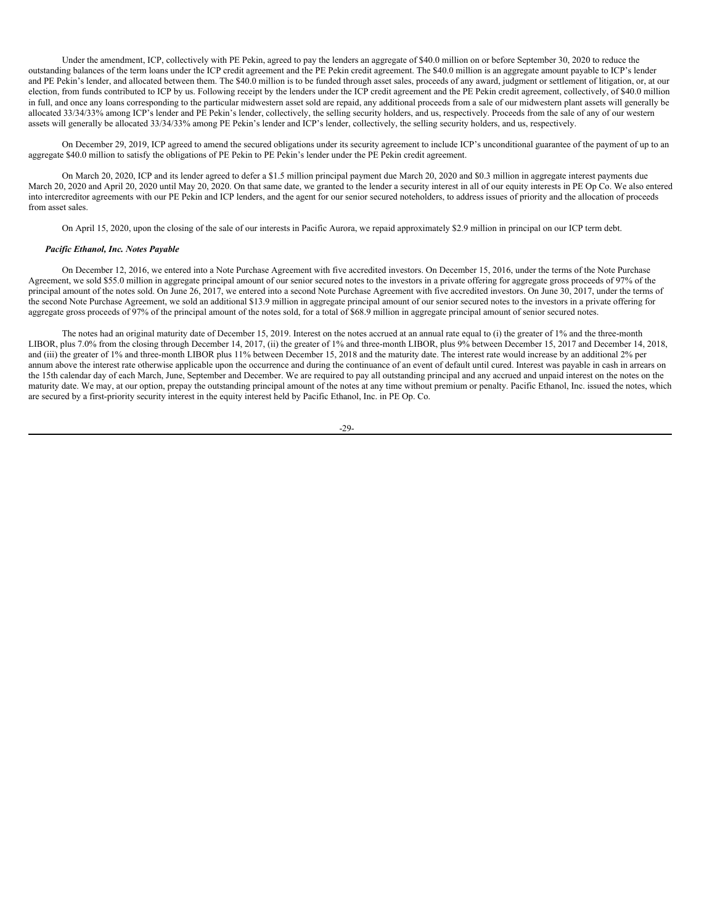Under the amendment, ICP, collectively with PE Pekin, agreed to pay the lenders an aggregate of \$40.0 million on or before September 30, 2020 to reduce the outstanding balances of the term loans under the ICP credit agreement and the PE Pekin credit agreement. The \$40.0 million is an aggregate amount payable to ICP's lender and PE Pekin's lender, and allocated between them. The \$40.0 million is to be funded through asset sales, proceeds of any award, judgment or settlement of litigation, or, at our election, from funds contributed to ICP by us. Following receipt by the lenders under the ICP credit agreement and the PE Pekin credit agreement, collectively, of \$40.0 million in full, and once any loans corresponding to the particular midwestern asset sold are repaid, any additional proceeds from a sale of our midwestern plant assets will generally be allocated 33/34/33% among ICP's lender and PE Pekin's lender, collectively, the selling security holders, and us, respectively. Proceeds from the sale of any of our western assets will generally be allocated 33/34/33% among PE Pekin's lender and ICP's lender, collectively, the selling security holders, and us, respectively.

On December 29, 2019, ICP agreed to amend the secured obligations under its security agreement to include ICP's unconditional guarantee of the payment of up to an aggregate \$40.0 million to satisfy the obligations of PE Pekin to PE Pekin's lender under the PE Pekin credit agreement.

On March 20, 2020, ICP and its lender agreed to defer a \$1.5 million principal payment due March 20, 2020 and \$0.3 million in aggregate interest payments due March 20, 2020 and April 20, 2020 until May 20, 2020. On that same date, we granted to the lender a security interest in all of our equity interests in PE Op Co. We also entered into intercreditor agreements with our PE Pekin and ICP lenders, and the agent for our senior secured noteholders, to address issues of priority and the allocation of proceeds from asset sales.

On April 15, 2020, upon the closing of the sale of our interests in Pacific Aurora, we repaid approximately \$2.9 million in principal on our ICP term debt.

## *Pacific Ethanol, Inc. Notes Payable*

On December 12, 2016, we entered into a Note Purchase Agreement with five accredited investors. On December 15, 2016, under the terms of the Note Purchase Agreement, we sold \$55.0 million in aggregate principal amount of our senior secured notes to the investors in a private offering for aggregate gross proceeds of 97% of the principal amount of the notes sold. On June 26, 2017, we entered into a second Note Purchase Agreement with five accredited investors. On June 30, 2017, under the terms of the second Note Purchase Agreement, we sold an additional \$13.9 million in aggregate principal amount of our senior secured notes to the investors in a private offering for aggregate gross proceeds of 97% of the principal amount of the notes sold, for a total of  $$68.9$  million in aggregate principal amount of senior secured notes.

The notes had an original maturity date of December 15, 2019. Interest on the notes accrued at an annual rate equal to (i) the greater of 1% and the three-month LIBOR, plus 7.0% from the closing through December 14, 2017, (ii) the greater of 1% and three-month LIBOR, plus 9% between December 15, 2017 and December 14, 2018, and (iii) the greater of 1% and three-month LIBOR plus 11% between December 15, 2018 and the maturity date. The interest rate would increase by an additional 2% per annum above the interest rate otherwise applicable upon the occurrence and during the continuance of an event of default until cured. Interest was payable in cash in arrears on the 15th calendar day of each March, June, September and December. We are required to pay all outstanding principal and any accrued and unpaid interest on the notes on the maturity date. We may, at our option, prepay the outstanding principal amount of the notes at any time without premium or penalty. Pacific Ethanol, Inc. issued the notes, which are secured by a first-priority security interest in the equity interest held by Pacific Ethanol, Inc. in PE Op. Co.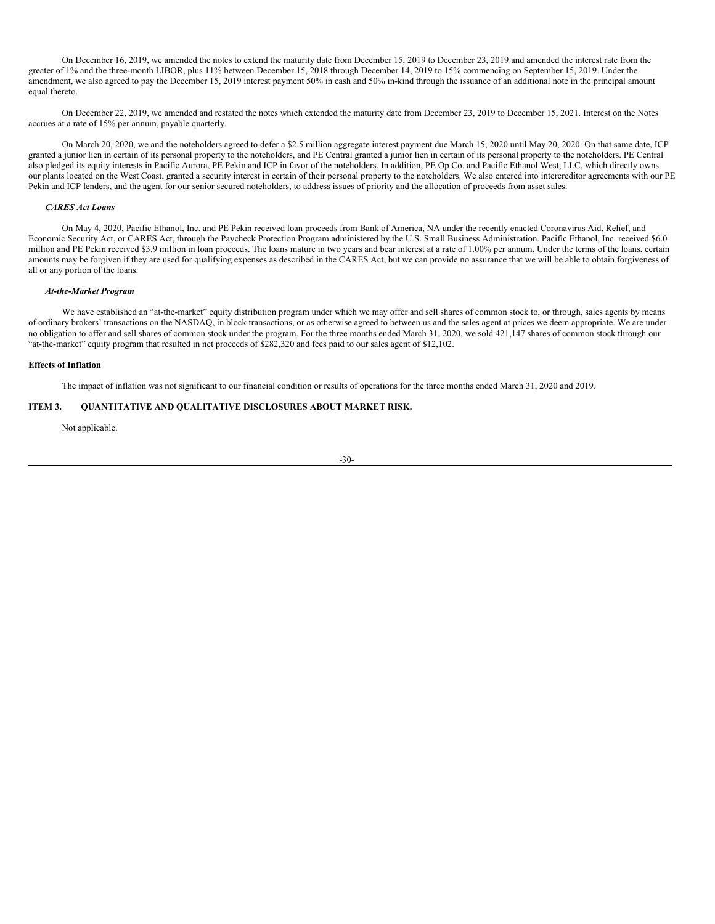On December 16, 2019, we amended the notes to extend the maturity date from December 15, 2019 to December 23, 2019 and amended the interest rate from the greater of 1% and the three-month LIBOR, plus 11% between December 15, 2018 through December 14, 2019 to 15% commencing on September 15, 2019. Under the amendment, we also agreed to pay the December 15, 2019 interest payment 50% in cash and 50% in-kind through the issuance of an additional note in the principal amount equal thereto.

On December 22, 2019, we amended and restated the notes which extended the maturity date from December 23, 2019 to December 15, 2021. Interest on the Notes accrues at a rate of 15% per annum, payable quarterly.

On March 20, 2020, we and the noteholders agreed to defer a \$2.5 million aggregate interest payment due March 15, 2020 until May 20, 2020. On that same date, ICP granted a junior lien in certain of its personal property to the noteholders, and PE Central granted a junior lien in certain of its personal property to the noteholders. PE Central also pledged its equity interests in Pacific Aurora, PE Pekin and ICP in favor of the noteholders. In addition, PE Op Co. and Pacific Ethanol West, LLC, which directly owns our plants located on the West Coast, granted a security interest in certain of their personal property to the noteholders. We also entered into intercreditor agreements with our PE Pekin and ICP lenders, and the agent for our senior secured noteholders, to address issues of priority and the allocation of proceeds from asset sales.

## *CARES Act Loans*

On May 4, 2020, Pacific Ethanol, Inc. and PE Pekin received loan proceeds from Bank of America, NA under the recently enacted Coronavirus Aid, Relief, and Economic Security Act, or CARES Act, through the Paycheck Protection Program administered by the U.S. Small Business Administration. Pacific Ethanol, Inc. received \$6.0 million and PE Pekin received \$3.9 million in loan proceeds. The loans mature in two years and bear interest at a rate of 1.00% per annum. Under the terms of the loans, certain amounts may be forgiven if they are used for qualifying expenses as described in the CARES Act, but we can provide no assurance that we will be able to obtain forgiveness of all or any portion of the loans.

### *At-the-Market Program*

We have established an "at-the-market" equity distribution program under which we may offer and sell shares of common stock to, or through, sales agents by means of ordinary brokers' transactions on the NASDAQ, in block transactions, or as otherwise agreed to between us and the sales agent at prices we deem appropriate. We are under no obligation to offer and sell shares of common stock under the program. For the three months ended March 31, 2020, we sold 421,147 shares of common stock through our "at-the-market" equity program that resulted in net proceeds of \$282,320 and fees paid to our sales agent of \$12,102.

## **Effects of Inflation**

The impact of inflation was not significant to our financial condition or results of operations for the three months ended March 31, 2020 and 2019.

## **ITEM 3. QUANTITATIVE AND QUALITATIVE DISCLOSURES ABOUT MARKET RISK.**

<span id="page-31-0"></span>Not applicable.

$$
-30-
$$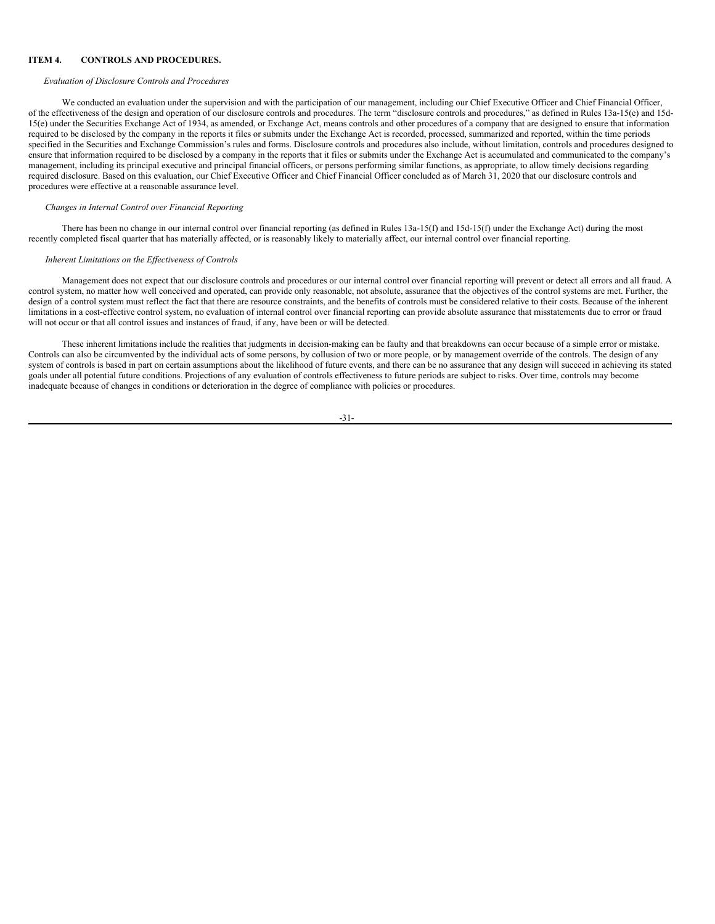## **ITEM 4. CONTROLS AND PROCEDURES.**

### <span id="page-32-0"></span>*Evaluation of Disclosure Controls and Procedures*

We conducted an evaluation under the supervision and with the participation of our management, including our Chief Executive Officer and Chief Financial Officer, of the effectiveness of the design and operation of our disclosure controls and procedures. The term "disclosure controls and procedures," as defined in Rules 13a-15(e) and 15d-15(e) under the Securities Exchange Act of 1934, as amended, or Exchange Act, means controls and other procedures of a company that are designed to ensure that information required to be disclosed by the company in the reports it files or submits under the Exchange Act is recorded, processed, summarized and reported, within the time periods specified in the Securities and Exchange Commission's rules and forms. Disclosure controls and procedures also include, without limitation, controls and procedures designed to ensure that information required to be disclosed by a company in the reports that it files or submits under the Exchange Act is accumulated and communicated to the company's management, including its principal executive and principal financial officers, or persons performing similar functions, as appropriate, to allow timely decisions regarding required disclosure. Based on this evaluation, our Chief Executive Officer and Chief Financial Officer concluded as of March 31, 2020 that our disclosure controls and procedures were effective at a reasonable assurance level.

## *Changes in Internal Control over Financial Reporting*

There has been no change in our internal control over financial reporting (as defined in Rules 13a-15(f) and 15d-15(f) under the Exchange Act) during the most recently completed fiscal quarter that has materially affected, or is reasonably likely to materially affect, our internal control over financial reporting.

## *Inherent Limitations on the Ef ectiveness of Controls*

Management does not expect that our disclosure controls and procedures or our internal control over financial reporting will prevent or detect all errors and all fraud. A control system, no matter how well conceived and operated, can provide only reasonable, not absolute, assurance that the objectives of the control systems are met. Further, the design of a control system must reflect the fact that there are resource constraints, and the benefits of controls must be considered relative to their costs. Because of the inherent limitations in a cost-effective control system, no evaluation of internal control over financial reporting can provide absolute assurance that misstatements due to error or fraud will not occur or that all control issues and instances of fraud, if any, have been or will be detected.

These inherent limitations include the realities that judgments in decision-making can be faulty and that breakdowns can occur because of a simple error or mistake. Controls can also be circumvented by the individual acts of some persons, by collusion of two or more people, or by management override of the controls. The design of any system of controls is based in part on certain assumptions about the likelihood of future events, and there can be no assurance that any design will succeed in achieving its stated goals under all potential future conditions. Projections of any evaluation of controls effectiveness to future periods are subject to risks. Over time, controls may become inadequate because of changes in conditions or deterioration in the degree of compliance with policies or procedures.

#### -31-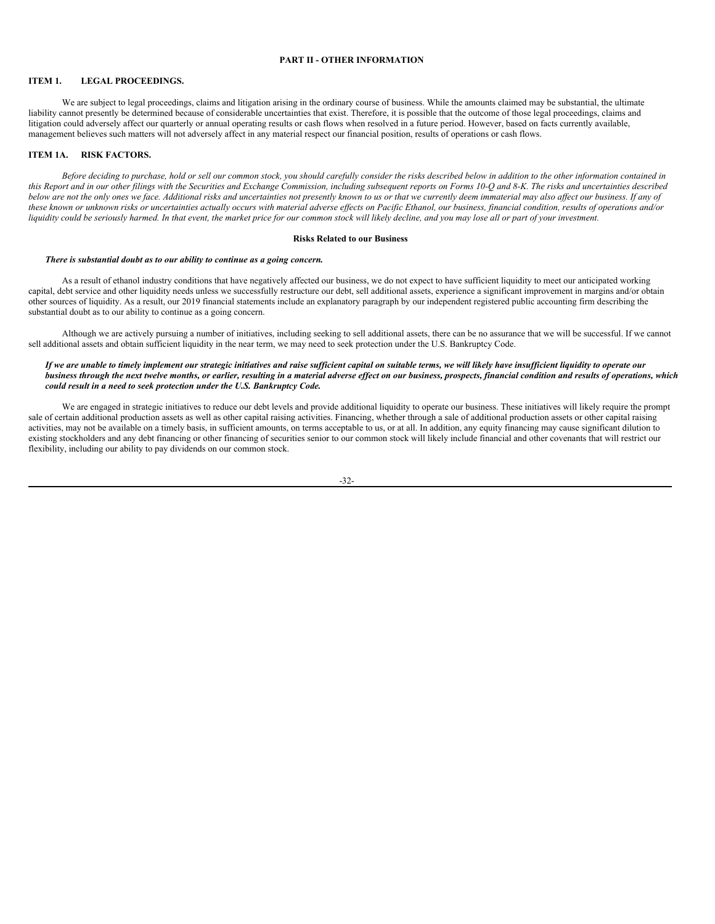## <span id="page-33-0"></span>**PART II - OTHER INFORMATION**

## <span id="page-33-1"></span>**ITEM 1. LEGAL PROCEEDINGS.**

We are subject to legal proceedings, claims and litigation arising in the ordinary course of business. While the amounts claimed may be substantial, the ultimate liability cannot presently be determined because of considerable uncertainties that exist. Therefore, it is possible that the outcome of those legal proceedings, claims and litigation could adversely affect our quarterly or annual operating results or cash flows when resolved in a future period. However, based on facts currently available, management believes such matters will not adversely affect in any material respect our financial position, results of operations or cash flows.

## <span id="page-33-2"></span>**ITEM 1A. RISK FACTORS.**

Before deciding to purchase, hold or sell our common stock, you should carefully consider the risks described below in addition to the other information contained in this Report and in our other filings with the Securities and Exchange Commission, including subsequent reports on Forms 10-O and 8-K. The risks and uncertainties described below are not the only ones we face. Additional risks and uncertainties not presently known to us or that we currently deem immaterial may also affect our business. If any of these known or unknown risks or uncertainties actually occurs with material adverse effects on Pacific Ethanol, our business, financial condition, results of operations and/or liquidity could be seriously harmed. In that event, the market price for our common stock will likely decline, and you may lose all or part of your investment.

### **Risks Related to our Business**

### *There is substantial doubt as to our ability to continue as a going concern.*

As a result of ethanol industry conditions that have negatively affected our business, we do not expect to have sufficient liquidity to meet our anticipated working capital, debt service and other liquidity needs unless we successfully restructure our debt, sell additional assets, experience a significant improvement in margins and/or obtain other sources of liquidity. As a result, our 2019 financial statements include an explanatory paragraph by our independent registered public accounting firm describing the substantial doubt as to our ability to continue as a going concern.

Although we are actively pursuing a number of initiatives, including seeking to sell additional assets, there can be no assurance that we will be successful. If we cannot sell additional assets and obtain sufficient liquidity in the near term, we may need to seek protection under the U.S. Bankruptcy Code.

## If we are unable to timely implement our strategic initiatives and raise sufficient capital on suitable terms, we will likely have insufficient liquidity to operate our business through the next twelve months, or earlier, resulting in a material adverse effect on our business, prospects, financial condition and results of operations, which *could result in a need to seek protection under the U.S. Bankruptcy Code.*

We are engaged in strategic initiatives to reduce our debt levels and provide additional liquidity to operate our business. These initiatives will likely require the prompt sale of certain additional production assets as well as other capital raising activities. Financing, whether through a sale of additional production assets or other capital raising activities, may not be available on a timely basis, in sufficient amounts, on terms acceptable to us, or at all. In addition, any equity financing may cause significant dilution to existing stockholders and any debt financing or other financing of securities senior to our common stock will likely include financial and other covenants that will restrict our flexibility, including our ability to pay dividends on our common stock.

| ۰ | I<br>÷<br>۰. | ۰ |
|---|--------------|---|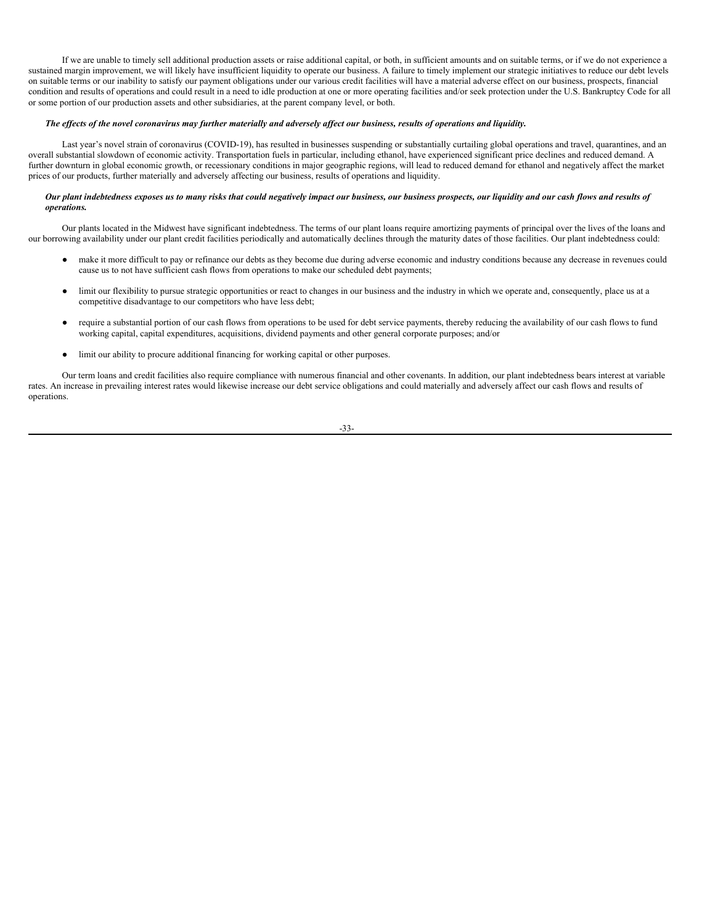If we are unable to timely sell additional production assets or raise additional capital, or both, in sufficient amounts and on suitable terms, or if we do not experience a sustained margin improvement, we will likely have insufficient liquidity to operate our business. A failure to timely implement our strategic initiatives to reduce our debt levels on suitable terms or our inability to satisfy our payment obligations under our various credit facilities will have a material adverse effect on our business, prospects, financial condition and results of operations and could result in a need to idle production at one or more operating facilities and/or seek protection under the U.S. Bankruptcy Code for all or some portion of our production assets and other subsidiaries, at the parent company level, or both.

## The effects of the novel coronavirus may further materially and adversely affect our business, results of operations and liquidity.

Last year's novel strain of coronavirus (COVID-19), has resulted in businesses suspending or substantially curtailing global operations and travel, quarantines, and an overall substantial slowdown of economic activity. Transportation fuels in particular, including ethanol, have experienced significant price declines and reduced demand. A further downturn in global economic growth, or recessionary conditions in major geographic regions, will lead to reduced demand for ethanol and negatively affect the market prices of our products, further materially and adversely affecting our business, results of operations and liquidity.

### Our plant indebtedness exposes us to many risks that could negatively impact our business, our business prospects, our liquidity and our cash flows and results of *operations.*

Our plants located in the Midwest have significant indebtedness. The terms of our plant loans require amortizing payments of principal over the lives of the loans and our borrowing availability under our plant credit facilities periodically and automatically declines through the maturity dates of those facilities. Our plant indebtedness could:

- make it more difficult to pay or refinance our debts as they become due during adverse economic and industry conditions because any decrease in revenues could cause us to not have sufficient cash flows from operations to make our scheduled debt payments;
- limit our flexibility to pursue strategic opportunities or react to changes in our business and the industry in which we operate and, consequently, place us at a competitive disadvantage to our competitors who have less debt;
- require a substantial portion of our cash flows from operations to be used for debt service payments, thereby reducing the availability of our cash flows to fund working capital, capital expenditures, acquisitions, dividend payments and other general corporate purposes; and/or
- limit our ability to procure additional financing for working capital or other purposes.

Our term loans and credit facilities also require compliance with numerous financial and other covenants. In addition, our plant indebtedness bears interest at variable rates. An increase in prevailing interest rates would likewise increase our debt service obligations and could materially and adversely affect our cash flows and results of operations.

-33-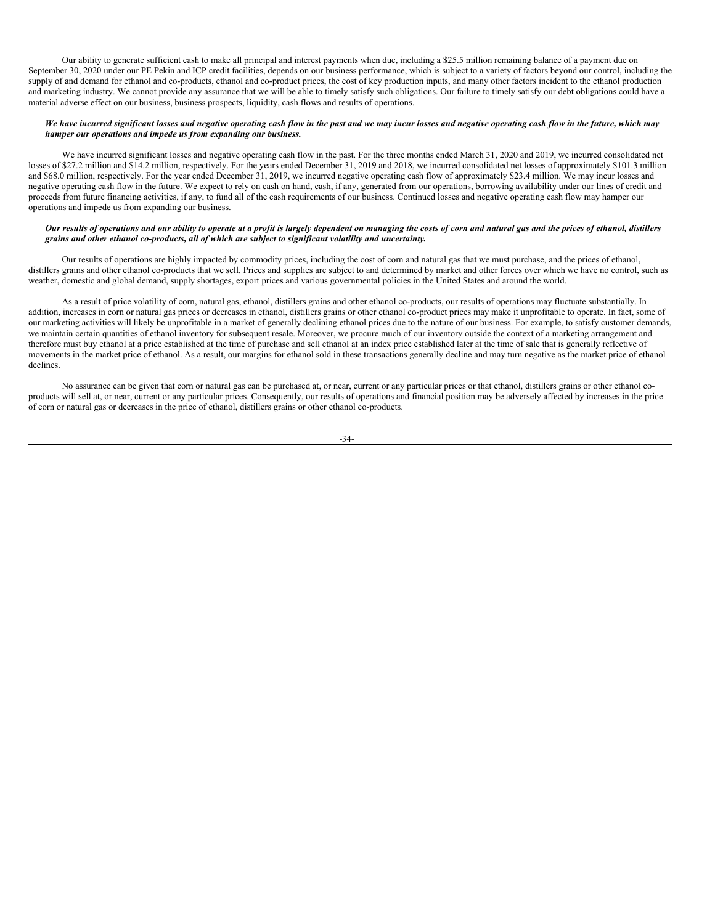Our ability to generate sufficient cash to make all principal and interest payments when due, including a \$25.5 million remaining balance of a payment due on September 30, 2020 under our PE Pekin and ICP credit facilities, depends on our business performance, which is subject to a variety of factors beyond our control, including the supply of and demand for ethanol and co-products, ethanol and co-product prices, the cost of key production inputs, and many other factors incident to the ethanol production and marketing industry. We cannot provide any assurance that we will be able to timely satisfy such obligations. Our failure to timely satisfy our debt obligations could have a material adverse effect on our business, business prospects, liquidity, cash flows and results of operations.

## We have incurred significant losses and negative operating cash flow in the past and we may incur losses and negative operating cash flow in the future, which may *hamper our operations and impede us from expanding our business.*

We have incurred significant losses and negative operating cash flow in the past. For the three months ended March 31, 2020 and 2019, we incurred consolidated net losses of \$27.2 million and \$14.2 million, respectively. For the years ended December 31, 2019 and 2018, we incurred consolidated net losses of approximately \$101.3 million and \$68.0 million, respectively. For the year ended December 31, 2019, we incurred negative operating cash flow of approximately \$23.4 million. We may incur losses and negative operating cash flow in the future. We expect to rely on cash on hand, cash, if any, generated from our operations, borrowing availability under our lines of credit and proceeds from future financing activities, if any, to fund all of the cash requirements of our business. Continued losses and negative operating cash flow may hamper our operations and impede us from expanding our business.

## Our results of operations and our ability to operate at a profit is largely dependent on managing the costs of corn and natural gas and the prices of ethanol, distillers *grains and other ethanol co-products, all of which are subject to significant volatility and uncertainty.*

Our results of operations are highly impacted by commodity prices, including the cost of corn and natural gas that we must purchase, and the prices of ethanol, distillers grains and other ethanol co-products that we sell. Prices and supplies are subject to and determined by market and other forces over which we have no control, such as weather, domestic and global demand, supply shortages, export prices and various governmental policies in the United States and around the world.

As a result of price volatility of corn, natural gas, ethanol, distillers grains and other ethanol co-products, our results of operations may fluctuate substantially. In addition, increases in corn or natural gas prices or decreases in ethanol, distillers grains or other ethanol co-product prices may make it unprofitable to operate. In fact, some of our marketing activities will likely be unprofitable in a market of generally declining ethanol prices due to the nature of our business. For example, to satisfy customer demands, we maintain certain quantities of ethanol inventory for subsequent resale. Moreover, we procure much of our inventory outside the context of a marketing arrangement and therefore must buy ethanol at a price established at the time of purchase and sell ethanol at an index price established later at the time of sale that is generally reflective of movements in the market price of ethanol. As a result, our margins for ethanol sold in these transactions generally decline and may turn negative as the market price of ethanol declines.

No assurance can be given that corn or natural gas can be purchased at, or near, current or any particular prices or that ethanol, distillers grains or other ethanol coproducts will sell at, or near, current or any particular prices. Consequently, our results of operations and financial position may be adversely affected by increases in the price of corn or natural gas or decreases in the price of ethanol, distillers grains or other ethanol co-products.

-34-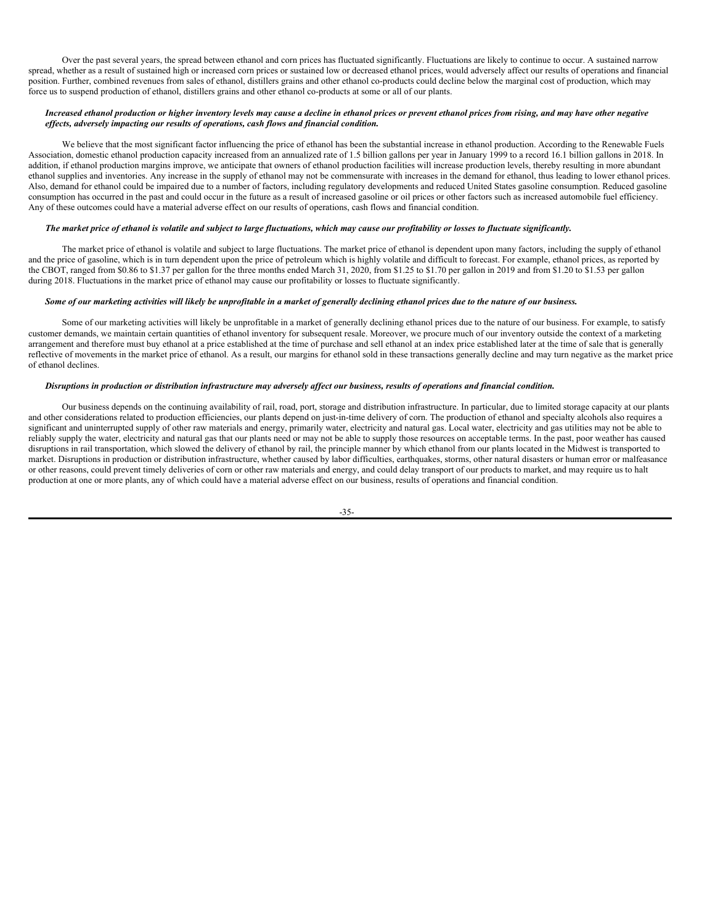Over the past several years, the spread between ethanol and corn prices has fluctuated significantly. Fluctuations are likely to continue to occur. A sustained narrow spread, whether as a result of sustained high or increased corn prices or sustained low or decreased ethanol prices, would adversely affect our results of operations and financial position. Further, combined revenues from sales of ethanol, distillers grains and other ethanol co-products could decline below the marginal cost of production, which may force us to suspend production of ethanol, distillers grains and other ethanol co-products at some or all of our plants.

## Increased ethanol production or higher inventory levels may cause a decline in ethanol prices or prevent ethanol prices from rising, and may have other negative *ef ects, adversely impacting our results of operations, cash flows and financial condition.*

We believe that the most significant factor influencing the price of ethanol has been the substantial increase in ethanol production. According to the Renewable Fuels Association, domestic ethanol production capacity increased from an annualized rate of 1.5 billion gallons per year in January 1999 to a record 16.1 billion gallons in 2018. In addition, if ethanol production margins improve, we anticipate that owners of ethanol production facilities will increase production levels, thereby resulting in more abundant ethanol supplies and inventories. Any increase in the supply of ethanol may not be commensurate with increases in the demand for ethanol, thus leading to lower ethanol prices. Also, demand for ethanol could be impaired due to a number of factors, including regulatory developments and reduced United States gasoline consumption. Reduced gasoline consumption has occurred in the past and could occur in the future as a result of increased gasoline or oil prices or other factors such as increased automobile fuel efficiency. Any of these outcomes could have a material adverse effect on our results of operations, cash flows and financial condition.

## The market price of ethanol is volatile and subject to large fluctuations, which may cause our profitability or losses to fluctuate significantly.

The market price of ethanol is volatile and subject to large fluctuations. The market price of ethanol is dependent upon many factors, including the supply of ethanol and the price of gasoline, which is in turn dependent upon the price of petroleum which is highly volatile and difficult to forecast. For example, ethanol prices, as reported by the CBOT, ranged from \$0.86 to \$1.37 per gallon for the three months ended March 31, 2020, from \$1.25 to \$1.70 per gallon in 2019 and from \$1.20 to \$1.53 per gallon during 2018. Fluctuations in the market price of ethanol may cause our profitability or losses to fluctuate significantly.

## Some of our marketing activities will likely be unprofitable in a market of generally declining ethanol prices due to the nature of our business.

Some of our marketing activities will likely be unprofitable in a market of generally declining ethanol prices due to the nature of our business. For example, to satisfy customer demands, we maintain certain quantities of ethanol inventory for subsequent resale. Moreover, we procure much of our inventory outside the context of a marketing arrangement and therefore must buy ethanol at a price established at the time of purchase and sell ethanol at an index price established later at the time of sale that is generally reflective of movements in the market price of ethanol. As a result, our margins for ethanol sold in these transactions generally decline and may turn negative as the market price of ethanol declines.

## Disruptions in production or distribution infrastructure may adversely affect our business, results of operations and financial condition.

Our business depends on the continuing availability of rail, road, port, storage and distribution infrastructure. In particular, due to limited storage capacity at our plants and other considerations related to production efficiencies, our plants depend on just-in-time delivery of corn. The production of ethanol and specialty alcohols also requires a significant and uninterrupted supply of other raw materials and energy, primarily water, electricity and natural gas. Local water, electricity and gas utilities may not be able to reliably supply the water, electricity and natural gas that our plants need or may not be able to supply those resources on acceptable terms. In the past, poor weather has caused disruptions in rail transportation, which slowed the delivery of ethanol by rail, the principle manner by which ethanol from our plants located in the Midwest is transported to market. Disruptions in production or distribution infrastructure, whether caused by labor difficulties, earthquakes, storms, other natural disasters or human error or malfeasance or other reasons, could prevent timely deliveries of corn or other raw materials and energy, and could delay transport of our products to market, and may require us to halt production at one or more plants, any of which could have a material adverse effect on our business, results of operations and financial condition.

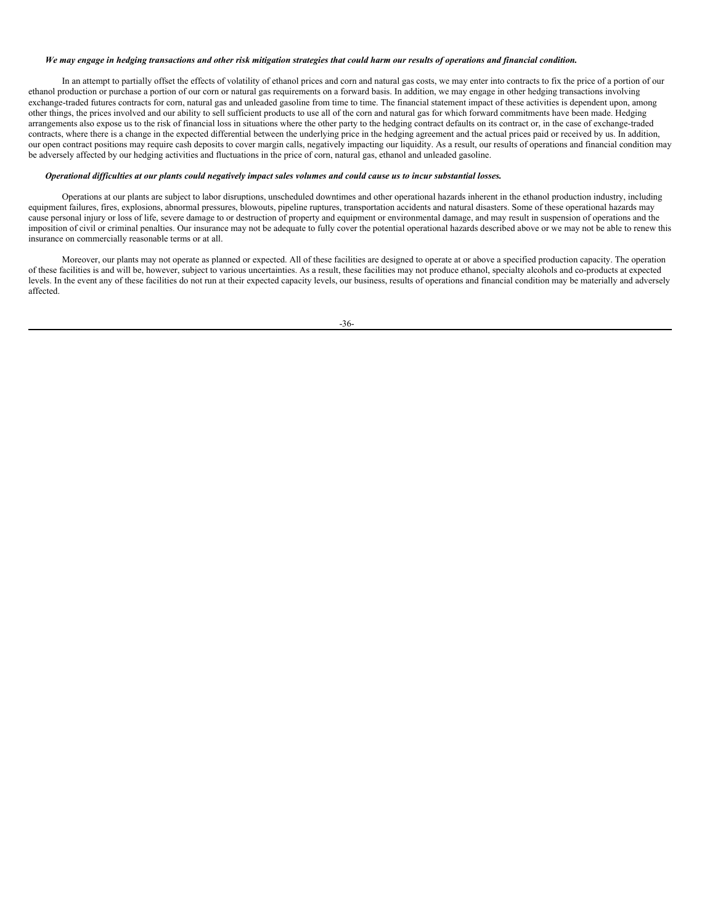#### We may engage in hedging transactions and other risk mitigation strategies that could harm our results of operations and financial condition.

In an attempt to partially offset the effects of volatility of ethanol prices and corn and natural gas costs, we may enter into contracts to fix the price of a portion of our ethanol production or purchase a portion of our corn or natural gas requirements on a forward basis. In addition, we may engage in other hedging transactions involving exchange-traded futures contracts for corn, natural gas and unleaded gasoline from time to time. The financial statement impact of these activities is dependent upon, among other things, the prices involved and our ability to sell sufficient products to use all of the corn and natural gas for which forward commitments have been made. Hedging arrangements also expose us to the risk of financial loss in situations where the other party to the hedging contract defaults on its contract or, in the case of exchange-traded contracts, where there is a change in the expected differential between the underlying price in the hedging agreement and the actual prices paid or received by us. In addition, our open contract positions may require cash deposits to cover margin calls, negatively impacting our liquidity. As a result, our results of operations and financial condition may be adversely affected by our hedging activities and fluctuations in the price of corn, natural gas, ethanol and unleaded gasoline.

## Operational difficulties at our plants could negatively impact sales volumes and could cause us to incur substantial losses.

Operations at our plants are subject to labor disruptions, unscheduled downtimes and other operational hazards inherent in the ethanol production industry, including equipment failures, fires, explosions, abnormal pressures, blowouts, pipeline ruptures, transportation accidents and natural disasters. Some of these operational hazards may cause personal injury or loss of life, severe damage to or destruction of property and equipment or environmental damage, and may result in suspension of operations and the imposition of civil or criminal penalties. Our insurance may not be adequate to fully cover the potential operational hazards described above or we may not be able to renew this insurance on commercially reasonable terms or at all.

Moreover, our plants may not operate as planned or expected. All of these facilities are designed to operate at or above a specified production capacity. The operation of these facilities is and will be, however, subject to various uncertainties. As a result, these facilities may not produce ethanol, specialty alcohols and co-products at expected levels. In the event any of these facilities do not run at their expected capacity levels, our business, results of operations and financial condition may be materially and adversely affected.

-36-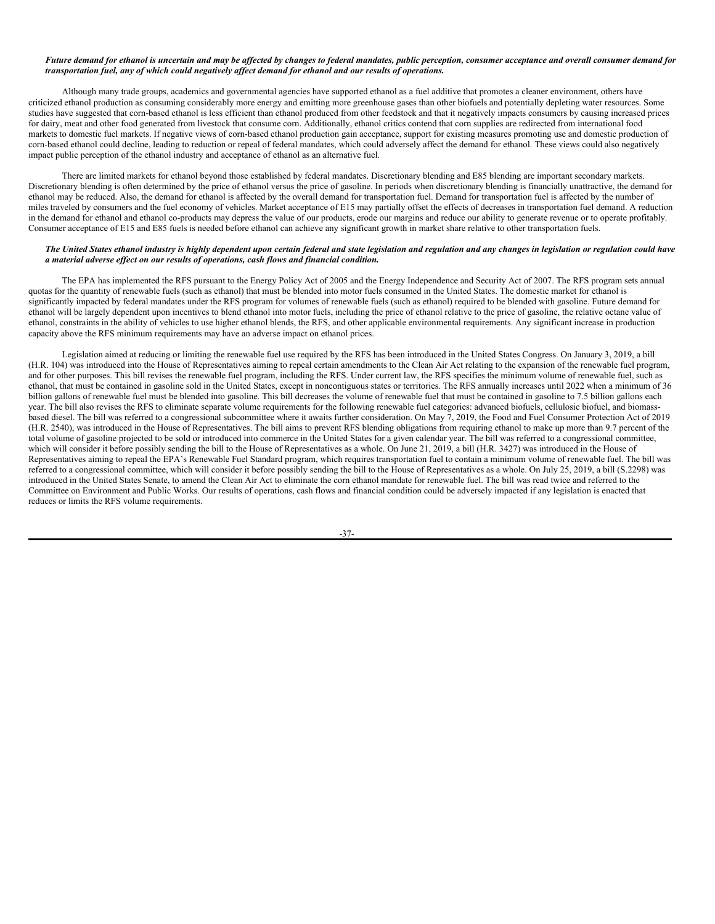### Future demand for ethanol is uncertain and may be affected by changes to federal mandates, public perception, consumer acceptance and overall consumer demand for transportation fuel, any of which could negatively affect demand for ethanol and our results of operations.

Although many trade groups, academics and governmental agencies have supported ethanol as a fuel additive that promotes a cleaner environment, others have criticized ethanol production as consuming considerably more energy and emitting more greenhouse gases than other biofuels and potentially depleting water resources. Some studies have suggested that corn-based ethanol is less efficient than ethanol produced from other feedstock and that it negatively impacts consumers by causing increased prices for dairy, meat and other food generated from livestock that consume corn. Additionally, ethanol critics contend that corn supplies are redirected from international food markets to domestic fuel markets. If negative views of corn-based ethanol production gain acceptance, support for existing measures promoting use and domestic production of corn-based ethanol could decline, leading to reduction or repeal of federal mandates, which could adversely affect the demand for ethanol. These views could also negatively impact public perception of the ethanol industry and acceptance of ethanol as an alternative fuel.

There are limited markets for ethanol beyond those established by federal mandates. Discretionary blending and E85 blending are important secondary markets. Discretionary blending is often determined by the price of ethanol versus the price of gasoline. In periods when discretionary blending is financially unattractive, the demand for ethanol may be reduced. Also, the demand for ethanol is affected by the overall demand for transportation fuel. Demand for transportation fuel is affected by the number of miles traveled by consumers and the fuel economy of vehicles. Market acceptance of E15 may partially offset the effects of decreases in transportation fuel demand. A reduction in the demand for ethanol and ethanol co-products may depress the value of our products, erode our margins and reduce our ability to generate revenue or to operate profitably. Consumer acceptance of E15 and E85 fuels is needed before ethanol can achieve any significant growth in market share relative to other transportation fuels.

## The United States ethanol industry is highly dependent upon certain federal and state legislation and regulation and any changes in legislation or regulation could have *a material adverse ef ect on our results of operations, cash flows and financial condition.*

The EPA has implemented the RFS pursuant to the Energy Policy Act of 2005 and the Energy Independence and Security Act of 2007. The RFS program sets annual quotas for the quantity of renewable fuels (such as ethanol) that must be blended into motor fuels consumed in the United States. The domestic market for ethanol is significantly impacted by federal mandates under the RFS program for volumes of renewable fuels (such as ethanol) required to be blended with gasoline. Future demand for ethanol will be largely dependent upon incentives to blend ethanol into motor fuels, including the price of ethanol relative to the price of gasoline, the relative octane value of ethanol, constraints in the ability of vehicles to use higher ethanol blends, the RFS, and other applicable environmental requirements. Any significant increase in production capacity above the RFS minimum requirements may have an adverse impact on ethanol prices.

Legislation aimed at reducing or limiting the renewable fuel use required by the RFS has been introduced in the United States Congress. On January 3, 2019, a bill (H.R. 104) was introduced into the House of Representatives aiming to repeal certain amendments to the Clean Air Act relating to the expansion of the renewable fuel program, and for other purposes. This bill revises the renewable fuel program, including the RFS. Under current law, the RFS specifies the minimum volume of renewable fuel, such as ethanol, that must be contained in gasoline sold in the United States, except in noncontiguous states or territories. The RFS annually increases until 2022 when a minimum of 36 billion gallons of renewable fuel must be blended into gasoline. This bill decreases the volume of renewable fuel that must be contained in gasoline to 7.5 billion gallons each year. The bill also revises the RFS to eliminate separate volume requirements for the following renewable fuel categories: advanced biofuels, cellulosic biofuel, and biomassbased diesel. The bill was referred to a congressional subcommittee where it awaits further consideration. On May  $\frac{7}{2}$ , 2019, the Food and Fuel Consumer Protection Act of 2019 (H.R. 2540), was introduced in the House of Representatives. The bill aims to prevent RFS blending obligations from requiring ethanol to make up more than 9.7 percent of the total volume of gasoline projected to be sold or introduced into commerce in the United States for a given calendar year. The bill was referred to a congressional committee, which will consider it before possibly sending the bill to the House of Representatives as a whole. On June 21, 2019, a bill (H.R. 3427) was introduced in the House of Representatives aiming to repeal the EPA's Renewable Fuel Standard program, which requires transportation fuel to contain a minimum volume of renewable fuel. The bill was referred to a congressional committee, which will consider it before possibly sending the bill to the House of Representatives as a whole. On July 25, 2019, a bill (S.2298) was introduced in the United States Senate, to amend the Clean Air Act to eliminate the corn ethanol mandate for renewable fuel. The bill was read twice and referred to the Committee on Environment and Public Works. Our results of operations, cash flows and financial condition could be adversely impacted if any legislation is enacted that reduces or limits the RFS volume requirements.

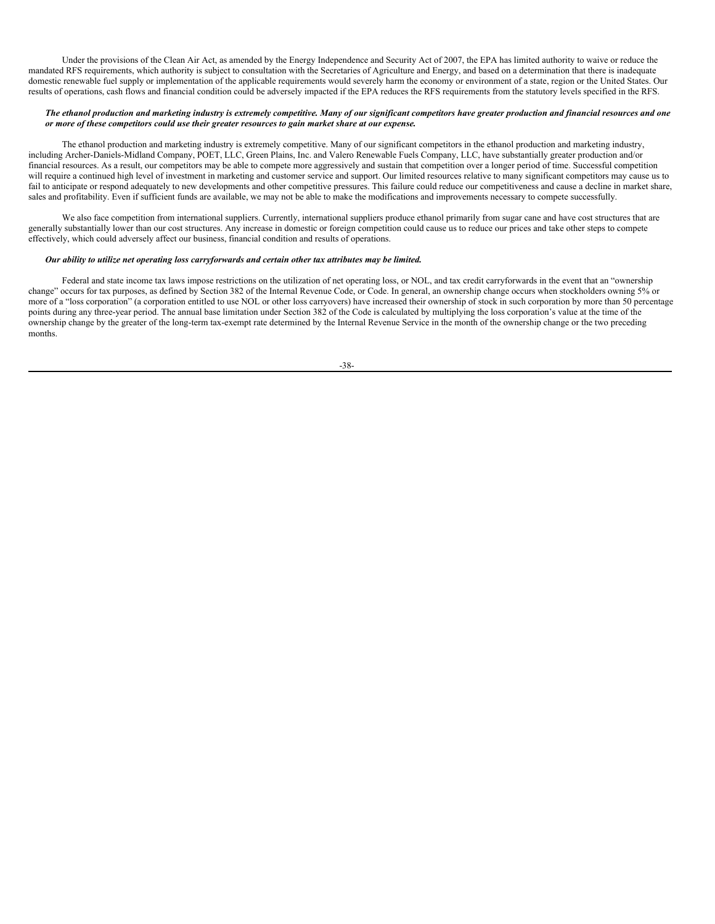Under the provisions of the Clean Air Act, as amended by the Energy Independence and Security Act of 2007, the EPA has limited authority to waive or reduce the mandated RFS requirements, which authority is subject to consultation with the Secretaries of Agriculture and Energy, and based on a determination that there is inadequate domestic renewable fuel supply or implementation of the applicable requirements would severely harm the economy or environment of a state, region or the United States. Our results of operations, cash flows and financial condition could be adversely impacted if the EPA reduces the RFS requirements from the statutory levels specified in the RFS.

### The ethanol production and marketing industry is extremely competitive. Many of our significant competitors have greater production and financial resources and one *or more of these competitors could use their greater resources to gain market share at our expense.*

The ethanol production and marketing industry is extremely competitive. Many of our significant competitors in the ethanol production and marketing industry, including Archer-Daniels-Midland Company, POET, LLC, Green Plains, Inc. and Valero Renewable Fuels Company, LLC, have substantially greater production and/or financial resources. As a result, our competitors may be able to compete more aggressively and sustain that competition over a longer period of time. Successful competition will require a continued high level of investment in marketing and customer service and support. Our limited resources relative to many significant competitors may cause us to fail to anticipate or respond adequately to new developments and other competitive pressures. This failure could reduce our competitiveness and cause a decline in market share, sales and profitability. Even if sufficient funds are available, we may not be able to make the modifications and improvements necessary to compete successfully.

We also face competition from international suppliers. Currently, international suppliers produce ethanol primarily from sugar cane and have cost structures that are generally substantially lower than our cost structures. Any increase in domestic or foreign competition could cause us to reduce our prices and take other steps to compete effectively, which could adversely affect our business, financial condition and results of operations.

## *Our ability to utilize net operating loss carryforwards and certain other tax attributes may be limited.*

Federal and state income tax laws impose restrictions on the utilization of net operating loss, or NOL, and tax credit carryforwards in the event that an "ownership change" occurs for tax purposes, as defined by Section 382 of the Internal Revenue Code, or Code. In general, an ownership change occurs when stockholders owning 5% or more of a "loss corporation" (a corporation entitled to use NOL or other loss carryovers) have increased their ownership of stock in such corporation by more than 50 percentage points during any three-year period. The annual base limitation under Section 382 of the Code is calculated by multiplying the loss corporation's value at the time of the ownership change by the greater of the long-term tax-exempt rate determined by the Internal Revenue Service in the month of the ownership change or the two preceding months.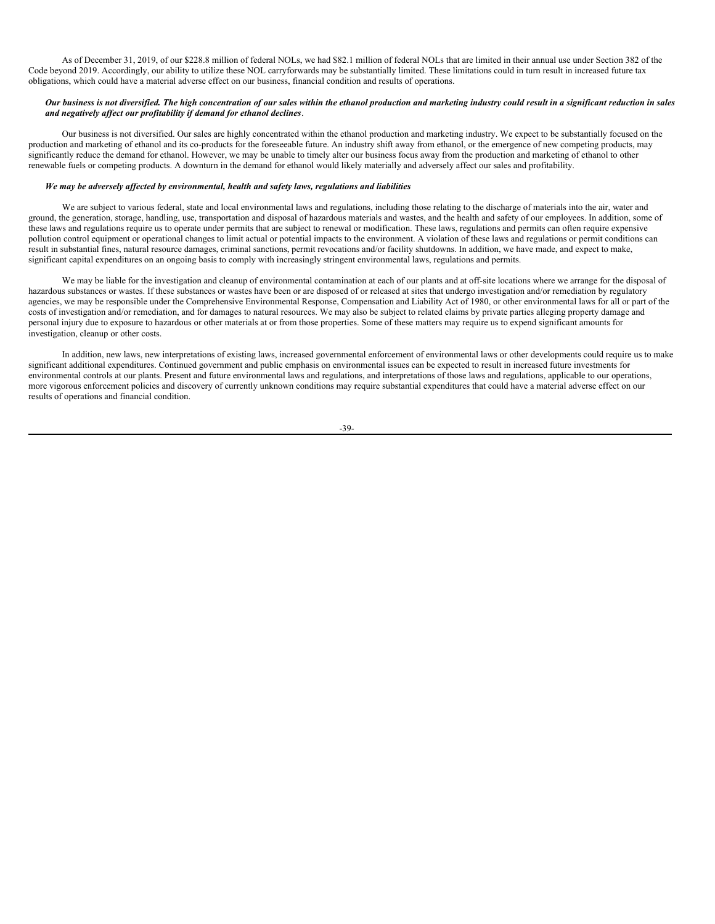As of December 31, 2019, of our \$228.8 million of federal NOLs, we had \$82.1 million of federal NOLs that are limited in their annual use under Section 382 of the Code beyond 2019. Accordingly, our ability to utilize these NOL carryforwards may be substantially limited. These limitations could in turn result in increased future tax obligations, which could have a material adverse effect on our business, financial condition and results of operations.

## Our business is not diversified. The high concentration of our sales within the ethanol production and marketing industry could result in a significant reduction in sales *and negatively af ect our profitability if demand for ethanol declines*.

Our business is not diversified. Our sales are highly concentrated within the ethanol production and marketing industry. We expect to be substantially focused on the production and marketing of ethanol and its co-products for the foreseeable future. An industry shift away from ethanol, or the emergence of new competing products, may significantly reduce the demand for ethanol. However, we may be unable to timely alter our business focus away from the production and marketing of ethanol to other renewable fuels or competing products. A downturn in the demand for ethanol would likely materially and adversely affect our sales and profitability.

## *We may be adversely af ected by environmental, health and safety laws, regulations and liabilities*.

We are subject to various federal, state and local environmental laws and regulations, including those relating to the discharge of materials into the air, water and ground, the generation, storage, handling, use, transportation and disposal of hazardous materials and wastes, and the health and safety of our employees. In addition, some of these laws and regulations require us to operate under permits that are subject to renewal or modification. These laws, regulations and permits can often require expensive pollution control equipment or operational changes to limit actual or potential impacts to the environment. A violation of these laws and regulations or permit conditions can result in substantial fines, natural resource damages, criminal sanctions, permit revocations and/or facility shutdowns. In addition, we have made, and expect to make, significant capital expenditures on an ongoing basis to comply with increasingly stringent environmental laws, regulations and permits.

We may be liable for the investigation and cleanup of environmental contamination at each of our plants and at off-site locations where we arrange for the disposal of hazardous substances or wastes. If these substances or wastes have been or are disposed of or released at sites that undergo investigation and/or remediation by regulatory agencies, we may be responsible under the Comprehensive Environmental Response, Compensation and Liability Act of 1980, or other environmental laws for all or part of the costs of investigation and/or remediation, and for damages to natural resources. We may also be subject to related claims by private parties alleging property damage and personal injury due to exposure to hazardous or other materials at or from those properties. Some of these matters may require us to expend significant amounts for investigation, cleanup or other costs.

In addition, new laws, new interpretations of existing laws, increased governmental enforcement of environmental laws or other developments could require us to make significant additional expenditures. Continued government and public emphasis on environmental issues can be expected to result in increased future investments for environmental controls at our plants. Present and future environmental laws and regulations, and interpretations of those laws and regulations, applicable to our operations, more vigorous enforcement policies and discovery of currently unknown conditions may require substantial expenditures that could have a material adverse effect on our results of operations and financial condition.

-39-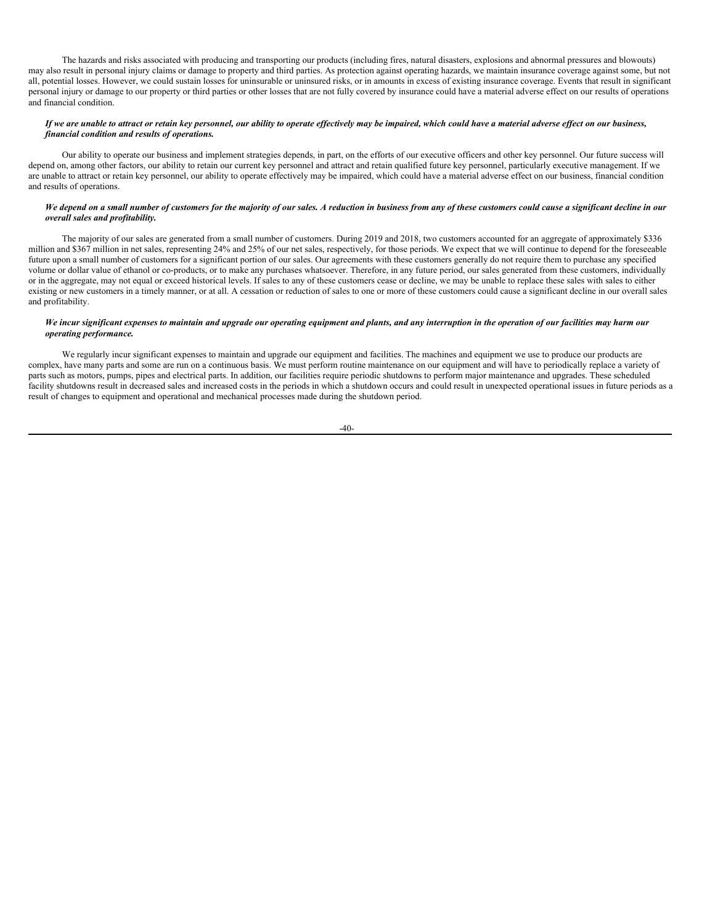The hazards and risks associated with producing and transporting our products (including fires, natural disasters, explosions and abnormal pressures and blowouts) may also result in personal injury claims or damage to property and third parties. As protection against operating hazards, we maintain insurance coverage against some, but not all, potential losses. However, we could sustain losses for uninsurable or uninsured risks, or in amounts in excess of existing insurance coverage. Events that result in significant personal injury or damage to our property or third parties or other losses that are not fully covered by insurance could have a material adverse effect on our results of operations and financial condition.

## If we are unable to attract or retain key personnel, our ability to operate effectively may be impaired, which could have a material adverse effect on our business, *financial condition and results of operations.*

Our ability to operate our business and implement strategies depends, in part, on the efforts of our executive officers and other key personnel. Our future success will depend on, among other factors, our ability to retain our current key personnel and attract and retain qualified future key personnel, particularly executive management. If we are unable to attract or retain key personnel, our ability to operate effectively may be impaired, which could have a material adverse effect on our business, financial condition and results of operations.

## We depend on a small number of customers for the majority of our sales. A reduction in business from any of these customers could cause a significant decline in our *overall sales and profitability.*

The majority of our sales are generated from a small number of customers. During 2019 and 2018, two customers accounted for an aggregate of approximately \$336 million and \$367 million in net sales, representing 24% and 25% of our net sales, respectively, for those periods. We expect that we will continue to depend for the foreseeable future upon a small number of customers for a significant portion of our sales. Our agreements with these customers generally do not require them to purchase any specified volume or dollar value of ethanol or co-products, or to make any purchases whatsoever. Therefore, in any future period, our sales generated from these customers, individually or in the aggregate, may not equal or exceed historical levels. If sales to any of these customers cease or decline, we may be unable to replace these sales with sales to either existing or new customers in a timely manner, or at all. A cessation or reduction of sales to one or more of these customers could cause a significant decline in our overall sales and profitability.

### We incur significant expenses to maintain and upgrade our operating equipment and plants, and any interruption in the operation of our facilities may harm our *operating performance.*

We regularly incur significant expenses to maintain and upgrade our equipment and facilities. The machines and equipment we use to produce our products are complex, have many parts and some are run on a continuous basis. We must perform routine maintenance on our equipment and will have to periodically replace a variety of parts such as motors, pumps, pipes and electrical parts. In addition, our facilities require periodic shutdowns to perform major maintenance and upgrades. These scheduled facility shutdowns result in decreased sales and increased costs in the periods in which a shutdown occurs and could result in unexpected operational issues in future periods as a result of changes to equipment and operational and mechanical processes made during the shutdown period.

 $-40-$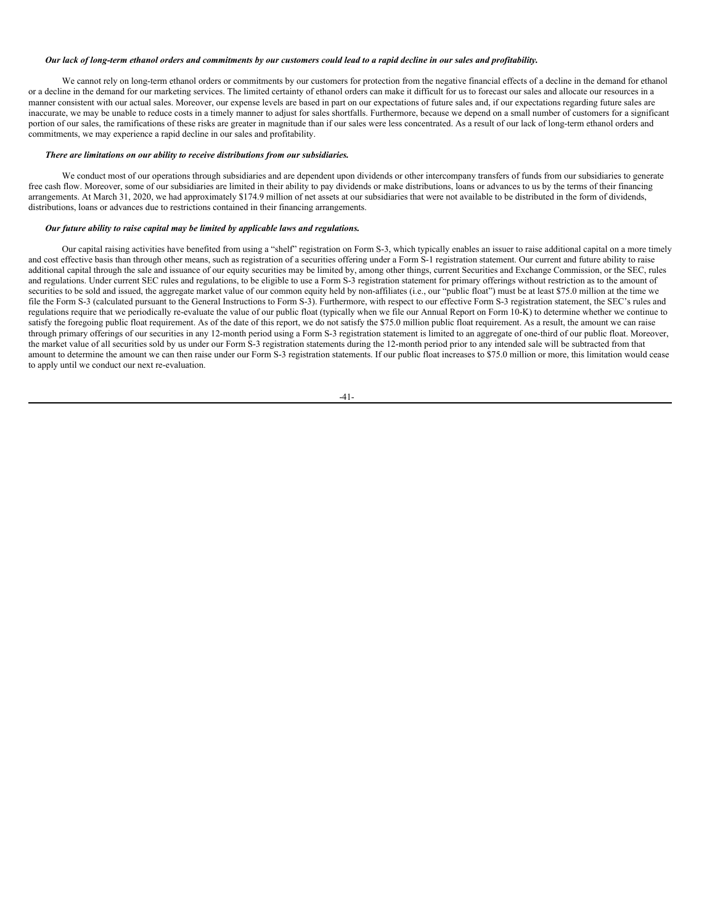#### Our lack of long-term ethanol orders and commitments by our customers could lead to a rapid decline in our sales and profitability.

We cannot rely on long-term ethanol orders or commitments by our customers for protection from the negative financial effects of a decline in the demand for ethanol or a decline in the demand for our marketing services. The limited certainty of ethanol orders can make it difficult for us to forecast our sales and allocate our resources in a manner consistent with our actual sales. Moreover, our expense levels are based in part on our expectations of future sales and, if our expectations regarding future sales are inaccurate, we may be unable to reduce costs in a timely manner to adjust for sales shortfalls. Furthermore, because we depend on a small number of customers for a significant portion of our sales, the ramifications of these risks are greater in magnitude than if our sales were less concentrated. As a result of our lack of long-term ethanol orders and commitments, we may experience a rapid decline in our sales and profitability.

### *There are limitations on our ability to receive distributions from our subsidiaries.*

We conduct most of our operations through subsidiaries and are dependent upon dividends or other intercompany transfers of funds from our subsidiaries to generate free cash flow. Moreover, some of our subsidiaries are limited in their ability to pay dividends or make distributions, loans or advances to us by the terms of their financing arrangements. At March 31, 2020, we had approximately \$174.9 million of net assets at our subsidiaries that were not available to be distributed in the form of dividends, distributions, loans or advances due to restrictions contained in their financing arrangements.

## *Our future ability to raise capital may be limited by applicable laws and regulations.*

Our capital raising activities have benefited from using a "shelf" registration on Form S-3, which typically enables an issuer to raise additional capital on a more timely and cost effective basis than through other means, such as registration of a securities offering under a Form S-1 registration statement. Our current and future ability to raise additional capital through the sale and issuance of our equity securities may be limited by, among other things, current Securities and Exchange Commission, or the SEC, rules and regulations. Under current SEC rules and regulations, to be eligible to use a Form S-3 registration statement for primary offerings without restriction as to the amount of securities to be sold and issued, the aggregate market value of our common equity held by non-affiliates (i.e., our "public float") must be at least \$75.0 million at the time we file the Form S-3 (calculated pursuant to the General Instructions to Form S-3). Furthermore, with respect to our effective Form S-3 registration statement, the SEC's rules and regulations require that we periodically re-evaluate the value of our public float (typically when we file our Annual Report on Form 10-K) to determine whether we continue to satisfy the foregoing public float requirement. As of the date of this report, we do not satisfy the \$75.0 million public float requirement. As a result, the amount we can raise through primary offerings of our securities in any 12-month period using a Form S-3 registration statement is limited to an aggregate of one-third of our public float. Moreover, the market value of all securities sold by us under our Form S-3 registration statements during the 12-month period prior to any intended sale will be subtracted from that amount to determine the amount we can then raise under our Form S-3 registration statements. If our public float increases to \$75.0 million or more, this limitation would cease to apply until we conduct our next re-evaluation.

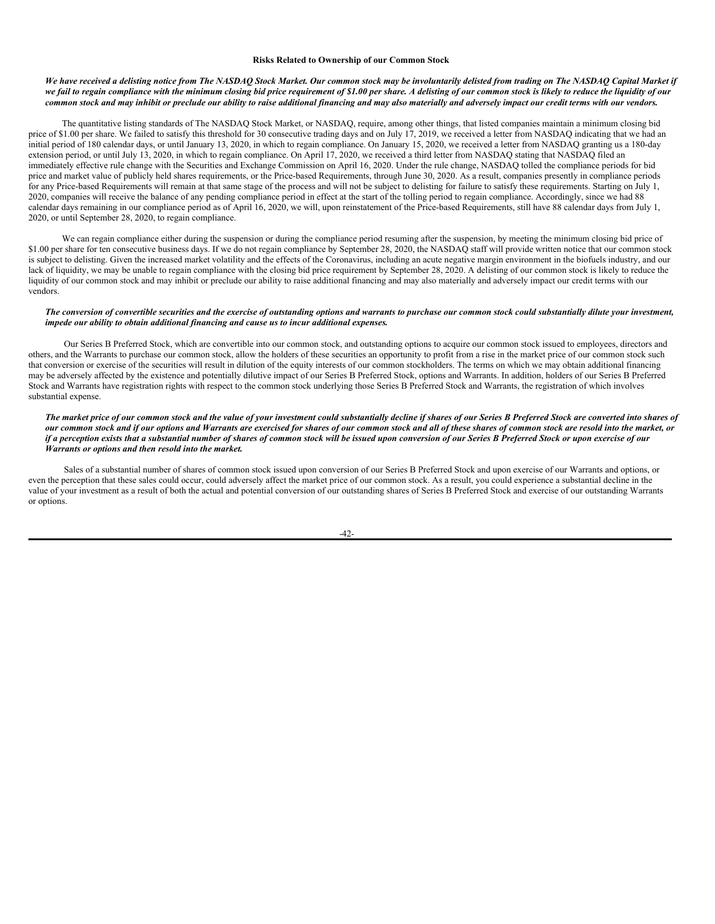#### **Risks Related to Ownership of our Common Stock**

## We have received a delisting notice from The NASDAQ Stock Market. Our common stock may be involuntarily delisted from trading on The NASDAO Capital Market if we fail to regain compliance with the minimum closing bid price requirement of \$1.00 per share. A delisting of our common stock is likely to reduce the liquidity of our common stock and may inhibit or preclude our ability to raise additional financing and may also materially and adversely impact our credit terms with our vendors.

The quantitative listing standards of The NASDAQ Stock Market, or NASDAQ, require, among other things, that listed companies maintain a minimum closing bid price of \$1.00 per share. We failed to satisfy this threshold for 30 consecutive trading days and on July 17, 2019, we received a letter from NASDAQ indicating that we had an initial period of 180 calendar days, or until January 13, 2020, in which to regain compliance. On January 15, 2020, we received a letter from NASDAQ granting us a 180-day extension period, or until July 13, 2020, in which to regain compliance. On April 17, 2020, we received a third letter from NASDAQ stating that NASDAQ filed an immediately effective rule change with the Securities and Exchange Commission on April 16, 2020. Under the rule change, NASDAQ tolled the compliance periods for bid price and market value of publicly held shares requirements, or the Price-based Requirements, through June 30, 2020. As a result, companies presently in compliance periods for any Price-based Requirements will remain at that same stage of the process and will not be subject to delisting for failure to satisfy these requirements. Starting on July 1, 2020, companies will receive the balance of any pending compliance period in effect at the start of the tolling period to regain compliance. Accordingly, since we had 88 calendar days remaining in our compliance period as of April 16, 2020, we will, upon reinstatement of the Price-based Requirements, still have 88 calendar days from July 1, 2020, or until September 28, 2020, to regain compliance.

We can regain compliance either during the suspension or during the compliance period resuming after the suspension, by meeting the minimum closing bid price of \$1.00 per share for ten consecutive business days. If we do not regain compliance by September 28, 2020, the NASDAQ staff will provide written notice that our common stock is subject to delisting. Given the increased market volatility and the effects of the Coronavirus, including an acute negative margin environment in the biofuels industry, and our lack of liquidity, we may be unable to regain compliance with the closing bid price requirement by September 28, 2020. A delisting of our common stock is likely to reduce the liquidity of our common stock and may inhibit or preclude our ability to raise additional financing and may also materially and adversely impact our credit terms with our vendors.

### The conversion of convertible securities and the exercise of outstanding options and warrants to purchase our common stock could substantially dilute your investment, *impede our ability to obtain additional financing and cause us to incur additional expenses.*

Our Series B Preferred Stock, which are convertible into our common stock, and outstanding options to acquire our common stock issued to employees, directors and others, and the Warrants to purchase our common stock, allow the holders of these securities an opportunity to profit from a rise in the market price of our common stock such that conversion or exercise of the securities will result in dilution of the equity interests of our common stockholders. The terms on which we may obtain additional financing may be adversely affected by the existence and potentially dilutive impact of our Series B Preferred Stock, options and Warrants. In addition, holders of our Series B Preferred Stock and Warrants have registration rights with respect to the common stock underlying those Series B Preferred Stock and Warrants, the registration of which involves substantial expense.

## The market price of our common stock and the value of your investment could substantially decline if shares of our Series B Preferred Stock are converted into shares of our common stock and if our options and Warrants are exercised for shares of our common stock and all of these shares of common stock are resold into the market, or if a perception exists that a substantial number of shares of common stock will be issued upon conversion of our Series B Preferred Stock or upon exercise of our *Warrants or options and then resold into the market.*

Sales of a substantial number of shares of common stock issued upon conversion of our Series B Preferred Stock and upon exercise of our Warrants and options, or even the perception that these sales could occur, could adversely affect the market price of our common stock. As a result, you could experience a substantial decline in the value of your investment as a result of both the actual and potential conversion of our outstanding shares of Series B Preferred Stock and exercise of our outstanding Warrants or options.

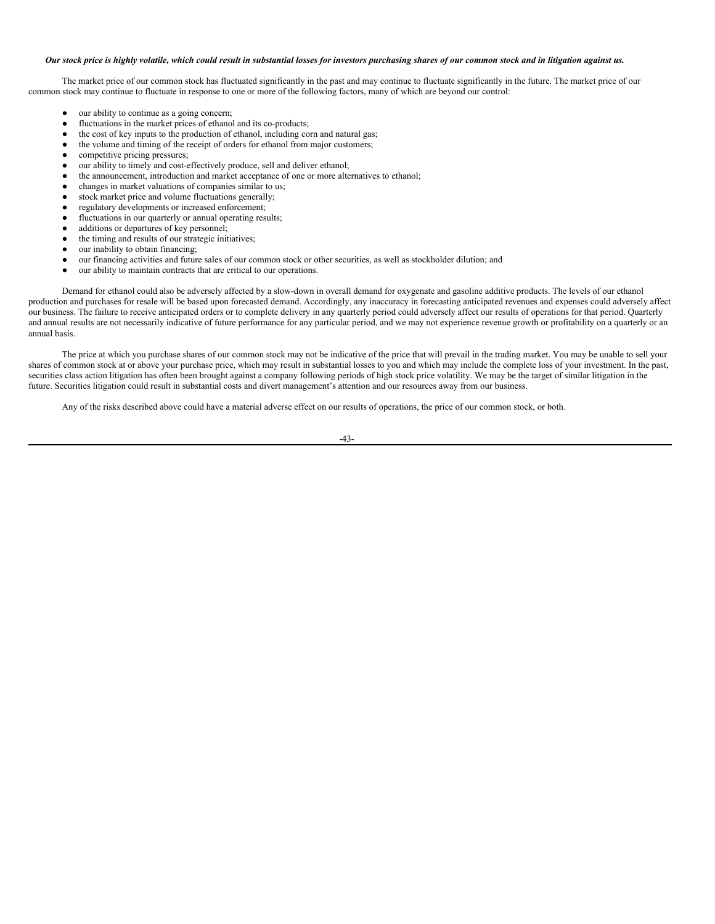## Our stock price is highly volatile, which could result in substantial losses for investors purchasing shares of our common stock and in litigation against us.

The market price of our common stock has fluctuated significantly in the past and may continue to fluctuate significantly in the future. The market price of our common stock may continue to fluctuate in response to one or more of the following factors, many of which are beyond our control:

- our ability to continue as a going concern;
- fluctuations in the market prices of ethanol and its co-products;
- $\bullet$  the cost of key inputs to the production of ethanol, including corn and natural gas;
- the volume and timing of the receipt of orders for ethanol from major customers;
- competitive pricing pressures;
- our ability to timely and cost-effectively produce, sell and deliver ethanol;
- the announcement, introduction and market acceptance of one or more alternatives to ethanol;
- changes in market valuations of companies similar to us;
- stock market price and volume fluctuations generally;
- regulatory developments or increased enforcement;
- fluctuations in our quarterly or annual operating results;
- additions or departures of key personnel;
- the timing and results of our strategic initiatives;
- our inability to obtain financing;
- our financing activities and future sales of our common stock or other securities, as well as stockholder dilution; and
- our ability to maintain contracts that are critical to our operations.

Demand for ethanol could also be adversely affected by a slow-down in overall demand for oxygenate and gasoline additive products. The levels of our ethanol production and purchases for resale will be based upon forecasted demand. Accordingly, any inaccuracy in forecasting anticipated revenues and expenses could adversely affect our business. The failure to receive anticipated orders or to complete delivery in any quarterly period could adversely affect our results of operations for that period. Quarterly and annual results are not necessarily indicative of future performance for any particular period, and we may not experience revenue growth or profitability on a quarterly or an annual basis.

The price at which you purchase shares of our common stock may not be indicative of the price that will prevail in the trading market. You may be unable to sell your shares of common stock at or above your purchase price, which may result in substantial losses to you and which may include the complete loss of your investment. In the past, securities class action litigation has often been brought against a company following periods of high stock price volatility. We may be the target of similar litigation in the future. Securities litigation could result in substantial costs and divert management's attention and our resources away from our business.

Any of the risks described above could have a material adverse effect on our results of operations, the price of our common stock, or both.

-43-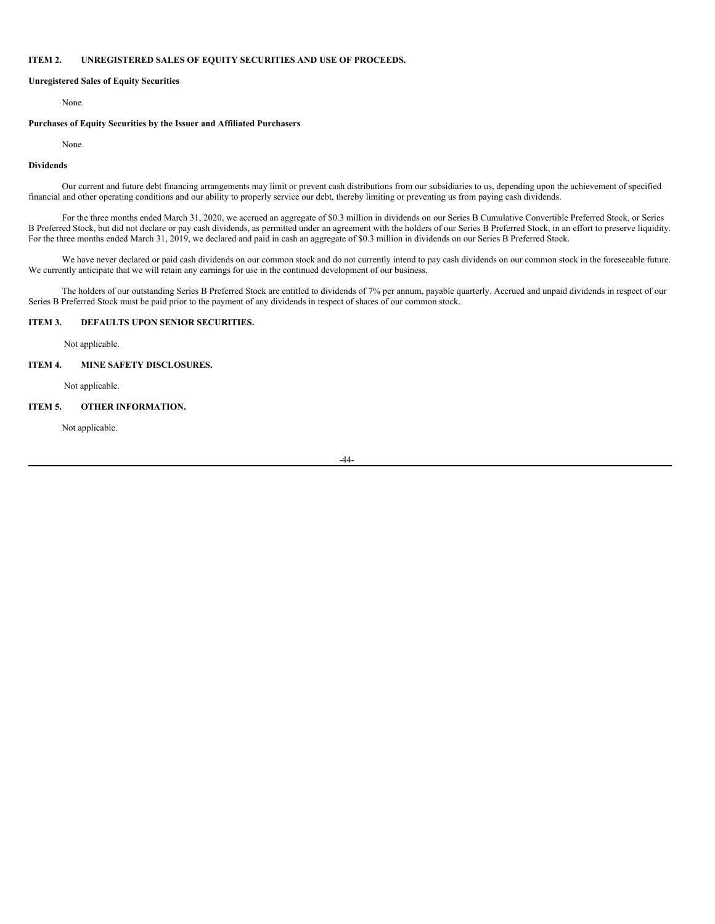## **ITEM 2. UNREGISTERED SALES OF EQUITY SECURITIES AND USE OF PROCEEDS.**

### **Unregistered Sales of Equity Securities**

<span id="page-45-0"></span>None.

## **Purchases of Equity Securities by the Issuer and Affiliated Purchasers**

None.

## **Dividends**

Our current and future debt financing arrangements may limit or prevent cash distributions from our subsidiaries to us, depending upon the achievement of specified financial and other operating conditions and our ability to properly service our debt, thereby limiting or preventing us from paying cash dividends.

For the three months ended March 31, 2020, we accrued an aggregate of \$0.3 million in dividends on our Series B Cumulative Convertible Preferred Stock, or Series B Preferred Stock, but did not declare or pay cash dividends, as permitted under an agreement with the holders of our Series B Preferred Stock, in an effort to preserve liquidity. For the three months ended March 31, 2019, we declared and paid in cash an aggregate of \$0.3 million in dividends on our Series B Preferred Stock.

We have never declared or paid cash dividends on our common stock and do not currently intend to pay cash dividends on our common stock in the foreseeable future. We currently anticipate that we will retain any earnings for use in the continued development of our business.

The holders of our outstanding Series B Preferred Stock are entitled to dividends of 7% per annum, payable quarterly. Accrued and unpaid dividends in respect of our Series B Preferred Stock must be paid prior to the payment of any dividends in respect of shares of our common stock.

## **ITEM 3. DEFAULTS UPON SENIOR SECURITIES.**

<span id="page-45-2"></span><span id="page-45-1"></span>Not applicable.

## **ITEM 4. MINE SAFETY DISCLOSURES.**

<span id="page-45-3"></span>Not applicable.

## **ITEM 5. OTHER INFORMATION.**

Not applicable.

-44-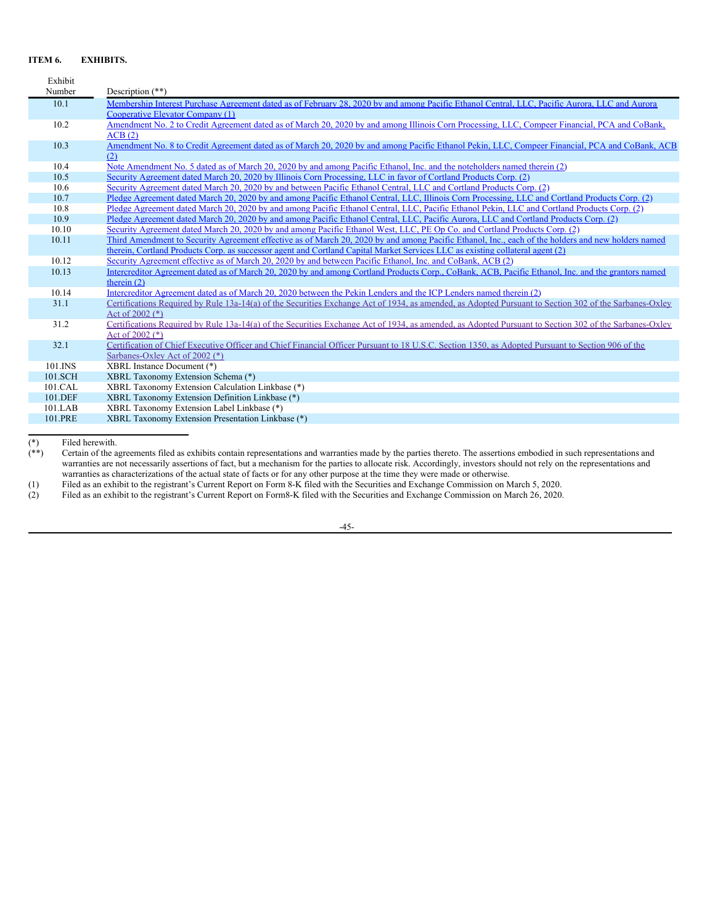# <span id="page-46-0"></span>**ITEM 6. EXHIBITS.**

| Exhibit     |                                                                                                                                                                             |
|-------------|-----------------------------------------------------------------------------------------------------------------------------------------------------------------------------|
| Number      | Description $(**)$                                                                                                                                                          |
| 10.1        | Membership Interest Purchase Agreement dated as of February 28, 2020 by and among Pacific Ethanol Central, LLC, Pacific Aurora, LLC and Aurora                              |
|             | Cooperative Elevator Company (1)                                                                                                                                            |
| 10.2        | Amendment No. 2 to Credit Agreement dated as of March 20, 2020 by and among Illinois Corn Processing, LLC, Compeer Financial, PCA and CoBank,                               |
|             | ACB(2)                                                                                                                                                                      |
| 10.3        | Amendment No. 8 to Credit Agreement dated as of March 20, 2020 by and among Pacific Ethanol Pekin, LLC, Compeer Financial, PCA and CoBank, ACB                              |
|             | (2)                                                                                                                                                                         |
| 10.4        | Note Amendment No. 5 dated as of March 20, 2020 by and among Pacific Ethanol, Inc. and the noteholders named therein (2)                                                    |
| 10.5        | Security Agreement dated March 20, 2020 by Illinois Corn Processing, LLC in favor of Cortland Products Corp. (2)                                                            |
| 10.6        | Security Agreement dated March 20, 2020 by and between Pacific Ethanol Central, LLC and Cortland Products Corp. (2)                                                         |
| 10.7        | Pledge Agreement dated March 20, 2020 by and among Pacific Ethanol Central, LLC, Illinois Corn Processing, LLC and Cortland Products Corp. (2)                              |
| 10.8        | Pledge Agreement dated March 20, 2020 by and among Pacific Ethanol Central, LLC, Pacific Ethanol Pekin, LLC and Cortland Products Corp. (2)                                 |
| 10.9        | Pledge Agreement dated March 20, 2020 by and among Pacific Ethanol Central, LLC, Pacific Aurora, LLC and Cortland Products Corp. (2)                                        |
| 10.10       | Security Agreement dated March 20, 2020 by and among Pacific Ethanol West, LLC, PE Op Co. and Cortland Products Corp. (2)                                                   |
| 10.11       | Third Amendment to Security Agreement effective as of March 20, 2020 by and among Pacific Ethanol, Inc., each of the holders and new holders named                          |
|             | therein, Cortland Products Corp. as successor agent and Cortland Capital Market Services LLC as existing collateral agent (2)                                               |
| 10.12       | Security Agreement effective as of March 20, 2020 by and between Pacific Ethanol, Inc. and CoBank, ACB (2)                                                                  |
| 10.13       | Intercreditor Agreement dated as of March 20, 2020 by and among Cortland Products Corp., CoBank, ACB, Pacific Ethanol, Inc. and the grantors named                          |
|             | therein $(2)$                                                                                                                                                               |
| 10.14       | Intercreditor Agreement dated as of March 20, 2020 between the Pekin Lenders and the ICP Lenders named therein (2)                                                          |
| 31.1        | Certifications Required by Rule 13a-14(a) of the Securities Exchange Act of 1934, as amended, as Adopted Pursuant to Section 302 of the Sarbanes-Oxley                      |
| 31.2        | Act of $2002$ $(*)$                                                                                                                                                         |
|             | Certifications Required by Rule 13a-14(a) of the Securities Exchange Act of 1934, as amended, as Adopted Pursuant to Section 302 of the Sarbanes-Oxley<br>Act of $2002$ (*) |
| 32.1        | Certification of Chief Executive Officer and Chief Financial Officer Pursuant to 18 U.S.C. Section 1350, as Adopted Pursuant to Section 906 of the                          |
|             | Sarbanes-Oxlev Act of 2002 (*)                                                                                                                                              |
| $101$ . INS | XBRL Instance Document (*)                                                                                                                                                  |
| 101.SCH     | XBRL Taxonomy Extension Schema (*)                                                                                                                                          |
| 101.CAL     | XBRL Taxonomy Extension Calculation Linkbase (*)                                                                                                                            |
| 101.DEF     | XBRL Taxonomy Extension Definition Linkbase (*)                                                                                                                             |
| 101.LAB     | XBRL Taxonomy Extension Label Linkbase (*)                                                                                                                                  |
| 101.PRE     | XBRL Taxonomy Extension Presentation Linkbase (*)                                                                                                                           |
|             |                                                                                                                                                                             |

(\*) Filed herewith.<br>  $(**)$  Certain of the a Certain of the agreements filed as exhibits contain representations and warranties made by the parties thereto. The assertions embodied in such representations and warranties are not necessarily assertions of fact, but a mechanism for the parties to allocate risk. Accordingly, investors should not rely on the representations and warranties as characterizations of the actual state of facts or for any other purpose at the time they were made or otherwise.

(1) Filed as an exhibit to the registrant's Current Report on Form 8-K filed with the Securities and Exchange Commission on March 5, 2020.

(2) Filed as an exhibit to the registrant's Current Report on Form8-K filed with the Securities and Exchange Commission on March 26, 2020.

-45-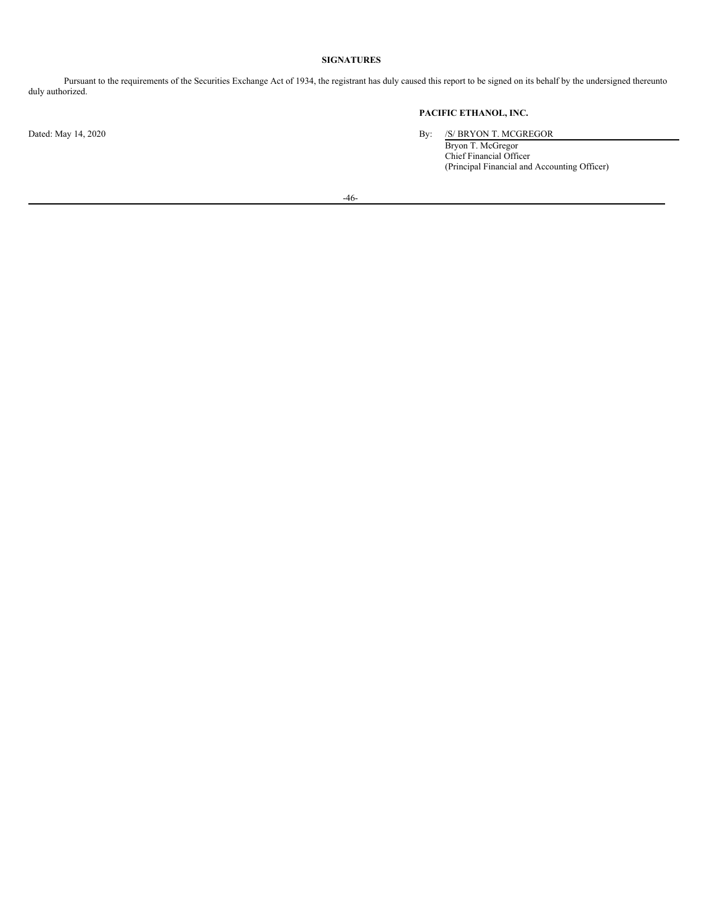# <span id="page-47-0"></span>**SIGNATURES**

Pursuant to the requirements of the Securities Exchange Act of 1934, the registrant has duly caused this report to be signed on its behalf by the undersigned thereunto duly authorized.

# **PACIFIC ETHANOL, INC.**

Dated: May 14, 2020 By: /S/ BRYON T. MCGREGOR

Bryon T. McGregor Chief Financial Officer (Principal Financial and Accounting Officer)

-46-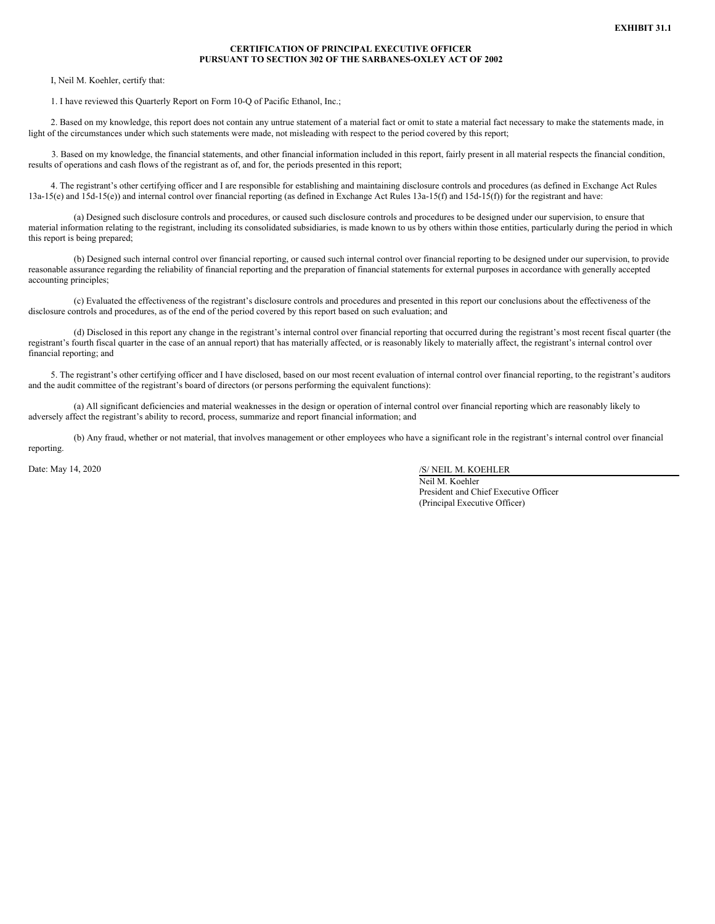## **CERTIFICATION OF PRINCIPAL EXECUTIVE OFFICER PURSUANT TO SECTION 302 OF THE SARBANES-OXLEY ACT OF 2002**

<span id="page-48-0"></span>I, Neil M. Koehler, certify that:

1. I have reviewed this Quarterly Report on Form 10-Q of Pacific Ethanol, Inc.;

2. Based on my knowledge, this report does not contain any untrue statement of a material fact or omit to state a material fact necessary to make the statements made, in light of the circumstances under which such statements were made, not misleading with respect to the period covered by this report;

3. Based on my knowledge, the financial statements, and other financial information included in this report, fairly present in all material respects the financial condition, results of operations and cash flows of the registrant as of, and for, the periods presented in this report;

4. The registrant's other certifying officer and I are responsible for establishing and maintaining disclosure controls and procedures (as defined in Exchange Act Rules 13a-15(e) and 15d-15(e)) and internal control over financial reporting (as defined in Exchange Act Rules 13a-15(f) and 15d-15(f)) for the registrant and have:

(a) Designed such disclosure controls and procedures, or caused such disclosure controls and procedures to be designed under our supervision, to ensure that material information relating to the registrant, including its consolidated subsidiaries, is made known to us by others within those entities, particularly during the period in which this report is being prepared;

(b) Designed such internal control over financial reporting, or caused such internal control over financial reporting to be designed under our supervision, to provide reasonable assurance regarding the reliability of financial reporting and the preparation of financial statements for external purposes in accordance with generally accepted accounting principles;

(c) Evaluated the effectiveness of the registrant's disclosure controls and procedures and presented in this report our conclusions about the effectiveness of the disclosure controls and procedures, as of the end of the period covered by this report based on such evaluation; and

(d) Disclosed in this report any change in the registrant's internal control over financial reporting that occurred during the registrant's most recent fiscal quarter (the registrant's fourth fiscal quarter in the case of an annual report) that has materially affected, or is reasonably likely to materially affect, the registrant's internal control over financial reporting; and

5. The registrant's other certifying officer and I have disclosed, based on our most recent evaluation of internal control over financial reporting, to the registrant's auditors and the audit committee of the registrant's board of directors (or persons performing the equivalent functions):

(a) All significant deficiencies and material weaknesses in the design or operation of internal control over financial reporting which are reasonably likely to adversely affect the registrant's ability to record, process, summarize and report financial information; and

(b) Any fraud, whether or not material, that involves management or other employees who have a significant role in the registrant's internal control over financial reporting.

Date: May 14, 2020 /S/ NEIL M. KOEHLER

Neil M. Koehler President and Chief Executive Officer (Principal Executive Officer)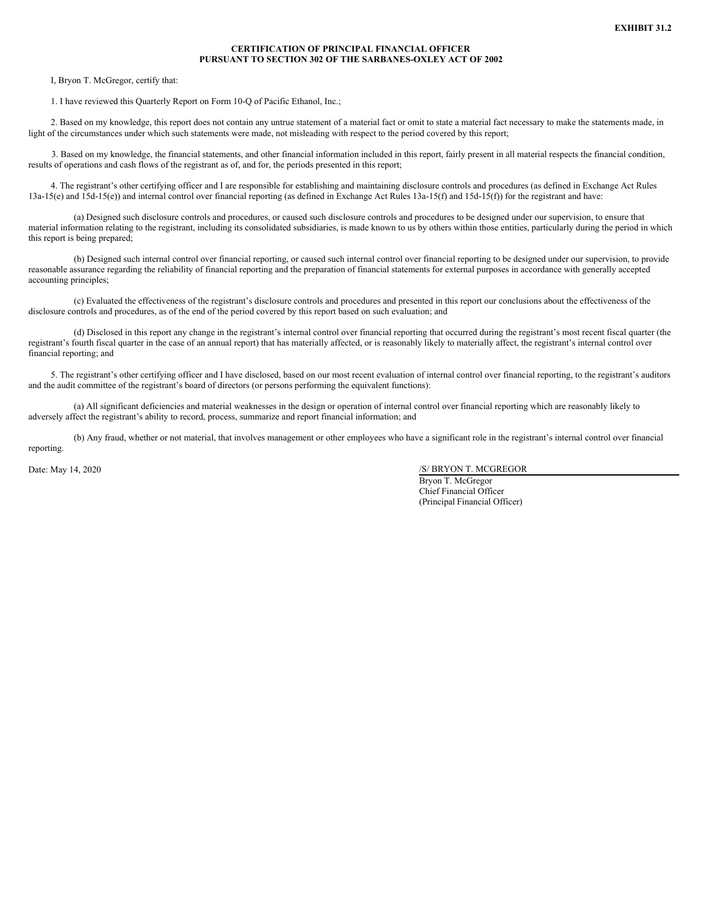## **CERTIFICATION OF PRINCIPAL FINANCIAL OFFICER PURSUANT TO SECTION 302 OF THE SARBANES-OXLEY ACT OF 2002**

<span id="page-49-0"></span>I, Bryon T. McGregor, certify that:

1. I have reviewed this Quarterly Report on Form 10-Q of Pacific Ethanol, Inc.;

2. Based on my knowledge, this report does not contain any untrue statement of a material fact or omit to state a material fact necessary to make the statements made, in light of the circumstances under which such statements were made, not misleading with respect to the period covered by this report;

3. Based on my knowledge, the financial statements, and other financial information included in this report, fairly present in all material respects the financial condition, results of operations and cash flows of the registrant as of, and for, the periods presented in this report;

4. The registrant's other certifying officer and I are responsible for establishing and maintaining disclosure controls and procedures (as defined in Exchange Act Rules 13a-15(e) and 15d-15(e)) and internal control over financial reporting (as defined in Exchange Act Rules 13a-15(f) and 15d-15(f)) for the registrant and have:

(a) Designed such disclosure controls and procedures, or caused such disclosure controls and procedures to be designed under our supervision, to ensure that material information relating to the registrant, including its consolidated subsidiaries, is made known to us by others within those entities, particularly during the period in which this report is being prepared;

(b) Designed such internal control over financial reporting, or caused such internal control over financial reporting to be designed under our supervision, to provide reasonable assurance regarding the reliability of financial reporting and the preparation of financial statements for external purposes in accordance with generally accepted accounting principles;

(c) Evaluated the effectiveness of the registrant's disclosure controls and procedures and presented in this report our conclusions about the effectiveness of the disclosure controls and procedures, as of the end of the period covered by this report based on such evaluation; and

(d) Disclosed in this report any change in the registrant's internal control over financial reporting that occurred during the registrant's most recent fiscal quarter (the registrant's fourth fiscal quarter in the case of an annual report) that has materially affected, or is reasonably likely to materially affect, the registrant's internal control over financial reporting; and

5. The registrant's other certifying officer and I have disclosed, based on our most recent evaluation of internal control over financial reporting, to the registrant's auditors and the audit committee of the registrant's board of directors (or persons performing the equivalent functions):

(a) All significant deficiencies and material weaknesses in the design or operation of internal control over financial reporting which are reasonably likely to adversely affect the registrant's ability to record, process, summarize and report financial information; and

(b) Any fraud, whether or not material, that involves management or other employees who have a significant role in the registrant's internal control over financial reporting.

Date: May 14, 2020 /S/ BRYON T. MCGREGOR

Bryon T. McGregor Chief Financial Officer (Principal Financial Officer)